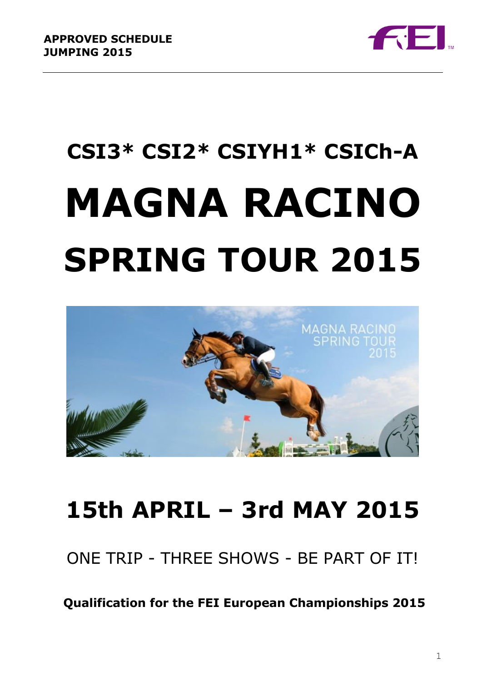

# **CSI3\* CSI2\* CSIYH1\* CSICh-A MAGNA RACINO SPRING TOUR 2015**



## **15th APRIL – 3rd MAY 2015**

ONE TRIP - THREE SHOWS - BE PART OF IT!

**Qualification for the FEI European Championships 2015**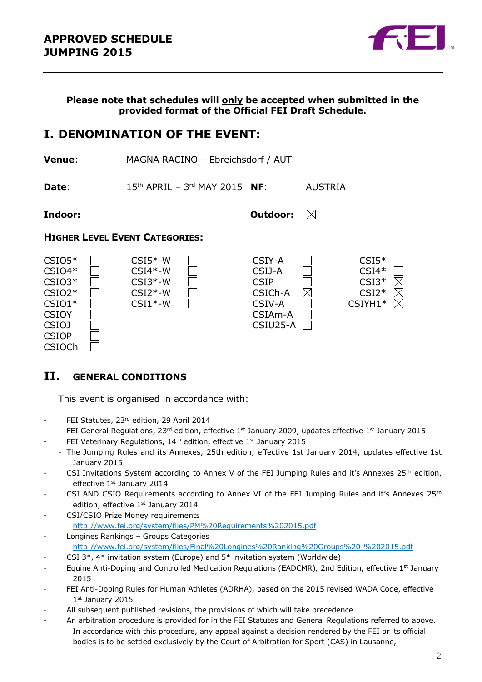

**Please note that schedules will only be accepted when submitted in the provided format of the Official FEI Draft Schedule.**

## **I. DENOMINATION OF THE EVENT:**

**Venue**: MAGNA RACINO – Ebreichsdorf / AUT **Date**: 15<sup>th</sup> APRIL – 3<sup>rd</sup> MAY 2015 **NF**: AUSTRIA **Indoor: Outdoor:**  $\boxtimes$ 

#### **HIGHER LEVEL EVENT CATEGORIES:**



### **II. GENERAL CONDITIONS**

This event is organised in accordance with:

- FEI Statutes, 23rd edition, 29 April 2014
- FEI General Regulations, 23<sup>rd</sup> edition, effective 1st January 2009, updates effective 1st January 2015
- FEI Veterinary Regulations, 14<sup>th</sup> edition, effective 1<sup>st</sup> January 2015
	- The Jumping Rules and its Annexes, 25th edition, effective 1st January 2014, updates effective 1st January 2015
- CSI Invitations System according to Annex V of the FEI Jumping Rules and it's Annexes 25<sup>th</sup> edition, effective 1st January 2014
- CSI AND CSIO Requirements according to Annex VI of the FEI Jumping Rules and it's Annexes 25<sup>th</sup> edition, effective 1st January 2014
- CSI/CSIO Prize Money requirements <http://www.fei.org/system/files/PM%20Requirements%202015.pdf>
- Longines Rankings Groups Categories <http://www.fei.org/system/files/Final%20Longines%20Ranking%20Groups%20-%202015.pdf>
- CSI 3\*,  $4*$  invitation system (Europe) and  $5*$  invitation system (Worldwide)
- Equine Anti-Doping and Controlled Medication Regulations (EADCMR)*,* 2nd Edition, effective 1st January 2015
- FEI Anti-Doping Rules for Human Athletes (ADRHA), based on the 2015 revised WADA Code, effective 1 st January 2015
- All subsequent published revisions, the provisions of which will take precedence.
- An arbitration procedure is provided for in the FEI Statutes and General Regulations referred to above. In accordance with this procedure, any appeal against a decision rendered by the FEI or its official bodies is to be settled exclusively by the Court of Arbitration for Sport (CAS) in Lausanne,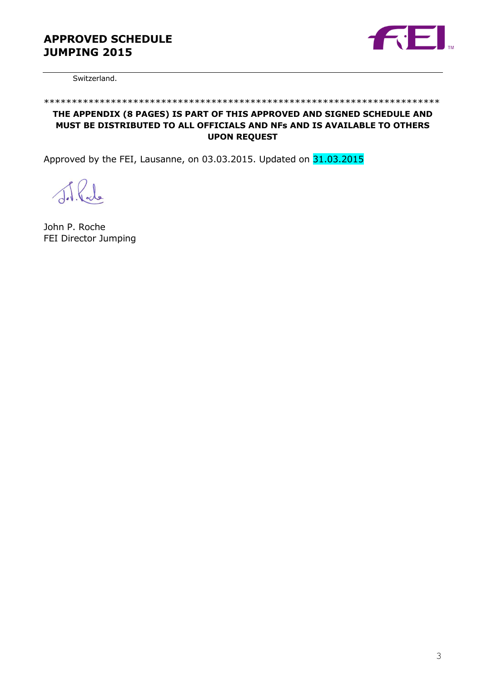

Switzerland.

#### \*\*\*\*\*\*\*\*\*\*\*\*\*\*\*\*\*\*\*\*\*\*\*\*\*\*\*\*\*\*\*\*\*\*\*\*\*\*\*\*\*\*\*\*\*\*\*\*\*\*\*\*\*\*\*\*\*\*\*\*\*\*\*\*\*\*\*\*\*\*\*

#### **THE APPENDIX (8 PAGES) IS PART OF THIS APPROVED AND SIGNED SCHEDULE AND MUST BE DISTRIBUTED TO ALL OFFICIALS AND NFs AND IS AVAILABLE TO OTHERS UPON REQUEST**

Approved by the FEI, Lausanne, on 03.03.2015. Updated on 31.03.2015

J.R.de

John P. Roche FEI Director Jumping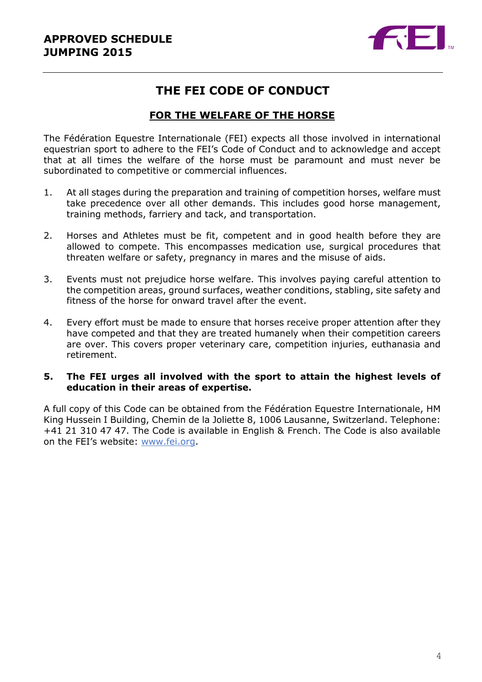

## **THE FEI CODE OF CONDUCT**

## **FOR THE WELFARE OF THE HORSE**

The Fédération Equestre Internationale (FEI) expects all those involved in international equestrian sport to adhere to the FEI's Code of Conduct and to acknowledge and accept that at all times the welfare of the horse must be paramount and must never be subordinated to competitive or commercial influences.

- 1. At all stages during the preparation and training of competition horses, welfare must take precedence over all other demands. This includes good horse management, training methods, farriery and tack, and transportation.
- 2. Horses and Athletes must be fit, competent and in good health before they are allowed to compete. This encompasses medication use, surgical procedures that threaten welfare or safety, pregnancy in mares and the misuse of aids.
- 3. Events must not prejudice horse welfare. This involves paying careful attention to the competition areas, ground surfaces, weather conditions, stabling, site safety and fitness of the horse for onward travel after the event.
- 4. Every effort must be made to ensure that horses receive proper attention after they have competed and that they are treated humanely when their competition careers are over. This covers proper veterinary care, competition injuries, euthanasia and retirement.

#### **5. The FEI urges all involved with the sport to attain the highest levels of education in their areas of expertise.**

A full copy of this Code can be obtained from the Fédération Equestre Internationale, HM King Hussein I Building, Chemin de la Joliette 8, 1006 Lausanne, Switzerland. Telephone: +41 21 310 47 47. The Code is available in English & French. The Code is also available on the FEI's website: [www.fei.org.](http://www.fei.org/)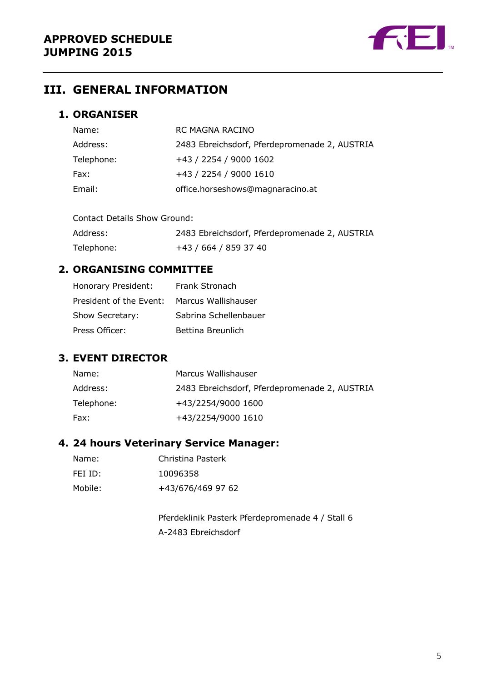

## **III. GENERAL INFORMATION**

## **1. ORGANISER**

| Name:      | RC MAGNA RACINO                               |
|------------|-----------------------------------------------|
| Address:   | 2483 Ebreichsdorf, Pferdepromenade 2, AUSTRIA |
| Telephone: | +43 / 2254 / 9000 1602                        |
| Fax:       | +43 / 2254 / 9000 1610                        |
| Email:     | office.horseshows@magnaracino.at              |

Contact Details Show Ground:

Address: 2483 Ebreichsdorf, Pferdepromenade 2, AUSTRIA Telephone: +43 / 664 / 859 37 40

### **2. ORGANISING COMMITTEE**

| Honorary President:     | Frank Stronach        |
|-------------------------|-----------------------|
| President of the Event: | Marcus Wallishauser   |
| Show Secretary:         | Sabrina Schellenbauer |
| Press Officer:          | Bettina Breunlich     |

### **3. EVENT DIRECTOR**

| Name:      | Marcus Wallishauser                           |
|------------|-----------------------------------------------|
| Address:   | 2483 Ebreichsdorf, Pferdepromenade 2, AUSTRIA |
| Telephone: | +43/2254/9000 1600                            |
| Fax:       | +43/2254/9000 1610                            |

### **4. 24 hours Veterinary Service Manager:**

| Name:   | Christina Pasterk |
|---------|-------------------|
| FEI ID: | 10096358          |
| Mobile: | +43/676/469 97 62 |

Pferdeklinik Pasterk Pferdepromenade 4 / Stall 6 A-2483 Ebreichsdorf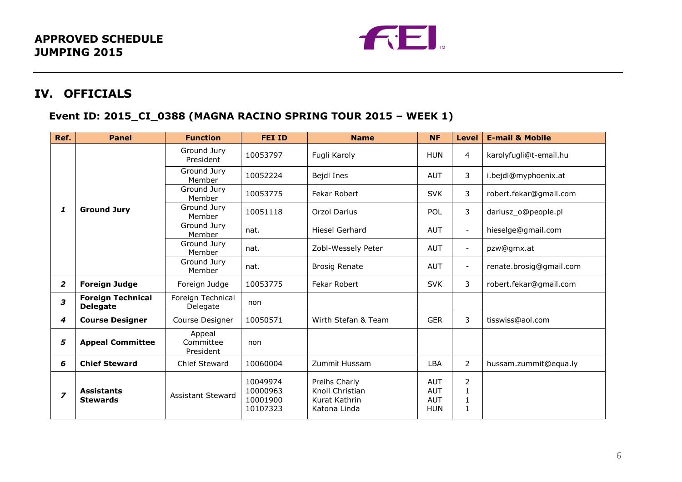

## **IV. OFFICIALS**

## **Event ID: 2015\_CI\_0388 (MAGNA RACINO SPRING TOUR 2015 – WEEK 1)**

| Ref.           | <b>Panel</b>                                | <b>Function</b>                  | <b>FEI ID</b>                                | <b>Name</b>                                                       | <b>NF</b>                                            | <b>Level</b>                                                 | <b>E-mail &amp; Mobile</b> |
|----------------|---------------------------------------------|----------------------------------|----------------------------------------------|-------------------------------------------------------------------|------------------------------------------------------|--------------------------------------------------------------|----------------------------|
|                |                                             | Ground Jury<br>President         | 10053797                                     | Fugli Karoly                                                      | <b>HUN</b>                                           | 4                                                            | karolyfugli@t-email.hu     |
|                |                                             | Ground Jury<br>Member            | 10052224                                     | Bejdl Ines                                                        | <b>AUT</b>                                           | 3                                                            | i.bejdl@myphoenix.at       |
|                |                                             | Ground Jury<br>Member            | 10053775                                     | Fekar Robert                                                      | <b>SVK</b>                                           | 3                                                            | robert.fekar@gmail.com     |
| 1              | <b>Ground Jury</b>                          | Ground Jury<br>Member            | 10051118                                     | <b>Orzol Darius</b>                                               | POL                                                  | 3                                                            | dariusz_o@people.pl        |
|                |                                             | Ground Jury<br>Member            | nat.                                         | Hiesel Gerhard                                                    | <b>AUT</b>                                           | $\overline{\phantom{a}}$                                     | hieselge@gmail.com         |
|                |                                             | Ground Jury<br>Member            | nat.                                         | Zobl-Wessely Peter                                                | <b>AUT</b>                                           | $\overline{\phantom{a}}$                                     | pzw@gmx.at                 |
|                |                                             | Ground Jury<br>Member            | nat.                                         | <b>Brosig Renate</b>                                              | <b>AUT</b>                                           | $\overline{\phantom{a}}$                                     | renate.brosig@gmail.com    |
| $\overline{2}$ | <b>Foreign Judge</b>                        | Foreign Judge                    | 10053775                                     | Fekar Robert                                                      | <b>SVK</b>                                           | 3                                                            | robert.fekar@gmail.com     |
| 3              | <b>Foreign Technical</b><br><b>Delegate</b> | Foreign Technical<br>Delegate    | non                                          |                                                                   |                                                      |                                                              |                            |
| 4              | <b>Course Designer</b>                      | Course Designer                  | 10050571                                     | Wirth Stefan & Team                                               | <b>GER</b>                                           | 3                                                            | tisswiss@aol.com           |
| 5              | <b>Appeal Committee</b>                     | Appeal<br>Committee<br>President | non                                          |                                                                   |                                                      |                                                              |                            |
| 6              | <b>Chief Steward</b>                        | Chief Steward                    | 10060004                                     | Zummit Hussam                                                     | LBA                                                  | $\overline{2}$                                               | hussam.zummit@equa.ly      |
| $\overline{z}$ | <b>Assistants</b><br><b>Stewards</b>        | <b>Assistant Steward</b>         | 10049974<br>10000963<br>10001900<br>10107323 | Preihs Charly<br>Knoll Christian<br>Kurat Kathrin<br>Katona Linda | <b>AUT</b><br><b>AUT</b><br><b>AUT</b><br><b>HUN</b> | $\overline{2}$<br>$\mathbf 1$<br>$\mathbf 1$<br>$\mathbf{1}$ |                            |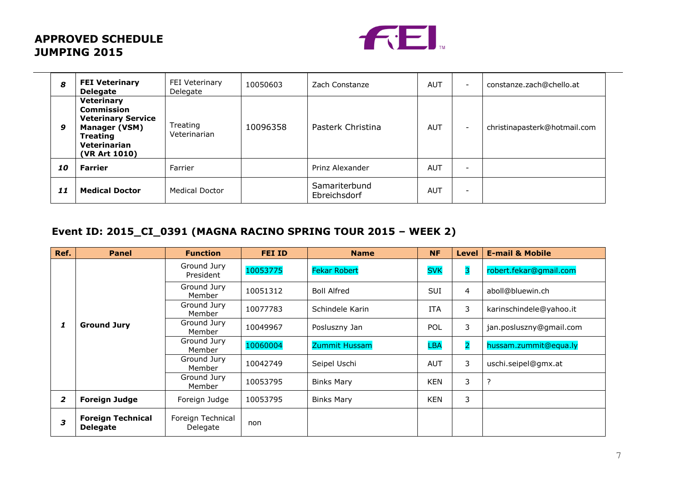

| 8  | <b>FEI Veterinary</b><br><b>Delegate</b>                                                                                                 | FEI Veterinary<br>Delegate | 10050603 | Zach Constanze                | <b>AUT</b> | $\overline{\phantom{a}}$ | constanze.zach@chello.at     |
|----|------------------------------------------------------------------------------------------------------------------------------------------|----------------------------|----------|-------------------------------|------------|--------------------------|------------------------------|
| 9  | Veterinary<br><b>Commission</b><br><b>Veterinary Service</b><br><b>Manager (VSM)</b><br><b>Treating</b><br>Veterinarian<br>(VR Art 1010) | Treating<br>Veterinarian   | 10096358 | Pasterk Christina             | <b>AUT</b> | $\overline{\phantom{a}}$ | christinapasterk@hotmail.com |
| 10 | <b>Farrier</b>                                                                                                                           | Farrier                    |          | Prinz Alexander               | <b>AUT</b> | $\overline{\phantom{0}}$ |                              |
| 11 | <b>Medical Doctor</b>                                                                                                                    | <b>Medical Doctor</b>      |          | Samariterbund<br>Ebreichsdorf | <b>AUT</b> | $\overline{\phantom{0}}$ |                              |

## **Event ID: 2015\_CI\_0391 (MAGNA RACINO SPRING TOUR 2015 – WEEK 2)**

| Ref. | <b>Panel</b>                                | <b>Function</b>               | <b>FEI ID</b> | <b>Name</b>         | <b>NF</b>  | <b>Level</b>   | <b>E-mail &amp; Mobile</b> |
|------|---------------------------------------------|-------------------------------|---------------|---------------------|------------|----------------|----------------------------|
|      |                                             | Ground Jury<br>President      | 10053775      | <b>Fekar Robert</b> | <b>SVK</b> | 3              | robert.fekar@gmail.com     |
|      |                                             | Ground Jury<br>Member         | 10051312      | <b>Boll Alfred</b>  | <b>SUI</b> | 4              | aboll@bluewin.ch           |
|      |                                             | Ground Jury<br>Member         | 10077783      | Schindele Karin     | <b>ITA</b> | 3              | karinschindele@yahoo.it    |
| 1    | <b>Ground Jury</b>                          | Ground Jury<br>Member         | 10049967      | Posluszny Jan       | POL        | 3              | jan.posluszny@gmail.com    |
|      |                                             | Ground Jury<br>Member         | 10060004      | Zummit Hussam       | <b>LBA</b> | $\overline{a}$ | hussam.zummit@equa.ly      |
|      |                                             | Ground Jury<br>Member         | 10042749      | Seipel Uschi        | <b>AUT</b> | 3              | uschi.seipel@gmx.at        |
|      |                                             | Ground Jury<br>Member         | 10053795      | <b>Binks Mary</b>   | <b>KEN</b> | 3              | ?                          |
| 2    | <b>Foreign Judge</b>                        | Foreign Judge                 | 10053795      | <b>Binks Mary</b>   | <b>KEN</b> | 3              |                            |
| 3    | <b>Foreign Technical</b><br><b>Delegate</b> | Foreign Technical<br>Delegate | non           |                     |            |                |                            |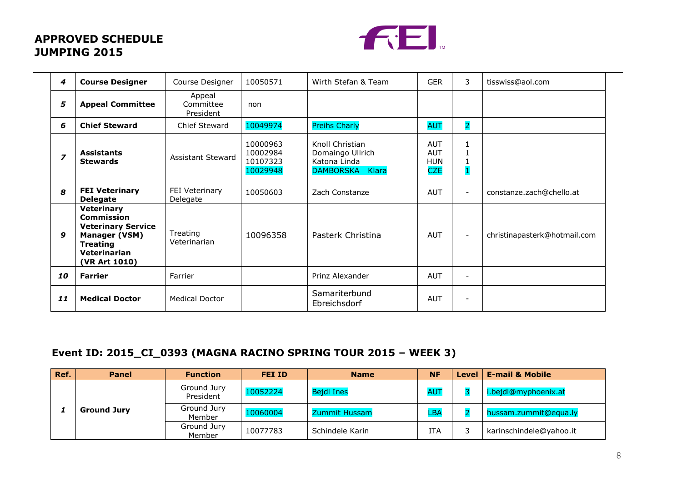

| 4                       | <b>Course Designer</b>                                                                                                                   | Course Designer                  | 10050571                                     | Wirth Stefan & Team                                                    | <b>GER</b>                                           | 3                        | tisswiss@aol.com             |
|-------------------------|------------------------------------------------------------------------------------------------------------------------------------------|----------------------------------|----------------------------------------------|------------------------------------------------------------------------|------------------------------------------------------|--------------------------|------------------------------|
| 5                       | <b>Appeal Committee</b>                                                                                                                  | Appeal<br>Committee<br>President | non                                          |                                                                        |                                                      |                          |                              |
| 6                       | <b>Chief Steward</b>                                                                                                                     | Chief Steward                    | 10049974                                     | <b>Preihs Charly</b>                                                   | <b>AUT</b>                                           | $\overline{2}$           |                              |
| $\overline{\mathbf{z}}$ | <b>Assistants</b><br><b>Stewards</b>                                                                                                     | <b>Assistant Steward</b>         | 10000963<br>10002984<br>10107323<br>10029948 | Knoll Christian<br>Domaingo Ullrich<br>Katona Linda<br>DAMBORSKA Klara | <b>AUT</b><br><b>AUT</b><br><b>HUN</b><br><b>CZE</b> | $\overline{\mathbf{1}}$  |                              |
| 8                       | <b>FEI Veterinary</b><br><b>Delegate</b>                                                                                                 | FEI Veterinary<br>Delegate       | 10050603                                     | Zach Constanze                                                         | <b>AUT</b>                                           | $\overline{\phantom{0}}$ | constanze.zach@chello.at     |
| 9                       | <b>Veterinary</b><br><b>Commission</b><br><b>Veterinary Service</b><br>Manager (VSM)<br><b>Treating</b><br>Veterinarian<br>(VR Art 1010) | Treating<br>Veterinarian         | 10096358                                     | Pasterk Christina                                                      | <b>AUT</b>                                           | $\overline{\phantom{a}}$ | christinapasterk@hotmail.com |
| 10                      | <b>Farrier</b>                                                                                                                           | Farrier                          |                                              | Prinz Alexander                                                        | <b>AUT</b>                                           | $\overline{\phantom{a}}$ |                              |
| 11                      | <b>Medical Doctor</b>                                                                                                                    | <b>Medical Doctor</b>            |                                              | Samariterbund<br>Ebreichsdorf                                          | <b>AUT</b>                                           | $\overline{\phantom{a}}$ |                              |

## **Event ID: 2015\_CI\_0393 (MAGNA RACINO SPRING TOUR 2015 – WEEK 3)**

| Ref. | <b>Panel</b>       | <b>Function</b>          | FEI ID   | <b>Name</b>       | <b>NF</b>  | Level | <b>E-mail &amp; Mobile</b> |
|------|--------------------|--------------------------|----------|-------------------|------------|-------|----------------------------|
|      | <b>Ground Jury</b> | Ground Jury<br>President | 10052224 | <b>Bejdl Ines</b> | <b>AUT</b> |       | i.bejdl@myphoenix.at       |
|      |                    | Ground Jury<br>Member    | 10060004 | Zummit Hussam     | LBA        |       | hussam.zummit@equa.ly      |
|      |                    | Ground Jury<br>Member    | 10077783 | Schindele Karin   | <b>ITA</b> |       | karinschindele@yahoo.it    |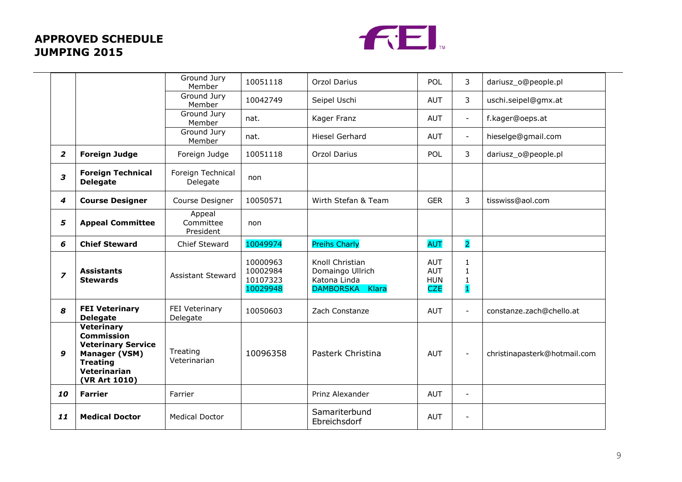

|                |                                                                                                                                                 | Ground Jury<br>Member            | 10051118                                     | <b>Orzol Darius</b>                                                    | POL                                                  | 3                                                            | dariusz_o@people.pl          |
|----------------|-------------------------------------------------------------------------------------------------------------------------------------------------|----------------------------------|----------------------------------------------|------------------------------------------------------------------------|------------------------------------------------------|--------------------------------------------------------------|------------------------------|
|                |                                                                                                                                                 | Ground Jury<br>Member            | 10042749                                     | Seipel Uschi                                                           | <b>AUT</b>                                           | 3                                                            | uschi.seipel@gmx.at          |
|                |                                                                                                                                                 | Ground Jury<br>Member            | nat.                                         | Kager Franz                                                            | <b>AUT</b>                                           | $\equiv$                                                     | f.kager@oeps.at              |
|                |                                                                                                                                                 | Ground Jury<br>Member            | nat.                                         | <b>Hiesel Gerhard</b>                                                  | <b>AUT</b>                                           | $\overline{\phantom{a}}$                                     | hieselge@gmail.com           |
| $\overline{2}$ | <b>Foreign Judge</b>                                                                                                                            | Foreign Judge                    | 10051118                                     | <b>Orzol Darius</b>                                                    | <b>POL</b>                                           | 3                                                            | dariusz_o@people.pl          |
| 3              | <b>Foreign Technical</b><br><b>Delegate</b>                                                                                                     | Foreign Technical<br>Delegate    | non                                          |                                                                        |                                                      |                                                              |                              |
| 4              | <b>Course Designer</b>                                                                                                                          | Course Designer                  | 10050571                                     | Wirth Stefan & Team                                                    | <b>GER</b>                                           | 3                                                            | tisswiss@aol.com             |
| 5              | <b>Appeal Committee</b>                                                                                                                         | Appeal<br>Committee<br>President | non                                          |                                                                        |                                                      |                                                              |                              |
| 6              | <b>Chief Steward</b>                                                                                                                            | Chief Steward                    | 10049974                                     | <b>Preihs Charly</b>                                                   | <b>AUT</b>                                           | $\overline{2}$                                               |                              |
| $\overline{z}$ | <b>Assistants</b><br><b>Stewards</b>                                                                                                            | <b>Assistant Steward</b>         | 10000963<br>10002984<br>10107323<br>10029948 | Knoll Christian<br>Domaingo Ullrich<br>Katona Linda<br>DAMBORSKA Klara | <b>AUT</b><br><b>AUT</b><br><b>HUN</b><br><b>CZE</b> | $\mathbf{1}$<br>$\mathbf{1}$<br>1<br>$\overline{\mathbf{1}}$ |                              |
| 8              | <b>FEI Veterinary</b><br><b>Delegate</b>                                                                                                        | FEI Veterinary<br>Delegate       | 10050603                                     | Zach Constanze                                                         | <b>AUT</b>                                           | $\blacksquare$                                               | constanze.zach@chello.at     |
| 9              | <b>Veterinary</b><br><b>Commission</b><br><b>Veterinary Service</b><br><b>Manager (VSM)</b><br><b>Treating</b><br>Veterinarian<br>(VR Art 1010) | Treating<br>Veterinarian         | 10096358                                     | Pasterk Christina                                                      | <b>AUT</b>                                           | $\overline{\phantom{a}}$                                     | christinapasterk@hotmail.com |
| 10             | <b>Farrier</b>                                                                                                                                  | Farrier                          |                                              | Prinz Alexander                                                        | <b>AUT</b>                                           | ÷.                                                           |                              |
| 11             | <b>Medical Doctor</b>                                                                                                                           | <b>Medical Doctor</b>            |                                              | Samariterbund<br>Ebreichsdorf                                          | <b>AUT</b>                                           | ٠                                                            |                              |
|                |                                                                                                                                                 |                                  |                                              |                                                                        |                                                      |                                                              |                              |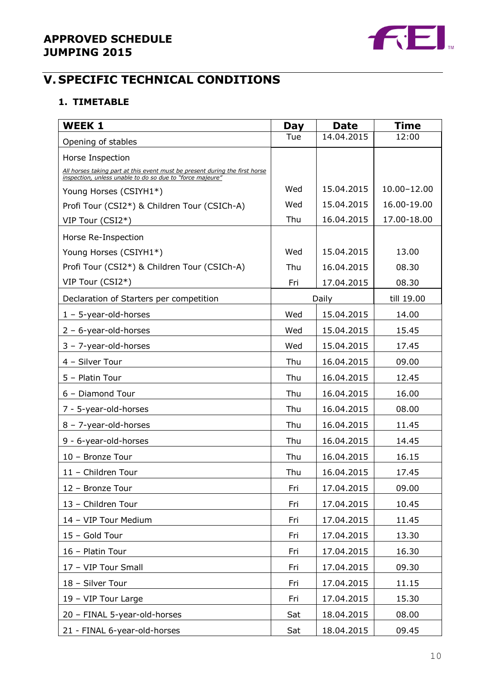

## **V. SPECIFIC TECHNICAL CONDITIONS**

### **1. TIMETABLE**

| <b>WEEK 1</b>                                                                                                                            | Day | <b>Date</b> | Time        |
|------------------------------------------------------------------------------------------------------------------------------------------|-----|-------------|-------------|
| Opening of stables                                                                                                                       | Tue | 14.04.2015  | 12:00       |
| Horse Inspection                                                                                                                         |     |             |             |
| All horses taking part at this event must be present during the first horse<br>inspection, unless unable to do so due to "force majeure" |     |             |             |
| Young Horses (CSIYH1*)                                                                                                                   | Wed | 15.04.2015  | 10.00-12.00 |
| Profi Tour (CSI2*) & Children Tour (CSICh-A)                                                                                             | Wed | 15.04.2015  | 16.00-19.00 |
| VIP Tour (CSI2*)                                                                                                                         | Thu | 16.04.2015  | 17.00-18.00 |
| Horse Re-Inspection                                                                                                                      |     |             |             |
| Young Horses (CSIYH1*)                                                                                                                   | Wed | 15.04.2015  | 13.00       |
| Profi Tour (CSI2*) & Children Tour (CSICh-A)                                                                                             | Thu | 16.04.2015  | 08.30       |
| VIP Tour (CSI2*)                                                                                                                         | Fri | 17.04.2015  | 08.30       |
| Declaration of Starters per competition                                                                                                  |     | Daily       | till 19.00  |
| $1 - 5$ -year-old-horses                                                                                                                 | Wed | 15.04.2015  | 14.00       |
| $2 - 6$ -year-old-horses                                                                                                                 | Wed | 15.04.2015  | 15.45       |
| $3 - 7$ -year-old-horses                                                                                                                 | Wed | 15.04.2015  | 17.45       |
| 4 - Silver Tour                                                                                                                          | Thu | 16.04.2015  | 09.00       |
| 5 - Platin Tour                                                                                                                          | Thu | 16.04.2015  | 12.45       |
| 6 - Diamond Tour                                                                                                                         | Thu | 16.04.2015  | 16.00       |
| 7 - 5-year-old-horses                                                                                                                    | Thu | 16.04.2015  | 08.00       |
| $8 - 7$ -year-old-horses                                                                                                                 | Thu | 16.04.2015  | 11.45       |
| 9 - 6-year-old-horses                                                                                                                    | Thu | 16.04.2015  | 14.45       |
| 10 - Bronze Tour                                                                                                                         | Thu | 16.04.2015  | 16.15       |
| 11 - Children Tour                                                                                                                       | Thu | 16.04.2015  | 17.45       |
| 12 - Bronze Tour                                                                                                                         | Fri | 17.04.2015  | 09.00       |
| 13 - Children Tour                                                                                                                       | Fri | 17.04.2015  | 10.45       |
| 14 - VIP Tour Medium                                                                                                                     | Fri | 17.04.2015  | 11.45       |
| 15 - Gold Tour                                                                                                                           | Fri | 17.04.2015  | 13.30       |
| 16 - Platin Tour                                                                                                                         | Fri | 17.04.2015  | 16.30       |
| 17 - VIP Tour Small                                                                                                                      | Fri | 17.04.2015  | 09.30       |
| 18 - Silver Tour                                                                                                                         | Fri | 17.04.2015  | 11.15       |
| 19 - VIP Tour Large                                                                                                                      | Fri | 17.04.2015  | 15.30       |
| 20 - FINAL 5-year-old-horses                                                                                                             | Sat | 18.04.2015  | 08.00       |
| 21 - FINAL 6-year-old-horses                                                                                                             | Sat | 18.04.2015  | 09.45       |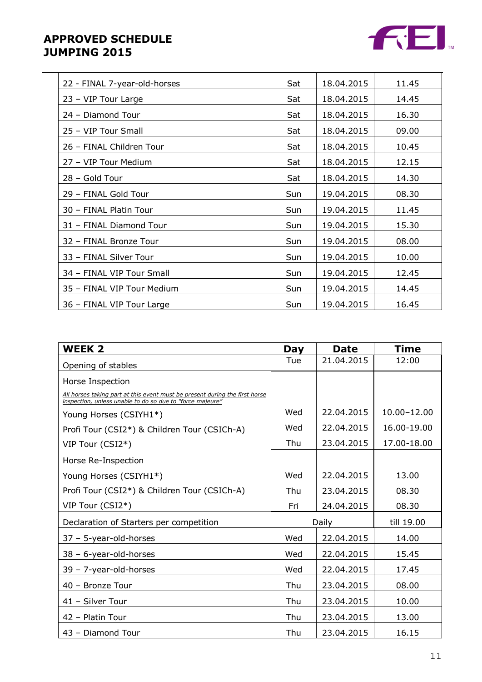

| 22 - FINAL 7-year-old-horses | Sat | 18.04.2015 | 11.45 |
|------------------------------|-----|------------|-------|
| 23 - VIP Tour Large          | Sat | 18.04.2015 | 14.45 |
| 24 - Diamond Tour            | Sat | 18.04.2015 | 16.30 |
| 25 - VIP Tour Small          | Sat | 18.04.2015 | 09.00 |
| 26 - FINAL Children Tour     | Sat | 18.04.2015 | 10.45 |
| 27 - VIP Tour Medium         | Sat | 18.04.2015 | 12.15 |
| 28 - Gold Tour               | Sat | 18.04.2015 | 14.30 |
| 29 - FINAL Gold Tour         | Sun | 19.04.2015 | 08.30 |
| 30 - FINAL Platin Tour       | Sun | 19.04.2015 | 11.45 |
| 31 - FINAL Diamond Tour      | Sun | 19.04.2015 | 15.30 |
| 32 - FINAL Bronze Tour       | Sun | 19.04.2015 | 08.00 |
| 33 - FINAL Silver Tour       | Sun | 19.04.2015 | 10.00 |
| 34 - FINAL VIP Tour Small    | Sun | 19.04.2015 | 12.45 |
| 35 - FINAL VIP Tour Medium   | Sun | 19.04.2015 | 14.45 |
| 36 - FINAL VIP Tour Large    | Sun | 19.04.2015 | 16.45 |

| <b>WEEK 2</b>                                                                                                                            | Day   | <b>Date</b> | <b>Time</b>     |  |
|------------------------------------------------------------------------------------------------------------------------------------------|-------|-------------|-----------------|--|
| Opening of stables                                                                                                                       | Tue   | 21.04.2015  | 12:00           |  |
| Horse Inspection                                                                                                                         |       |             |                 |  |
| All horses taking part at this event must be present during the first horse<br>inspection, unless unable to do so due to "force majeure" |       |             |                 |  |
| Young Horses (CSIYH1*)                                                                                                                   | Wed   | 22.04.2015  | $10.00 - 12.00$ |  |
| Profi Tour (CSI2*) & Children Tour (CSICh-A)                                                                                             | Wed   | 22.04.2015  | 16.00-19.00     |  |
| VIP Tour (CSI2*)                                                                                                                         | Thu   | 23.04.2015  | 17.00-18.00     |  |
| Horse Re-Inspection                                                                                                                      |       |             |                 |  |
| Young Horses (CSIYH1*)                                                                                                                   | Wed   | 22.04.2015  | 13.00           |  |
| Profi Tour (CSI2*) & Children Tour (CSICh-A)                                                                                             | Thu   | 23.04.2015  | 08.30           |  |
| VIP Tour (CSI2*)                                                                                                                         | Fri   | 24.04.2015  | 08.30           |  |
| Declaration of Starters per competition                                                                                                  | Daily |             | till 19.00      |  |
| $37 - 5$ -year-old-horses                                                                                                                | Wed   | 22.04.2015  | 14.00           |  |
| 38 - 6-year-old-horses                                                                                                                   | Wed   | 22.04.2015  | 15.45           |  |
| $39 - 7$ -year-old-horses                                                                                                                | Wed   | 22.04.2015  | 17.45           |  |
| 40 - Bronze Tour                                                                                                                         | Thu   | 23.04.2015  | 08.00           |  |
| 41 - Silver Tour                                                                                                                         | Thu   | 23.04.2015  | 10.00           |  |
| 42 - Platin Tour                                                                                                                         | Thu   | 23.04.2015  | 13.00           |  |
| 43 - Diamond Tour                                                                                                                        | Thu   | 23.04.2015  | 16.15           |  |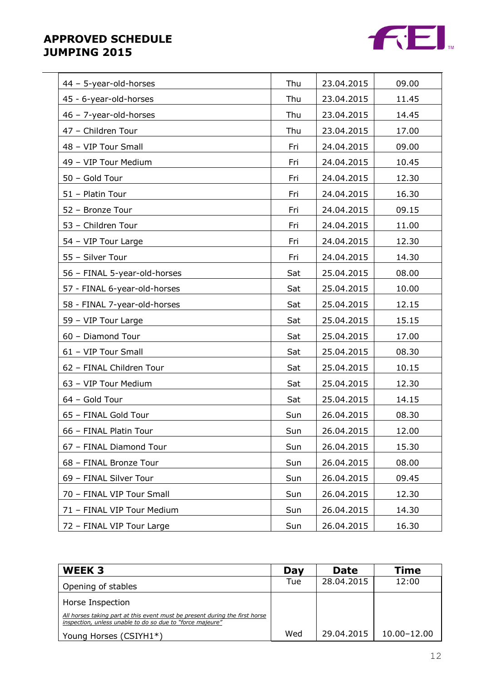

| 44 - 5-year-old-horses       | Thu | 23.04.2015 | 09.00 |
|------------------------------|-----|------------|-------|
| 45 - 6-year-old-horses       | Thu | 23.04.2015 | 11.45 |
| 46 - 7-year-old-horses       | Thu | 23.04.2015 | 14.45 |
| 47 - Children Tour           | Thu | 23.04.2015 | 17.00 |
| 48 - VIP Tour Small          | Fri | 24.04.2015 | 09.00 |
| 49 - VIP Tour Medium         | Fri | 24.04.2015 | 10.45 |
| 50 - Gold Tour               | Fri | 24.04.2015 | 12.30 |
| 51 - Platin Tour             | Fri | 24.04.2015 | 16.30 |
| 52 - Bronze Tour             | Fri | 24.04.2015 | 09.15 |
| 53 - Children Tour           | Fri | 24.04.2015 | 11.00 |
| 54 - VIP Tour Large          | Fri | 24.04.2015 | 12.30 |
| 55 - Silver Tour             | Fri | 24.04.2015 | 14.30 |
| 56 - FINAL 5-year-old-horses | Sat | 25.04.2015 | 08.00 |
| 57 - FINAL 6-year-old-horses | Sat | 25.04.2015 | 10.00 |
| 58 - FINAL 7-year-old-horses | Sat | 25.04.2015 | 12.15 |
| 59 - VIP Tour Large          | Sat | 25.04.2015 | 15.15 |
| 60 - Diamond Tour            | Sat | 25.04.2015 | 17.00 |
| 61 - VIP Tour Small          | Sat | 25.04.2015 | 08.30 |
| 62 - FINAL Children Tour     | Sat | 25.04.2015 | 10.15 |
| 63 - VIP Tour Medium         | Sat | 25.04.2015 | 12.30 |
| 64 - Gold Tour               | Sat | 25.04.2015 | 14.15 |
| 65 - FINAL Gold Tour         | Sun | 26.04.2015 | 08.30 |
| 66 - FINAL Platin Tour       | Sun | 26.04.2015 | 12.00 |
| 67 - FINAL Diamond Tour      | Sun | 26.04.2015 | 15.30 |
| 68 - FINAL Bronze Tour       | Sun | 26.04.2015 | 08.00 |
| 69 - FINAL Silver Tour       | Sun | 26.04.2015 | 09.45 |
| 70 - FINAL VIP Tour Small    | Sun | 26.04.2015 | 12.30 |
| 71 - FINAL VIP Tour Medium   | Sun | 26.04.2015 | 14.30 |
| 72 - FINAL VIP Tour Large    | Sun | 26.04.2015 | 16.30 |

| WEEK 3                                                                                                                                   | Day | <b>Date</b> | Time        |
|------------------------------------------------------------------------------------------------------------------------------------------|-----|-------------|-------------|
| Opening of stables                                                                                                                       | Tue | 28,04,2015  | 12:00       |
| Horse Inspection                                                                                                                         |     |             |             |
| All horses taking part at this event must be present during the first horse<br>inspection, unless unable to do so due to "force majeure" |     |             |             |
| Young Horses (CSIYH1*)                                                                                                                   | Wed | 29.04.2015  | 10.00-12.00 |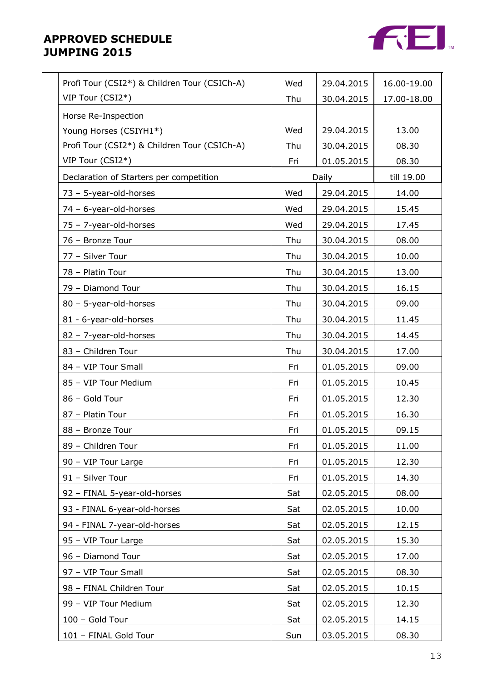

| Profi Tour (CSI2*) & Children Tour (CSICh-A) | Wed | 29.04.2015 | 16.00-19.00 |
|----------------------------------------------|-----|------------|-------------|
| VIP Tour (CSI2*)                             | Thu | 30.04.2015 | 17.00-18.00 |
| Horse Re-Inspection                          |     |            |             |
| Young Horses (CSIYH1*)                       | Wed | 29.04.2015 | 13.00       |
| Profi Tour (CSI2*) & Children Tour (CSICh-A) | Thu | 30.04.2015 | 08.30       |
| VIP Tour (CSI2*)                             | Fri | 01.05.2015 | 08.30       |
| Declaration of Starters per competition      |     | Daily      | till 19.00  |
| 73 - 5-year-old-horses                       | Wed | 29.04.2015 | 14.00       |
| 74 - 6-year-old-horses                       | Wed | 29.04.2015 | 15.45       |
| 75 - 7-year-old-horses                       | Wed | 29.04.2015 | 17.45       |
| 76 - Bronze Tour                             | Thu | 30.04.2015 | 08.00       |
| 77 - Silver Tour                             | Thu | 30.04.2015 | 10.00       |
| 78 - Platin Tour                             | Thu | 30.04.2015 | 13.00       |
| 79 - Diamond Tour                            | Thu | 30.04.2015 | 16.15       |
| 80 - 5-year-old-horses                       | Thu | 30.04.2015 | 09.00       |
| 81 - 6-year-old-horses                       | Thu | 30.04.2015 | 11.45       |
| 82 - 7-year-old-horses                       | Thu | 30.04.2015 | 14.45       |
| 83 - Children Tour                           | Thu | 30.04.2015 | 17.00       |
| 84 - VIP Tour Small                          | Fri | 01.05.2015 | 09.00       |
| 85 - VIP Tour Medium                         | Fri | 01.05.2015 | 10.45       |
| 86 - Gold Tour                               | Fri | 01.05.2015 | 12.30       |
| 87 - Platin Tour                             | Fri | 01.05.2015 | 16.30       |
| 88 - Bronze Tour                             | Fri | 01.05.2015 | 09.15       |
| 89 - Children Tour                           | Fri | 01.05.2015 | 11.00       |
| 90 - VIP Tour Large                          | Fri | 01.05.2015 | 12.30       |
| 91 - Silver Tour                             | Fri | 01.05.2015 | 14.30       |
| 92 - FINAL 5-year-old-horses                 | Sat | 02.05.2015 | 08.00       |
| 93 - FINAL 6-year-old-horses                 | Sat | 02.05.2015 | 10.00       |
| 94 - FINAL 7-year-old-horses                 | Sat | 02.05.2015 | 12.15       |
| 95 - VIP Tour Large                          | Sat | 02.05.2015 | 15.30       |
| 96 - Diamond Tour                            | Sat | 02.05.2015 | 17.00       |
| 97 - VIP Tour Small                          | Sat | 02.05.2015 | 08.30       |
| 98 - FINAL Children Tour                     | Sat | 02.05.2015 | 10.15       |
| 99 - VIP Tour Medium                         | Sat | 02.05.2015 | 12.30       |
| 100 - Gold Tour                              | Sat | 02.05.2015 | 14.15       |
| 101 - FINAL Gold Tour                        | Sun | 03.05.2015 | 08.30       |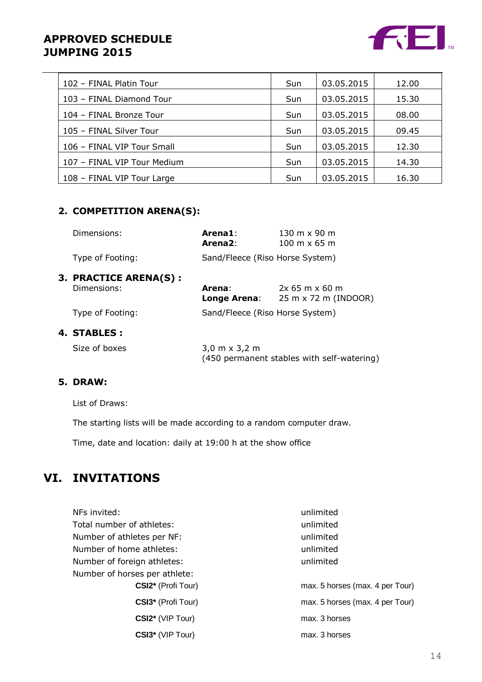

| 102 - FINAL Platin Tour     | <b>Sun</b> | 03.05.2015 | 12.00 |
|-----------------------------|------------|------------|-------|
| 103 - FINAL Diamond Tour    | <b>Sun</b> | 03.05.2015 | 15.30 |
| 104 - FINAL Bronze Tour     | <b>Sun</b> | 03.05.2015 | 08.00 |
| 105 - FINAL Silver Tour     | <b>Sun</b> | 03.05.2015 | 09.45 |
| 106 - FINAL VIP Tour Small  | <b>Sun</b> | 03.05.2015 | 12.30 |
| 107 - FINAL VIP Tour Medium | <b>Sun</b> | 03.05.2015 | 14.30 |
| 108 - FINAL VIP Tour Large  | Sun        | 03.05.2015 | 16.30 |

## **2. COMPETITION ARENA(S):**

| Dimensions:                                 | Arena1:<br>Arena <sub>2:</sub>       | $130 \text{ m} \times 90 \text{ m}$<br>$100 \text{ m} \times 65 \text{ m}$ |
|---------------------------------------------|--------------------------------------|----------------------------------------------------------------------------|
| Type of Footing:                            | Sand/Fleece (Riso Horse System)      |                                                                            |
| <b>3. PRACTICE ARENA(S):</b><br>Dimensions: | Arena:<br>Longe Arena:               | $2x$ 65 m x 60 m<br>25 m x 72 m (INDOOR)                                   |
| Type of Footing:                            | Sand/Fleece (Riso Horse System)      |                                                                            |
| 4. STABLES :                                |                                      |                                                                            |
| Size of boxes                               | $3,0 \text{ m} \times 3,2 \text{ m}$ | (450 permanent stables with self-watering)                                 |

### **5. DRAW:**

List of Draws:

The starting lists will be made according to a random computer draw.

Time, date and location: daily at 19:00 h at the show office

## **VI. INVITATIONS**

| NFs invited:                  | unlimited                       |
|-------------------------------|---------------------------------|
| Total number of athletes:     | unlimited                       |
| Number of athletes per NF:    | unlimited                       |
| Number of home athletes:      | unlimited                       |
| Number of foreign athletes:   | unlimited                       |
| Number of horses per athlete: |                                 |
| CSI2* (Profi Tour)            | max. 5 horses (max. 4 per Tour) |
| CSI3* (Profi Tour)            | max. 5 horses (max. 4 per Tour) |
| CSI2* (VIP Tour)              | max. 3 horses                   |
| CSI3* (VIP Tour)              | max. 3 horses                   |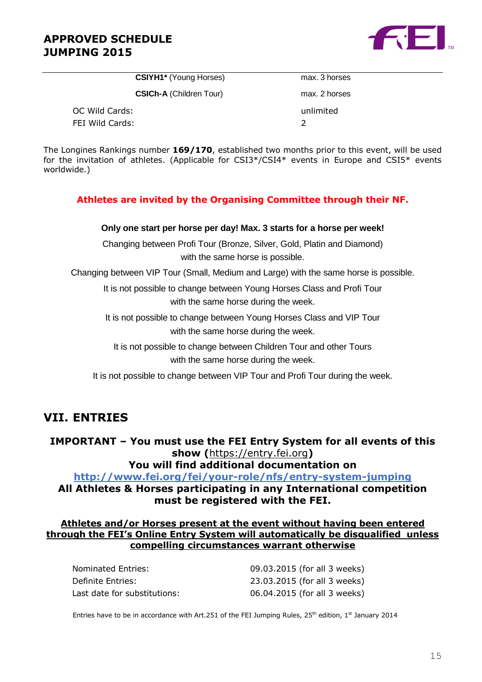

| <b>CSIYH1*</b> (Young Horses)  | max. 3 hors |
|--------------------------------|-------------|
| <b>CSICh-A (Children Tour)</b> | max. 2 hors |
| OC Wild Cards:                 | unlimited   |

max. 3 horses max. 2 horses FEI Wild Cards: 2

The Longines Rankings number **169/170**, established two months prior to this event, will be used for the invitation of athletes. (Applicable for CSI3\*/CSI4\* events in Europe and CSI5\* events worldwide.)

#### **Athletes are invited by the Organising Committee through their NF.**

#### **Only one start per horse per day! Max. 3 starts for a horse per week!**

Changing between Profi Tour (Bronze, Silver, Gold, Platin and Diamond) with the same horse is possible.

Changing between VIP Tour (Small, Medium and Large) with the same horse is possible.

It is not possible to change between Young Horses Class and Profi Tour with the same horse during the week.

It is not possible to change between Young Horses Class and VIP Tour with the same horse during the week.

It is not possible to change between Children Tour and other Tours with the same horse during the week.

It is not possible to change between VIP Tour and Profi Tour during the week.

## **VII. ENTRIES**

**IMPORTANT – You must use the FEI Entry System for all events of this show (**[https://entry.fei.org](https://entry.fei.org/)**)**

**You will find additional documentation on**

**[http://www.fei.org/fei/your-role/nfs/entry-system-j](http://www.fei.org/fei/your-role/nfs/entry-system-endurance)umping All Athletes & Horses participating in any International competition must be registered with the FEI.**

#### **Athletes and/or Horses present at the event without having been entered through the FEI's Online Entry System will automatically be disqualified unless compelling circumstances warrant otherwise**

| Nominated Entries:           | 09.03.2015 (for all 3 weeks) |
|------------------------------|------------------------------|
| Definite Entries:            | 23.03.2015 (for all 3 weeks) |
| Last date for substitutions: | 06.04.2015 (for all 3 weeks) |

Entries have to be in accordance with Art.251 of the FEI Jumping Rules, 25<sup>th</sup> edition, 1<sup>st</sup> January 2014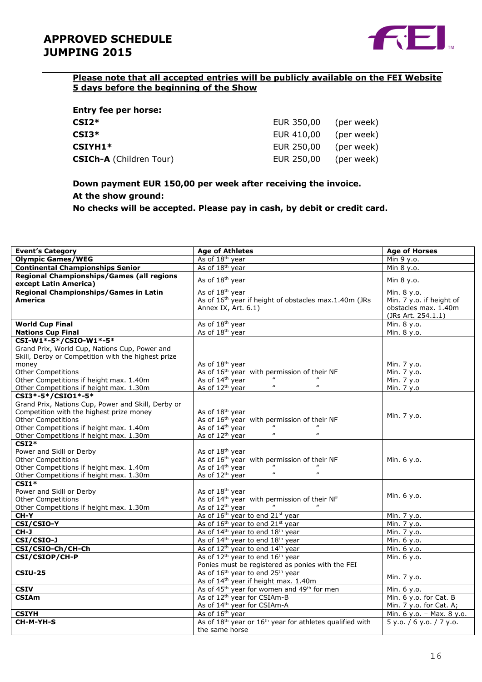

### **Please note that all accepted entries will be publicly available on the FEI Website 5 days before the beginning of the Show**

| <b>Entry fee per horse:</b>    |            |            |
|--------------------------------|------------|------------|
| $CSI2*$                        | EUR 350,00 | (per week) |
| $CSI3*$                        | EUR 410,00 | (per week) |
| $CSIYH1*$                      | EUR 250,00 | (per week) |
| <b>CSICh-A</b> (Children Tour) | EUR 250,00 | (per week) |

## **Down payment EUR 150,00 per week after receiving the invoice. At the show ground:**

**No checks will be accepted. Please pay in cash, by debit or credit card.**

| <b>Event's Category</b>                            | <b>Age of Athletes</b>                                                           | <b>Age of Horses</b>      |
|----------------------------------------------------|----------------------------------------------------------------------------------|---------------------------|
| <b>Olympic Games/WEG</b>                           | As of 18 <sup>th</sup> year                                                      | Min 9 y.o.                |
| <b>Continental Championships Senior</b>            | As of 18 <sup>th</sup> year                                                      | Min 8 y.o.                |
| Regional Championships/Games (all regions          |                                                                                  |                           |
| except Latin America)                              | As of 18 <sup>th</sup> year                                                      | Min 8 y.o.                |
| Regional Championships/Games in Latin              | As of 18 <sup>th</sup> year                                                      | Min. 8 y.o.               |
| <b>America</b>                                     | As of 16 <sup>th</sup> year if height of obstacles max.1.40m (JRs                | Min. 7 y.o. if height of  |
|                                                    | Annex IX, Art. 6.1)                                                              | obstacles max. 1.40m      |
|                                                    |                                                                                  | (JRs Art. 254.1.1)        |
| <b>World Cup Final</b>                             | As of 18 <sup>th</sup> year                                                      | Min. 8 y.o.               |
| <b>Nations Cup Final</b>                           | As of 18 <sup>th</sup> year                                                      | Min. 8 y.o.               |
| CSI-W1*-5*/CSIO-W1*-5*                             |                                                                                  |                           |
| Grand Prix, World Cup, Nations Cup, Power and      |                                                                                  |                           |
| Skill, Derby or Competition with the highest prize |                                                                                  |                           |
| money                                              | As of 18 <sup>th</sup> year                                                      | Min. 7 y.o.               |
| <b>Other Competitions</b>                          | As of 16 <sup>th</sup> year with permission of their NF                          | Min. 7 y.o.               |
| Other Competitions if height max. 1.40m            | As of 14 <sup>th</sup> year                                                      | Min. 7 y.o                |
| Other Competitions if height max. 1.30m            | $\boldsymbol{u}$<br>$\boldsymbol{\mathcal{U}}$<br>As of 12 <sup>th</sup> year    | Min. 7 y.o                |
| CSI3*-5*/CSI01*-5*                                 |                                                                                  |                           |
| Grand Prix, Nations Cup, Power and Skill, Derby or |                                                                                  |                           |
| Competition with the highest prize money           | As of 18 <sup>th</sup> year                                                      |                           |
| <b>Other Competitions</b>                          | As of 16 <sup>th</sup> year with permission of their NF                          | Min. 7 y.o.               |
| Other Competitions if height max. 1.40m            | As of 14 <sup>th</sup> year                                                      |                           |
| Other Competitions if height max. 1.30m            | $\boldsymbol{\mu}$<br>$\pmb{\mathit{u}}$<br>As of 12 <sup>th</sup> year          |                           |
| $CSI2*$                                            |                                                                                  |                           |
| Power and Skill or Derby                           | As of 18 <sup>th</sup> year                                                      |                           |
| <b>Other Competitions</b>                          | As of $16^{th}$ year with permission of their NF<br>As of $14^{th}$ year "       | Min. 6 y.o.               |
| Other Competitions if height max. 1.40m            |                                                                                  |                           |
| Other Competitions if height max. 1.30m            | $\boldsymbol{\mu}$<br>$\boldsymbol{\mathcal{U}}$<br>As of 12 <sup>th</sup> year  |                           |
| $CSI1*$                                            |                                                                                  |                           |
| Power and Skill or Derby                           | As of 18 <sup>th</sup> year                                                      | Min. 6 y.o.               |
| <b>Other Competitions</b>                          | As of 14 <sup>th</sup> year with permission of their NF                          |                           |
| Other Competitions if height max. 1.30m            | As of 12 <sup>th</sup> year                                                      |                           |
| CH-Y                                               | As of 16 <sup>th</sup> year to end 21 <sup>st</sup> year                         | Min. 7 y.o.               |
| CSI/CSIO-Y                                         | As of 16 <sup>th</sup> year to end 21 <sup>st</sup> year                         | Min. 7 y.o.               |
| CH-J                                               | As of 14 <sup>th</sup> year to end 18 <sup>th</sup> year                         | Min. 7 y.o.               |
| CSI/CSIO-J                                         | As of 14 <sup>th</sup> year to end 18 <sup>th</sup> year                         | Min. 6 y.o.               |
| CSI/CSIO-Ch/CH-Ch                                  | As of 12 <sup>th</sup> year to end 14 <sup>th</sup> year                         | Min. 6 y.o.               |
| CSI/CSIOP/CH-P                                     | As of 12 <sup>th</sup> year to end 16 <sup>th</sup> year                         | Min. 6 y.o.               |
|                                                    | Ponies must be registered as ponies with the FEI                                 |                           |
| <b>CSIU-25</b>                                     | As of 16 <sup>th</sup> year to end 25 <sup>th</sup> year                         | Min. 7 y.o.               |
|                                                    | As of 14 <sup>th</sup> year if height max. 1.40m                                 |                           |
| <b>CSIV</b>                                        | As of 45 <sup>th</sup> year for women and 49 <sup>th</sup> for men               | Min. 6 y.o.               |
| <b>CSIAm</b>                                       | As of 12 <sup>th</sup> year for CSIAm-B                                          | Min. 6 y.o. for Cat. B    |
|                                                    | As of 14 <sup>th</sup> year for CSIAm-A                                          | Min. 7 y.o. for Cat. A;   |
| <b>CSIYH</b>                                       | As of 16 <sup>th</sup> year                                                      | Min. 6 y.o. - Max. 8 y.o. |
| CH-M-YH-S                                          | As of 18 <sup>th</sup> year or 16 <sup>th</sup> year for athletes qualified with | 5 y.o. / 6 y.o. / 7 y.o.  |
|                                                    | the same horse                                                                   |                           |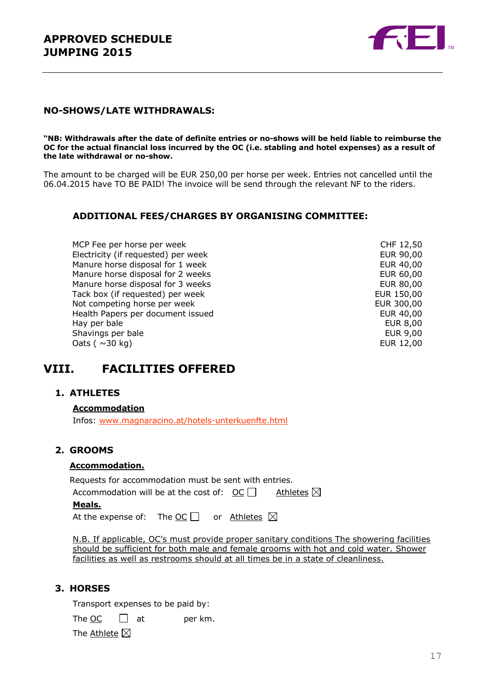

#### **NO-SHOWS/LATE WITHDRAWALS:**

**"NB: Withdrawals after the date of definite entries or no-shows will be held liable to reimburse the OC for the actual financial loss incurred by the OC (i.e. stabling and hotel expenses) as a result of the late withdrawal or no-show.**

The amount to be charged will be EUR 250,00 per horse per week. Entries not cancelled until the 06.04.2015 have TO BE PAID! The invoice will be send through the relevant NF to the riders.

#### **ADDITIONAL FEES/CHARGES BY ORGANISING COMMITTEE:**

MCP Fee per horse per week CHF 12,50 Electricity (if requested) per week EUR 90,00<br>
Manure horse disposal for 1 week EUR 40,00 Manure horse disposal for 1 week Manure horse disposal for 2 weeks EUR 60,00 Manure horse disposal for 3 weeks EUR 80,00 Tack box (if requested) per week EUR 150,00 Not competing horse per week example and the example of the EUR 300,00 Health Papers per document issued<br>Hay per bale EUR 8,00 Hay per bale<br>
Shavings per bale<br>
Shavings per bale<br>
EUR 9,00 Shavings per bale  $\alpha$ dats ( $\sim$ 30 kg) EUR 12,00

## **VIII. FACILITIES OFFERED**

#### **1. ATHLETES**

**Accommodation** Infos: [www.magnaracino.at/hotels-unterkuenfte.html](http://www.magnaracino.at/hotels-unterkuenfte.html)

#### **2. GROOMS**

#### **Accommodation.**

| Meals.                                                |  |                      |  |  |
|-------------------------------------------------------|--|----------------------|--|--|
| Accommodation will be at the cost of: $OC \Box$       |  | Athletes $\boxtimes$ |  |  |
| Requests for accommodation must be sent with entries. |  |                      |  |  |

| At the expense of: The $\underline{OC}$ |  |  | or <u>Athletes</u> $\boxtimes$ |  |
|-----------------------------------------|--|--|--------------------------------|--|
|-----------------------------------------|--|--|--------------------------------|--|

N.B. If applicable, OC's must provide proper sanitary conditions The showering facilities should be sufficient for both male and female grooms with hot and cold water. Shower facilities as well as restrooms should at all times be in a state of cleanliness.

#### **3. HORSES**

Transport expenses to be paid by:

The OC  $\Box$  at per km.

The Athlete  $\boxtimes$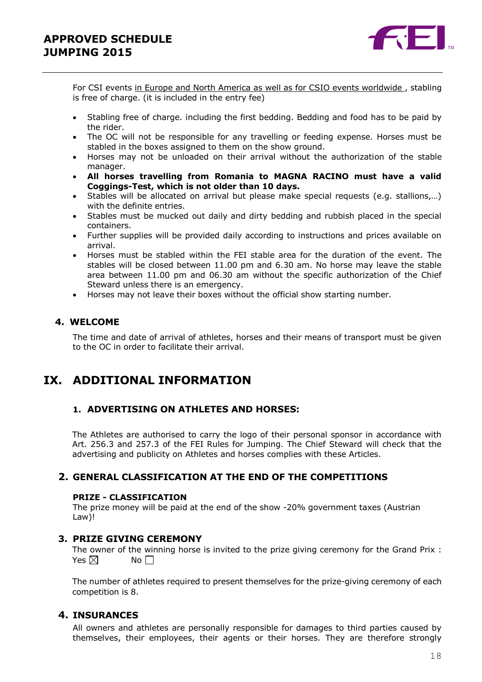

For CSI events in Europe and North America as well as for CSIO events worldwide , stabling is free of charge. (it is included in the entry fee)

- Stabling free of charge. including the first bedding. Bedding and food has to be paid by the rider.
- The OC will not be responsible for any travelling or feeding expense. Horses must be stabled in the boxes assigned to them on the show ground.
- Horses may not be unloaded on their arrival without the authorization of the stable manager.
- **All horses travelling from Romania to MAGNA RACINO must have a valid Coggings-Test, which is not older than 10 days.**
- Stables will be allocated on arrival but please make special requests (e.g. stallions,…) with the definite entries.
- Stables must be mucked out daily and dirty bedding and rubbish placed in the special containers.
- Further supplies will be provided daily according to instructions and prices available on arrival.
- Horses must be stabled within the FEI stable area for the duration of the event. The stables will be closed between 11.00 pm and 6.30 am. No horse may leave the stable area between 11.00 pm and 06.30 am without the specific authorization of the Chief Steward unless there is an emergency.
- Horses may not leave their boxes without the official show starting number.

#### **4. WELCOME**

The time and date of arrival of athletes, horses and their means of transport must be given to the OC in order to facilitate their arrival.

## **IX. ADDITIONAL INFORMATION**

#### **1. ADVERTISING ON ATHLETES AND HORSES:**

The Athletes are authorised to carry the logo of their personal sponsor in accordance with Art. 256.3 and 257.3 of the FEI Rules for Jumping. The Chief Steward will check that the advertising and publicity on Athletes and horses complies with these Articles.

#### **2. GENERAL CLASSIFICATION AT THE END OF THE COMPETITIONS**

#### **PRIZE - CLASSIFICATION**

The prize money will be paid at the end of the show -20% government taxes (Austrian Law)!

#### **3. PRIZE GIVING CEREMONY**

The owner of the winning horse is invited to the prize giving ceremony for the Grand Prix : Yes  $\boxtimes$  No  $\Box$ 

The number of athletes required to present themselves for the prize-giving ceremony of each competition is 8.

#### **4. INSURANCES**

All owners and athletes are personally responsible for damages to third parties caused by themselves, their employees, their agents or their horses. They are therefore strongly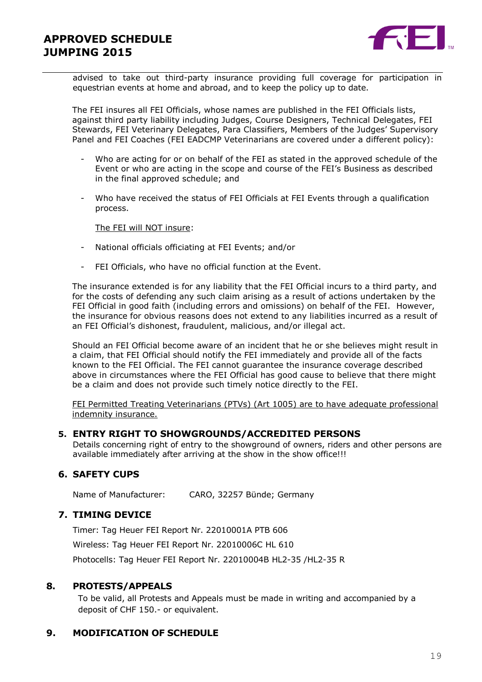

advised to take out third-party insurance providing full coverage for participation in equestrian events at home and abroad, and to keep the policy up to date.

The FEI insures all FEI Officials, whose names are published in the FEI Officials lists, against third party liability including Judges, Course Designers, Technical Delegates, FEI Stewards, FEI Veterinary Delegates, Para Classifiers, Members of the Judges' Supervisory Panel and FEI Coaches (FEI EADCMP Veterinarians are covered under a different policy):

- Who are acting for or on behalf of the FEI as stated in the approved schedule of the Event or who are acting in the scope and course of the FEI's Business as described in the final approved schedule; and
- Who have received the status of FEI Officials at FEI Events through a qualification process.

#### The FEI will NOT insure:

- National officials officiating at FEI Events; and/or
- FEI Officials, who have no official function at the Event.

The insurance extended is for any liability that the FEI Official incurs to a third party, and for the costs of defending any such claim arising as a result of actions undertaken by the FEI Official in good faith (including errors and omissions) on behalf of the FEI. However, the insurance for obvious reasons does not extend to any liabilities incurred as a result of an FEI Official's dishonest, fraudulent, malicious, and/or illegal act.

Should an FEI Official become aware of an incident that he or she believes might result in a claim, that FEI Official should notify the FEI immediately and provide all of the facts known to the FEI Official. The FEI cannot guarantee the insurance coverage described above in circumstances where the FEI Official has good cause to believe that there might be a claim and does not provide such timely notice directly to the FEI.

FEI Permitted Treating Veterinarians (PTVs) (Art 1005) are to have adequate professional indemnity insurance.

#### **5. ENTRY RIGHT TO SHOWGROUNDS/ACCREDITED PERSONS**

Details concerning right of entry to the showground of owners, riders and other persons are available immediately after arriving at the show in the show office!!!

#### **6. SAFETY CUPS**

Name of Manufacturer: CARO, 32257 Bünde; Germany

#### **7. TIMING DEVICE**

Timer: Tag Heuer FEI Report Nr. 22010001A PTB 606 Wireless: Tag Heuer FEI Report Nr. 22010006C HL 610 Photocells: Tag Heuer FEI Report Nr. 22010004B HL2-35 /HL2-35 R

#### **8. PROTESTS/APPEALS**

To be valid, all Protests and Appeals must be made in writing and accompanied by a deposit of CHF 150.- or equivalent.

#### **9. MODIFICATION OF SCHEDULE**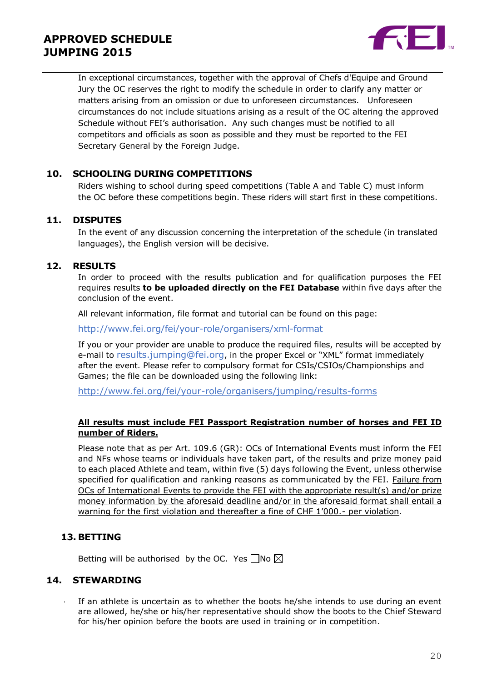

In exceptional circumstances, together with the approval of Chefs d'Equipe and Ground Jury the OC reserves the right to modify the schedule in order to clarify any matter or matters arising from an omission or due to unforeseen circumstances. Unforeseen circumstances do not include situations arising as a result of the OC altering the approved Schedule without FEI's authorisation. Any such changes must be notified to all competitors and officials as soon as possible and they must be reported to the FEI Secretary General by the Foreign Judge.

#### **10. SCHOOLING DURING COMPETITIONS**

Riders wishing to school during speed competitions (Table A and Table C) must inform the OC before these competitions begin. These riders will start first in these competitions.

#### **11. DISPUTES**

In the event of any discussion concerning the interpretation of the schedule (in translated languages), the English version will be decisive.

#### **12. RESULTS**

In order to proceed with the results publication and for qualification purposes the FEI requires results **to be uploaded directly on the FEI Database** within five days after the conclusion of the event.

All relevant information, file format and tutorial can be found on this page:

<http://www.fei.org/fei/your-role/organisers/xml-format>

If you or your provider are unable to produce the required files, results will be accepted by e-mail to [results.jumping@fei.org](mailto:results.jumping@fei.org), in the proper Excel or "XML" format immediately after the event. Please refer to compulsory format for CSIs/CSIOs/Championships and Games; the file can be downloaded using the following link:

<http://www.fei.org/fei/your-role/organisers/jumping/results-forms>

#### **All results must include FEI Passport Registration number of horses and FEI ID number of Riders.**

Please note that as per Art. 109.6 (GR): OCs of International Events must inform the FEI and NFs whose teams or individuals have taken part, of the results and prize money paid to each placed Athlete and team, within five (5) days following the Event, unless otherwise specified for qualification and ranking reasons as communicated by the FEI. Failure from OCs of International Events to provide the FEI with the appropriate result(s) and/or prize money information by the aforesaid deadline and/or in the aforesaid format shall entail a warning for the first violation and thereafter a fine of CHF 1'000.- per violation.

#### **13. BETTING**

Betting will be authorised by the OC. Yes  $\Box$ No  $\boxtimes$ 

#### **14. STEWARDING**

If an athlete is uncertain as to whether the boots he/she intends to use during an event are allowed, he/she or his/her representative should show the boots to the Chief Steward for his/her opinion before the boots are used in training or in competition.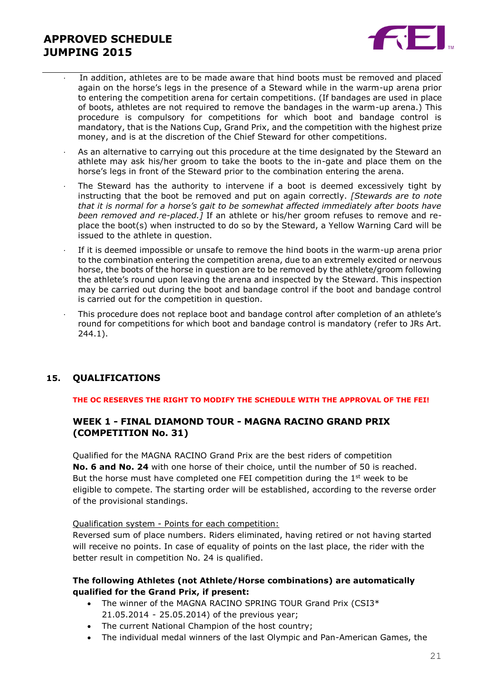

- In addition, athletes are to be made aware that hind boots must be removed and placed again on the horse's legs in the presence of a Steward while in the warm-up arena prior to entering the competition arena for certain competitions. (If bandages are used in place of boots, athletes are not required to remove the bandages in the warm-up arena.) This procedure is compulsory for competitions for which boot and bandage control is mandatory, that is the Nations Cup, Grand Prix, and the competition with the highest prize money, and is at the discretion of the Chief Steward for other competitions.
- As an alternative to carrying out this procedure at the time designated by the Steward an athlete may ask his/her groom to take the boots to the in-gate and place them on the horse's legs in front of the Steward prior to the combination entering the arena.
- The Steward has the authority to intervene if a boot is deemed excessively tight by instructing that the boot be removed and put on again correctly. *[Stewards are to note that it is normal for a horse's gait to be somewhat affected immediately after boots have been removed and re-placed.]* If an athlete or his/her groom refuses to remove and replace the boot(s) when instructed to do so by the Steward, a Yellow Warning Card will be issued to the athlete in question.
- If it is deemed impossible or unsafe to remove the hind boots in the warm-up arena prior to the combination entering the competition arena, due to an extremely excited or nervous horse, the boots of the horse in question are to be removed by the athlete/groom following the athlete's round upon leaving the arena and inspected by the Steward. This inspection may be carried out during the boot and bandage control if the boot and bandage control is carried out for the competition in question.
- This procedure does not replace boot and bandage control after completion of an athlete's round for competitions for which boot and bandage control is mandatory (refer to JRs Art. 244.1).

#### **15. QUALIFICATIONS**

#### **THE OC RESERVES THE RIGHT TO MODIFY THE SCHEDULE WITH THE APPROVAL OF THE FEI!**

#### **WEEK 1 - FINAL DIAMOND TOUR - MAGNA RACINO GRAND PRIX (COMPETITION No. 31)**

Qualified for the MAGNA RACINO Grand Prix are the best riders of competition **No. 6 and No. 24** with one horse of their choice, until the number of 50 is reached. But the horse must have completed one FEI competition during the  $1<sup>st</sup>$  week to be eligible to compete. The starting order will be established, according to the reverse order of the provisional standings.

#### Qualification system - Points for each competition:

Reversed sum of place numbers. Riders eliminated, having retired or not having started will receive no points. In case of equality of points on the last place, the rider with the better result in competition No. 24 is qualified.

#### **The following Athletes (not Athlete/Horse combinations) are automatically qualified for the Grand Prix, if present:**

- The winner of the MAGNA RACINO SPRING TOUR Grand Prix (CSI3\* 21.05.2014 - 25.05.2014) of the previous year;
- The current National Champion of the host country;
- The individual medal winners of the last Olympic and Pan-American Games, the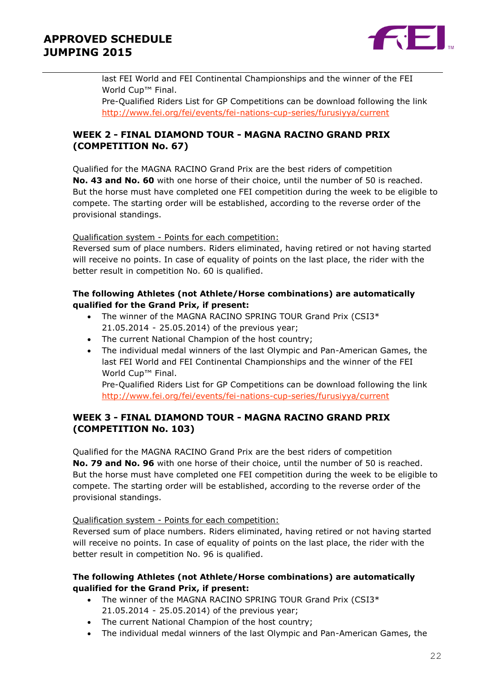

last FEI World and FEI Continental Championships and the winner of the FEI World Cup<sup>™</sup> Final. Pre-Qualified Riders List for GP Competitions can be download following the link <http://www.fei.org/fei/events/fei-nations-cup-series/furusiyya/current>

### **WEEK 2 - FINAL DIAMOND TOUR - MAGNA RACINO GRAND PRIX (COMPETITION No. 67)**

Qualified for the MAGNA RACINO Grand Prix are the best riders of competition **No. 43 and No. 60** with one horse of their choice, until the number of 50 is reached. But the horse must have completed one FEI competition during the week to be eligible to compete. The starting order will be established, according to the reverse order of the provisional standings.

Qualification system - Points for each competition:

Reversed sum of place numbers. Riders eliminated, having retired or not having started will receive no points. In case of equality of points on the last place, the rider with the better result in competition No. 60 is qualified.

#### **The following Athletes (not Athlete/Horse combinations) are automatically qualified for the Grand Prix, if present:**

- The winner of the MAGNA RACINO SPRING TOUR Grand Prix (CSI3\* 21.05.2014 - 25.05.2014) of the previous year;
- The current National Champion of the host country;
- The individual medal winners of the last Olympic and Pan-American Games, the last FEI World and FEI Continental Championships and the winner of the FEI World Cup<sup>™</sup> Final.

Pre-Qualified Riders List for GP Competitions can be download following the link <http://www.fei.org/fei/events/fei-nations-cup-series/furusiyya/current>

### **WEEK 3 - FINAL DIAMOND TOUR - MAGNA RACINO GRAND PRIX (COMPETITION No. 103)**

Qualified for the MAGNA RACINO Grand Prix are the best riders of competition **No. 79 and No. 96** with one horse of their choice, until the number of 50 is reached. But the horse must have completed one FEI competition during the week to be eligible to compete. The starting order will be established, according to the reverse order of the provisional standings.

#### Qualification system - Points for each competition:

Reversed sum of place numbers. Riders eliminated, having retired or not having started will receive no points. In case of equality of points on the last place, the rider with the better result in competition No. 96 is qualified.

#### **The following Athletes (not Athlete/Horse combinations) are automatically qualified for the Grand Prix, if present:**

- The winner of the MAGNA RACINO SPRING TOUR Grand Prix (CSI3\* 21.05.2014 - 25.05.2014) of the previous year;
- The current National Champion of the host country;
- The individual medal winners of the last Olympic and Pan-American Games, the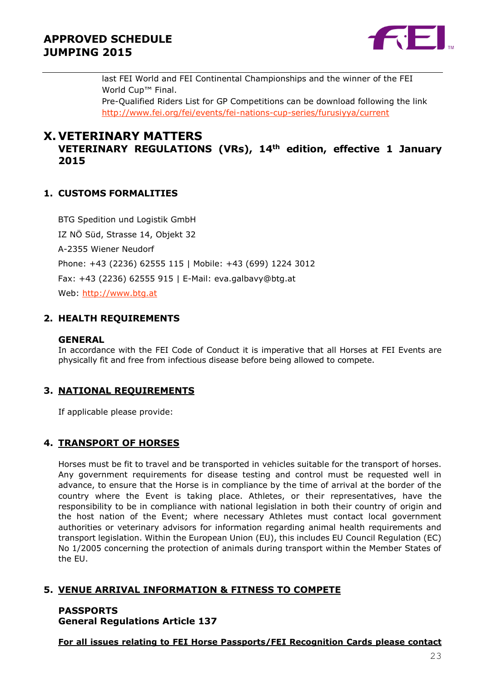

last FEI World and FEI Continental Championships and the winner of the FEI World Cup<sup>™</sup> Final. Pre-Qualified Riders List for GP Competitions can be download following the link <http://www.fei.org/fei/events/fei-nations-cup-series/furusiyya/current>

## **X. VETERINARY MATTERS**

**VETERINARY REGULATIONS (VRs), 14th edition, effective 1 January 2015**

### **1. CUSTOMS FORMALITIES**

BTG Spedition und Logistik GmbH IZ NÖ Süd, Strasse 14, Objekt 32 A-2355 Wiener Neudorf Phone: +43 (2236) 62555 115 | Mobile: +43 (699) 1224 3012 Fax: +43 (2236) 62555 915 | E-Mail: eva.galbavy@btg.at Web: [http://www.btg.at](http://www.btg.at/)

### **2. HEALTH REQUIREMENTS**

#### **GENERAL**

In accordance with the FEI Code of Conduct it is imperative that all Horses at FEI Events are physically fit and free from infectious disease before being allowed to compete.

#### **3. NATIONAL REQUIREMENTS**

If applicable please provide:

#### **4. TRANSPORT OF HORSES**

Horses must be fit to travel and be transported in vehicles suitable for the transport of horses. Any government requirements for disease testing and control must be requested well in advance, to ensure that the Horse is in compliance by the time of arrival at the border of the country where the Event is taking place. Athletes, or their representatives, have the responsibility to be in compliance with national legislation in both their country of origin and the host nation of the Event; where necessary Athletes must contact local government authorities or veterinary advisors for information regarding animal health requirements and transport legislation. Within the European Union (EU), this includes EU Council Regulation (EC) No 1/2005 concerning the protection of animals during transport within the Member States of the EU.

#### **5. VENUE ARRIVAL INFORMATION & FITNESS TO COMPETE**

### **PASSPORTS General Regulations Article 137**

**For all issues relating to FEI Horse Passports/FEI Recognition Cards please contact**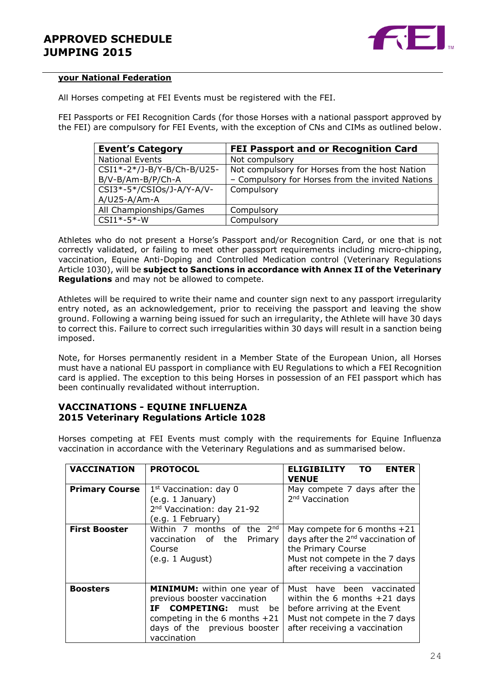

#### **your National Federation**

All Horses competing at FEI Events must be registered with the FEI.

FEI Passports or FEI Recognition Cards (for those Horses with a national passport approved by the FEI) are compulsory for FEI Events, with the exception of CNs and CIMs as outlined below.

| <b>Event's Category</b>                         | FEI Passport and or Recognition Card                                                               |
|-------------------------------------------------|----------------------------------------------------------------------------------------------------|
| <b>National Events</b>                          | Not compulsory                                                                                     |
| CSI1*-2*/J-B/Y-B/Ch-B/U25-<br>B/V-B/Am-B/P/Ch-A | Not compulsory for Horses from the host Nation<br>- Compulsory for Horses from the invited Nations |
| CSI3*-5*/CSIOs/J-A/Y-A/V-<br>$A/U25 - A/Am-A$   | Compulsory                                                                                         |
| All Championships/Games                         | Compulsory                                                                                         |
| $CSI1*-5*-W$                                    | Compulsory                                                                                         |

Athletes who do not present a Horse's Passport and/or Recognition Card, or one that is not correctly validated, or failing to meet other passport requirements including micro-chipping, vaccination, Equine Anti-Doping and Controlled Medication control (Veterinary Regulations Article 1030), will be **subject to Sanctions in accordance with Annex II of the Veterinary Regulations** and may not be allowed to compete.

Athletes will be required to write their name and counter sign next to any passport irregularity entry noted, as an acknowledgement, prior to receiving the passport and leaving the show ground. Following a warning being issued for such an irregularity, the Athlete will have 30 days to correct this. Failure to correct such irregularities within 30 days will result in a sanction being imposed.

Note, for Horses permanently resident in a Member State of the European Union, all Horses must have a national EU passport in compliance with EU Regulations to which a FEI Recognition card is applied. The exception to this being Horses in possession of an FEI passport which has been continually revalidated without interruption.

#### **VACCINATIONS - EQUINE INFLUENZA 2015 Veterinary Regulations Article 1028**

Horses competing at FEI Events must comply with the requirements for Equine Influenza vaccination in accordance with the Veterinary Regulations and as summarised below.

| <b>VACCINATION</b>    | <b>PROTOCOL</b>                                                                                                                                                                      | <b>ELIGIBILITY</b><br>то<br><b>ENTER</b><br>VENUE                                                                                                                        |
|-----------------------|--------------------------------------------------------------------------------------------------------------------------------------------------------------------------------------|--------------------------------------------------------------------------------------------------------------------------------------------------------------------------|
| <b>Primary Course</b> | $1st$ Vaccination: day 0<br>(e.g. 1 January)<br>2 <sup>nd</sup> Vaccination: day 21-92<br>(e.g. 1 February)                                                                          | May compete 7 days after the<br>2 <sup>nd</sup> Vaccination                                                                                                              |
| <b>First Booster</b>  | Within 7 months of the 2nd<br>vaccination of the<br>Primary<br>Course<br>(e.g. 1 August)                                                                                             | May compete for 6 months $+21$<br>days after the 2 <sup>nd</sup> vaccination of<br>the Primary Course<br>Must not compete in the 7 days<br>after receiving a vaccination |
| <b>Boosters</b>       | MINIMUM: within one year of<br>previous booster vaccination<br><b>COMPETING:</b><br>IF.<br>must be<br>competing in the 6 months $+21$<br>days of the previous booster<br>vaccination | Must have been vaccinated<br>within the 6 months $+21$ days<br>before arriving at the Event<br>Must not compete in the 7 days<br>after receiving a vaccination           |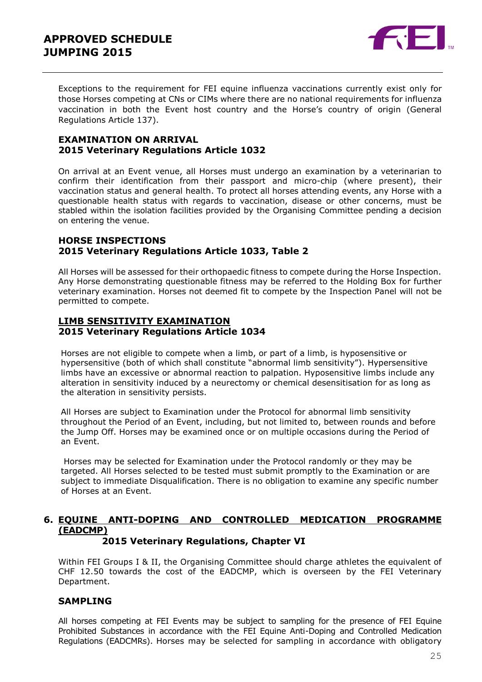

Exceptions to the requirement for FEI equine influenza vaccinations currently exist only for those Horses competing at CNs or CIMs where there are no national requirements for influenza vaccination in both the Event host country and the Horse's country of origin (General Regulations Article 137).

#### **EXAMINATION ON ARRIVAL 2015 Veterinary Regulations Article 1032**

On arrival at an Event venue, all Horses must undergo an examination by a veterinarian to confirm their identification from their passport and micro-chip (where present), their vaccination status and general health. To protect all horses attending events, any Horse with a questionable health status with regards to vaccination, disease or other concerns, must be stabled within the isolation facilities provided by the Organising Committee pending a decision on entering the venue.

#### **HORSE INSPECTIONS 2015 Veterinary Regulations Article 1033, Table 2**

All Horses will be assessed for their orthopaedic fitness to compete during the Horse Inspection. Any Horse demonstrating questionable fitness may be referred to the Holding Box for further veterinary examination. Horses not deemed fit to compete by the Inspection Panel will not be permitted to compete.

#### **LIMB SENSITIVITY EXAMINATION 2015 Veterinary Regulations Article 1034**

Horses are not eligible to compete when a limb, or part of a limb, is hyposensitive or hypersensitive (both of which shall constitute "abnormal limb sensitivity"). Hypersensitive limbs have an excessive or abnormal reaction to palpation. Hyposensitive limbs include any alteration in sensitivity induced by a neurectomy or chemical desensitisation for as long as the alteration in sensitivity persists.

All Horses are subject to Examination under the Protocol for abnormal limb sensitivity throughout the Period of an Event, including, but not limited to, between rounds and before the Jump Off. Horses may be examined once or on multiple occasions during the Period of an Event.

Horses may be selected for Examination under the Protocol randomly or they may be targeted. All Horses selected to be tested must submit promptly to the Examination or are subject to immediate Disqualification. There is no obligation to examine any specific number of Horses at an Event.

## **6. EQUINE ANTI-DOPING AND CONTROLLED MEDICATION PROGRAMME (EADCMP)**

#### **2015 Veterinary Regulations, Chapter VI**

Within FEI Groups I & II, the Organising Committee should charge athletes the equivalent of CHF 12.50 towards the cost of the EADCMP, which is overseen by the FEI Veterinary Department.

#### **SAMPLING**

All horses competing at FEI Events may be subject to sampling for the presence of FEI Equine Prohibited Substances in accordance with the FEI Equine Anti-Doping and Controlled Medication Regulations (EADCMRs). Horses may be selected for sampling in accordance with obligatory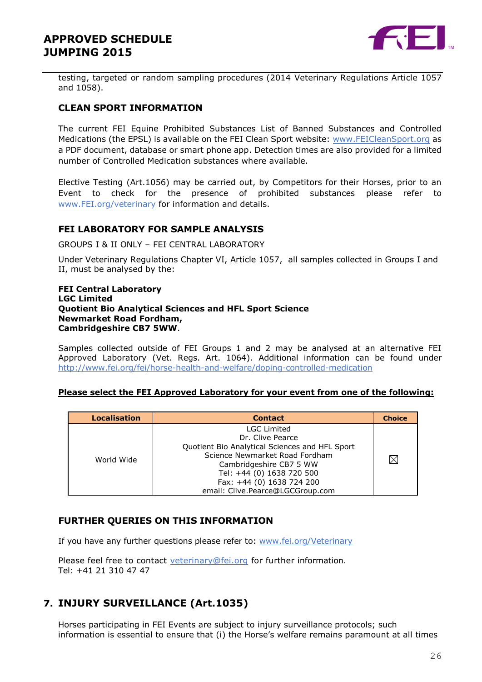

testing, targeted or random sampling procedures (2014 Veterinary Regulations Article 1057 and 1058).

#### **CLEAN SPORT INFORMATION**

The current FEI Equine Prohibited Substances List of Banned Substances and Controlled Medications (the EPSL) is available on the FEI Clean Sport website: [www.FEICleanSport.org](http://www.feicleansport.org/) as a PDF document, database or smart phone app. Detection times are also provided for a limited number of Controlled Medication substances where available.

Elective Testing (Art.1056) may be carried out, by Competitors for their Horses, prior to an Event to check for the presence of prohibited substances please refer to [www.FEI.org/veterinary](http://www.fei.org/veterinary) for information and details.

#### **FEI LABORATORY FOR SAMPLE ANALYSIS**

GROUPS I & II ONLY – FEI CENTRAL LABORATORY

Under Veterinary Regulations Chapter VI, Article 1057, all samples collected in Groups I and II, must be analysed by the:

#### **FEI Central Laboratory LGC Limited Quotient Bio Analytical Sciences and HFL Sport Science Newmarket Road Fordham, Cambridgeshire CB7 5WW**.

Samples collected outside of FEI Groups 1 and 2 may be analysed at an alternative FEI Approved Laboratory (Vet. Regs. Art. 1064). Additional information can be found under <http://www.fei.org/fei/horse-health-and-welfare/doping-controlled-medication>

#### **Please select the FEI Approved Laboratory for your event from one of the following:**

| <b>Localisation</b> | <b>Contact</b>                                                                                                                                                                                                  | <b>Choice</b> |
|---------------------|-----------------------------------------------------------------------------------------------------------------------------------------------------------------------------------------------------------------|---------------|
| World Wide          | <b>LGC Limited</b><br>Dr. Clive Pearce<br>Quotient Bio Analytical Sciences and HFL Sport<br>Science Newmarket Road Fordham<br>Cambridgeshire CB7 5 WW<br>Tel: +44 (0) 1638 720 500<br>Fax: +44 (0) 1638 724 200 | $\times$      |
|                     | email: Clive.Pearce@LGCGroup.com                                                                                                                                                                                |               |

#### **FURTHER QUERIES ON THIS INFORMATION**

If you have any further questions please refer to: [www.fei.org/Veterinary](file:///C:/Users/mzo/AppData/Local/Microsoft/VEU/AppData/Local/Microsoft/Windows/Temporary%20Internet%20Files/Content.Outlook/1W63BF58/www.fei.org/Veterinary)

Please feel free to contact veterinary@fei.org for further information. Tel: +41 21 310 47 47

### **7. INJURY SURVEILLANCE (Art.1035)**

Horses participating in FEI Events are subject to injury surveillance protocols; such information is essential to ensure that (i) the Horse's welfare remains paramount at all times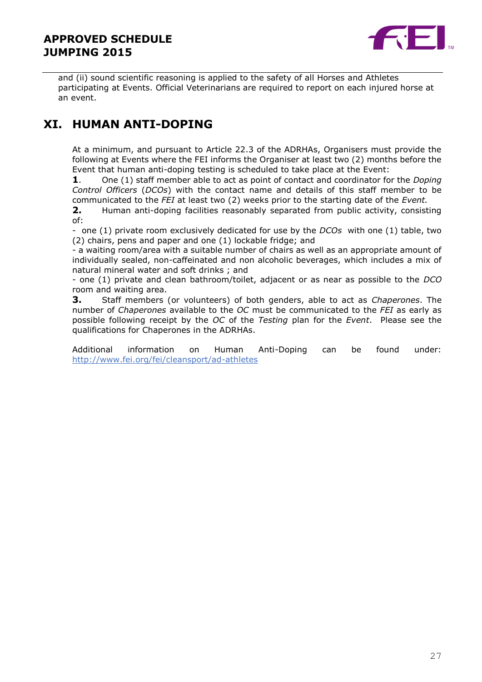

and (ii) sound scientific reasoning is applied to the safety of all Horses and Athletes participating at Events. Official Veterinarians are required to report on each injured horse at an event.

## **XI. HUMAN ANTI-DOPING**

At a minimum, and pursuant to Article 22.3 of the ADRHAs, Organisers must provide the following at Events where the FEI informs the Organiser at least two (2) months before the Event that human anti-doping testing is scheduled to take place at the Event:

**1**. One (1) staff member able to act as point of contact and coordinator for the *Doping Control Officers* (*DCOs*) with the contact name and details of this staff member to be communicated to the *FEI* at least two (2) weeks prior to the starting date of the *Event.*

**2.** Human anti-doping facilities reasonably separated from public activity, consisting of:

- one (1) private room exclusively dedicated for use by the *DCOs* with one (1) table, two (2) chairs, pens and paper and one (1) lockable fridge; and

- a waiting room/area with a suitable number of chairs as well as an appropriate amount of individually sealed, non-caffeinated and non alcoholic beverages, which includes a mix of natural mineral water and soft drinks ; and

- one (1) private and clean bathroom/toilet, adjacent or as near as possible to the *DCO* room and waiting area.

**3.** Staff members (or volunteers) of both genders, able to act as *Chaperones*. The number of *Chaperones* available to the *OC* must be communicated to the *FEI* as early as possible following receipt by the *OC* of the *Testing* plan for the *Event*. Please see the qualifications for Chaperones in the ADRHAs.

Additional information on Human Anti-Doping can be found under: <http://www.fei.org/fei/cleansport/ad-athletes>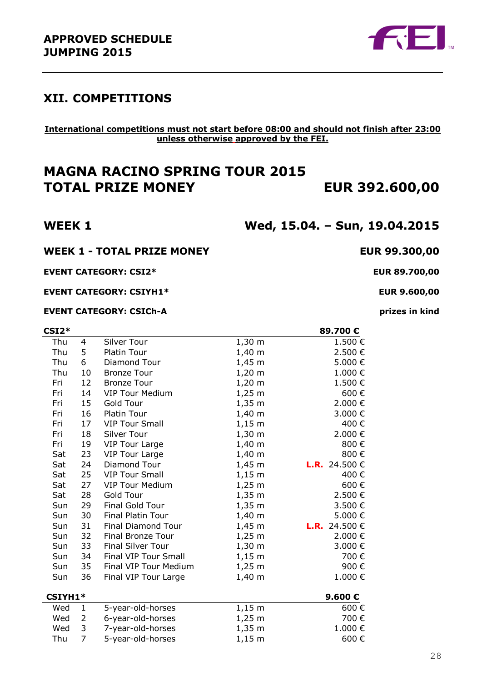

## **XII. COMPETITIONS**

#### **International competitions must not start before 08:00 and should not finish after 23:00 unless otherwise approved by the FEI.**

## **MAGNA RACINO SPRING TOUR 2015 TOTAL PRIZE MONEY EUR 392.600,00**

**WEEK 1 Wed, 15.04. – Sun, 19.04.2015**

#### **WEEK 1 - TOTAL PRIZE MONEY EUR 99.300,00**

**EVENT CATEGORY: CSI2\* EUR 89.700,00**

**EVENT CATEGORY: CSIYH1\* EUR 9.600,00**

#### **EVENT CATEGORY: CSICh-A prizes in kind**

| CSI2*   |                |                          |             | 89.700€              |
|---------|----------------|--------------------------|-------------|----------------------|
| Thu     | 4              | Silver Tour              | $1,30 \; m$ | 1.500€               |
| Thu     | 5              | Platin Tour              | $1,40 \; m$ | 2.500€               |
| Thu     | 6              | Diamond Tour             | $1,45 \; m$ | 5.000€               |
| Thu     | 10             | <b>Bronze Tour</b>       | $1,20 \; m$ | 1.000€               |
| Fri     | 12             | <b>Bronze Tour</b>       | $1,20 \; m$ | 1.500€               |
| Fri     | 14             | <b>VIP Tour Medium</b>   | $1,25 \; m$ | 600€                 |
| Fri     | 15             | Gold Tour                | $1,35 \; m$ | 2.000€               |
| Fri     | 16             | Platin Tour              | $1,40 \; m$ | 3.000€               |
| Fri     | 17             | <b>VIP Tour Small</b>    | $1,15 \; m$ | 400€                 |
| Fri     | 18             | Silver Tour              | $1,30 \; m$ | 2.000€               |
| Fri     | 19             | <b>VIP Tour Large</b>    | $1,40 \; m$ | 800€                 |
| Sat     | 23             | <b>VIP Tour Large</b>    | $1,40 \; m$ | 800€                 |
| Sat     | 24             | Diamond Tour             | $1,45 \; m$ | <b>L.R.</b> 24.500 € |
| Sat     | 25             | <b>VIP Tour Small</b>    | $1,15 \; m$ | 400€                 |
| Sat     | 27             | <b>VIP Tour Medium</b>   | $1,25 \; m$ | 600€                 |
| Sat     | 28             | Gold Tour                | $1,35 \; m$ | 2.500€               |
| Sun     | 29             | Final Gold Tour          | $1,35 \; m$ | 3.500€               |
| Sun     | 30             | Final Platin Tour        | $1,40 \; m$ | 5.000€               |
| Sun     | 31             | Final Diamond Tour       | $1,45 \; m$ | <b>L.R.</b> 24.500 € |
| Sun     | 32             | Final Bronze Tour        | $1,25 \; m$ | 2.000 €              |
| Sun     | 33             | <b>Final Silver Tour</b> | $1,30 \; m$ | 3.000€               |
| Sun     | 34             | Final VIP Tour Small     | $1,15 \; m$ | 700€                 |
| Sun     | 35             | Final VIP Tour Medium    | $1,25 \; m$ | 900€                 |
| Sun     | 36             | Final VIP Tour Large     | $1,40 \; m$ | 1.000€               |
| CSIYH1* |                |                          |             | 9.600€               |
| Wed     | 1              | 5-year-old-horses        | $1,15 \; m$ | 600€                 |
| Wed     | 2              | 6-year-old-horses        | $1,25 \; m$ | 700€                 |
| Wed     | 3              | 7-year-old-horses        | $1,35 \; m$ | 1.000€               |
| Thu     | $\overline{7}$ | 5-year-old-horses        | $1,15 \; m$ | 600€                 |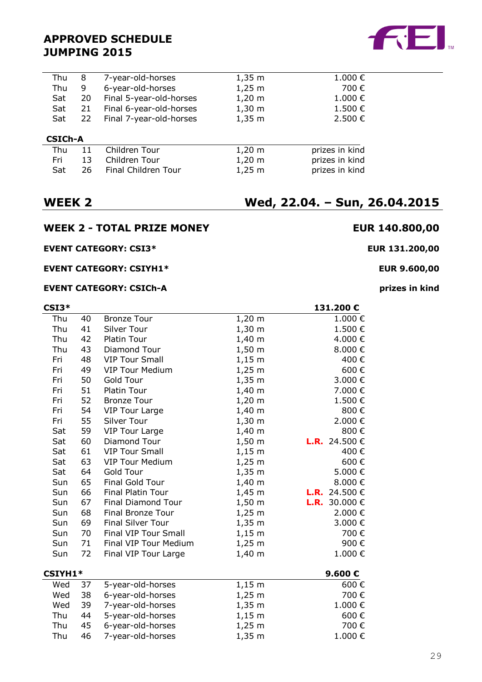| Thu            | 8  | 7-year-old-horses       | $1,35 \; m$ | 1.000€         |
|----------------|----|-------------------------|-------------|----------------|
| Thu            | 9  | 6-year-old-horses       | $1,25 \; m$ | 700 €          |
| Sat            | 20 | Final 5-year-old-horses | $1,20 \; m$ | 1.000€         |
| Sat            | 21 | Final 6-year-old-horses | $1,30 \; m$ | 1.500€         |
| Sat            | 22 | Final 7-year-old-horses | $1,35 \; m$ | 2.500€         |
|                |    |                         |             |                |
| <b>CSICh-A</b> |    |                         |             |                |
| Thu            | 11 | Children Tour           | $1,20 \; m$ | prizes in kind |
| Fri            | 13 | Children Tour           | $1,20 \; m$ | prizes in kind |
| Sat            | 26 | Final Children Tour     | $1,25 \; m$ | prizes in kind |
|                |    |                         |             |                |

## **WEEK 2 - TOTAL PRIZE MONEY EUR 140.800,00**

#### **EVENT CATEGORY: CSI3\* EUR 131.200,00**

#### **EVENT CATEGORY: CSIYH1\* EUR 9.600,00**

#### **EVENT CATEGORY: CSICh-A prizes in kind**

| Thu     | 40 | <b>Bronze Tour</b>        | $1,20 \; m$ | 1.000€               |
|---------|----|---------------------------|-------------|----------------------|
| Thu     | 41 | Silver Tour               | $1,30 \; m$ | 1.500€               |
| Thu     | 42 | Platin Tour               | $1,40 \; m$ | 4.000 €              |
| Thu     | 43 | Diamond Tour              | $1,50 \; m$ | 8.000€               |
| Fri     | 48 | <b>VIP Tour Small</b>     | $1,15 \; m$ | 400€                 |
| Fri     | 49 | <b>VIP Tour Medium</b>    | $1,25 \; m$ | 600€                 |
| Fri     | 50 | Gold Tour                 | $1,35 \; m$ | 3.000 €              |
| Fri     | 51 | Platin Tour               | $1,40 \; m$ | 7.000 €              |
| Fri     | 52 | <b>Bronze Tour</b>        | $1,20 \; m$ | 1.500€               |
| Fri     | 54 | <b>VIP Tour Large</b>     | $1,40 \; m$ | 800€                 |
| Fri     | 55 | Silver Tour               | $1,30 \; m$ | 2.000€               |
| Sat     | 59 | <b>VIP Tour Large</b>     | $1,40 \; m$ | 800€                 |
| Sat     | 60 | Diamond Tour              | $1,50 \; m$ | <b>L.R.</b> 24.500 € |
| Sat     | 61 | <b>VIP Tour Small</b>     | $1,15 \; m$ | 400€                 |
| Sat     | 63 | <b>VIP Tour Medium</b>    | $1,25 \; m$ | 600€                 |
| Sat     | 64 | Gold Tour                 | $1,35 \; m$ | 5.000€               |
| Sun     | 65 | Final Gold Tour           | $1,40 \; m$ | 8.000€               |
| Sun     | 66 | Final Platin Tour         | $1,45 \; m$ | <b>L.R.</b> 24.500 € |
| Sun     | 67 | <b>Final Diamond Tour</b> | $1,50 \; m$ | <b>L.R.</b> 30.000 € |
| Sun     | 68 | Final Bronze Tour         | $1,25 \; m$ | 2.000€               |
| Sun     | 69 | <b>Final Silver Tour</b>  | $1,35 \; m$ | 3.000 €              |
| Sun     | 70 | Final VIP Tour Small      | $1,15 \; m$ | 700€                 |
| Sun     | 71 | Final VIP Tour Medium     | $1,25 \; m$ | 900€                 |
| Sun     | 72 | Final VIP Tour Large      | $1,40 \; m$ | 1.000€               |
| CSIYH1* |    |                           |             | 9.600€               |
| Wed     | 37 | 5-year-old-horses         | $1,15 \; m$ | 600€                 |
| Wed     | 38 | 6-year-old-horses         | $1,25 \; m$ | 700€                 |
| Wed     | 39 | 7-year-old-horses         | $1,35 \; m$ | 1.000€               |
| Thu     | 44 | 5-year-old-horses         | $1,15 \; m$ | 600€                 |
| Thu     | 45 | 6-year-old-horses         | $1,25 \; m$ | 700€                 |
| Thu     | 46 | 7-year-old-horses         | $1,35 \; m$ | 1.000€               |

**CSI3\* 131.200 €**

## **WEEK 2 Wed, 22.04. – Sun, 26.04.2015**

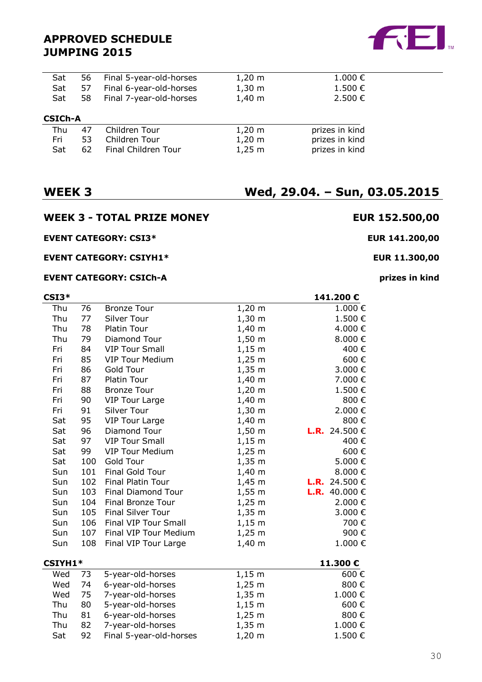| Sat            | 56 | Final 5-year-old-horses | $1,20 \; \mathrm{m}$ | $1.000 \in$    |
|----------------|----|-------------------------|----------------------|----------------|
| Sat            | 57 | Final 6-year-old-horses | $1,30 \; \text{m}$   | 1.500 €        |
| Sat            | 58 | Final 7-year-old-horses | $1,40 \; m$          | 2.500 €        |
| <b>CSICH-A</b> |    |                         |                      |                |
| Thu            | 47 | Children Tour           | $1,20 \; m$          | prizes in kind |
| Fri            | 53 | Children Tour           | $1,20 \; m$          | prizes in kind |

Sat 62 Final Children Tour 1,25 m prizes in kind

## **WEEK 3 - TOTAL PRIZE MONEY EUR 152.500,00**

### **EVENT CATEGORY: CSI3\* EUR 141.200,00**

### **EVENT CATEGORY: CSIYH1\* EUR 11.300,00**

#### **EVENT CATEGORY: CSICh-A prizes in kind**

| CSI3*   |     |                           |             | 141.200€             |
|---------|-----|---------------------------|-------------|----------------------|
| Thu     | 76  | <b>Bronze Tour</b>        | $1,20 \; m$ | 1.000€               |
| Thu     | 77  | Silver Tour               | $1,30 \; m$ | 1.500€               |
| Thu     | 78  | <b>Platin Tour</b>        | $1,40 \; m$ | 4.000€               |
| Thu     | 79  | Diamond Tour              | $1,50 \; m$ | 8.000€               |
| Fri     | 84  | <b>VIP Tour Small</b>     | $1,15 \; m$ | 400€                 |
| Fri     | 85  | <b>VIP Tour Medium</b>    | $1,25 \; m$ | 600€                 |
| Fri     | 86  | Gold Tour                 | $1,35 \; m$ | 3.000 €              |
| Fri     | 87  | <b>Platin Tour</b>        | $1,40 \; m$ | 7.000€               |
| Fri     | 88  | <b>Bronze Tour</b>        | $1,20 \; m$ | 1.500€               |
| Fri     | 90  | <b>VIP Tour Large</b>     | $1,40 \; m$ | 800€                 |
| Fri     | 91  | Silver Tour               | $1,30 \; m$ | 2.000€               |
| Sat     | 95  | <b>VIP Tour Large</b>     | $1,40 \; m$ | 800€                 |
| Sat     | 96  | Diamond Tour              | $1,50 \; m$ | <b>L.R.</b> 24.500 € |
| Sat     | 97  | <b>VIP Tour Small</b>     | $1,15 \; m$ | 400€                 |
| Sat     | 99  | <b>VIP Tour Medium</b>    | $1,25 \; m$ | 600€                 |
| Sat     | 100 | Gold Tour                 | $1,35 \; m$ | 5.000€               |
| Sun     | 101 | Final Gold Tour           | $1,40 \; m$ | 8.000 $\in$          |
| Sun     | 102 | <b>Final Platin Tour</b>  | $1,45 \; m$ | <b>L.R.</b> 24.500 € |
| Sun     | 103 | <b>Final Diamond Tour</b> | $1,55 \; m$ | <b>L.R.</b> 40.000 € |
| Sun     | 104 | <b>Final Bronze Tour</b>  | $1,25 \; m$ | 2.000 €              |
| Sun     | 105 | <b>Final Silver Tour</b>  | $1,35 \; m$ | 3.000€               |
| Sun     | 106 | Final VIP Tour Small      | $1,15 \; m$ | 700€                 |
| Sun     | 107 | Final VIP Tour Medium     | $1,25 \; m$ | 900€                 |
| Sun     | 108 | Final VIP Tour Large      | $1,40 \; m$ | 1.000€               |
| CSIYH1* |     |                           |             | 11.300€              |
| Wed     | 73  | 5-year-old-horses         | $1,15 \; m$ | 600€                 |
| Wed     | 74  | 6-year-old-horses         | $1,25 \; m$ | 800€                 |
| Wed     | 75  | 7-year-old-horses         | $1,35 \; m$ | 1.000€               |
| Thu     | 80  | 5-year-old-horses         | $1,15 \; m$ | 600€                 |
| Thu     | 81  | 6-year-old-horses         | $1,25 \; m$ | 800€                 |
| Thu     | 82  | 7-year-old-horses         | $1,35 \; m$ | 1.000€               |
| Sat     | 92  | Final 5-year-old-horses   | $1,20 \; m$ | 1.500€               |
|         |     |                           |             |                      |

## **WEEK 3 Wed, 29.04. – Sun, 03.05.2015**

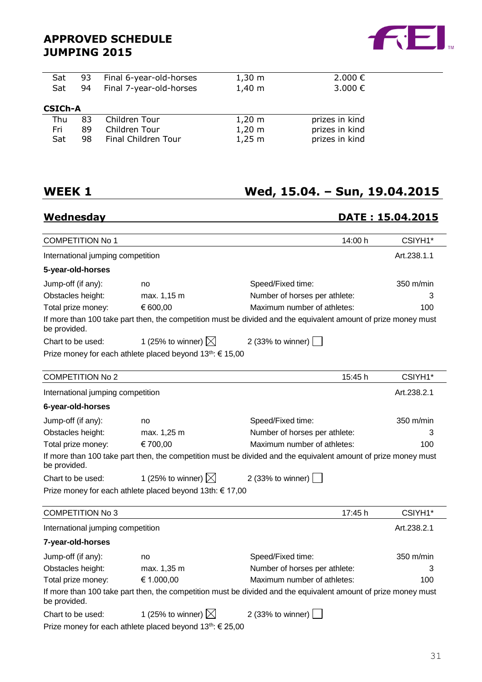

| 93             | Final 6-year-old-horses | $1,30 \; m$          | 2.000 €        |
|----------------|-------------------------|----------------------|----------------|
| 94             | Final 7-year-old-horses | $1,40 \; m$          | 3.000€         |
|                |                         |                      |                |
| <b>CSICH-A</b> |                         |                      |                |
| 83             | Children Tour           | $1,20 \; \mathrm{m}$ | prizes in kind |
| 89             | Children Tour           | $1,20 \; m$          | prizes in kind |
| 98             | Final Children Tour     | $1,25 \; m$          | prizes in kind |
|                |                         |                      |                |

## **WEEK 1 Wed, 15.04. – Sun, 19.04.2015**

## **Wednesday DATE : 15.04.2015**

| <b>COMPETITION No 1</b>           |                                                                       | 14:00 h                                                                                                        | CSIYH1*     |
|-----------------------------------|-----------------------------------------------------------------------|----------------------------------------------------------------------------------------------------------------|-------------|
| International jumping competition |                                                                       |                                                                                                                | Art.238.1.1 |
| 5-year-old-horses                 |                                                                       |                                                                                                                |             |
| Jump-off (if any):                | no                                                                    | Speed/Fixed time:                                                                                              | 350 m/min   |
| Obstacles height:                 | max. 1,15 m                                                           | Number of horses per athlete:                                                                                  | 3           |
| Total prize money:                | € 600,00                                                              | Maximum number of athletes:                                                                                    | 100         |
| be provided.                      |                                                                       | If more than 100 take part then, the competition must be divided and the equivalent amount of prize money must |             |
| Chart to be used:                 | 1 (25% to winner) $\boxtimes$                                         | 2 (33% to winner)                                                                                              |             |
|                                   | Prize money for each athlete placed beyond 13 <sup>th</sup> : € 15,00 |                                                                                                                |             |
| <b>COMPETITION No 2</b>           |                                                                       | 15:45 h                                                                                                        | CSIYH1*     |
| International jumping competition |                                                                       |                                                                                                                | Art.238.2.1 |
| 6-year-old-horses                 |                                                                       |                                                                                                                |             |
| Jump-off (if any):                | no                                                                    | Speed/Fixed time:                                                                                              | 350 m/min   |
| Obstacles height:                 | max. 1,25 m                                                           | Number of horses per athlete:                                                                                  | 3           |
| Total prize money:                | € 700,00                                                              | Maximum number of athletes:                                                                                    | 100         |
| be provided.                      |                                                                       | If more than 100 take part then, the competition must be divided and the equivalent amount of prize money must |             |
| Chart to be used:                 | 1 (25% to winner) $\boxtimes$                                         | 2 (33% to winner)                                                                                              |             |
|                                   | Prize money for each athlete placed beyond 13th: € 17,00              |                                                                                                                |             |
| <b>COMPETITION No 3</b>           |                                                                       | 17:45 h                                                                                                        | CSIYH1*     |
| International jumping competition |                                                                       |                                                                                                                | Art.238.2.1 |
| 7-year-old-horses                 |                                                                       |                                                                                                                |             |
| Jump-off (if any):                | no                                                                    | Speed/Fixed time:                                                                                              | 350 m/min   |
| Obstacles height:                 | max. 1,35 m                                                           | Number of horses per athlete:                                                                                  | 3           |
| Total prize money:                | € 1.000,00                                                            | Maximum number of athletes:                                                                                    | 100         |
| be provided.                      |                                                                       | If more than 100 take part then, the competition must be divided and the equivalent amount of prize money must |             |
| Chart to be used:                 | 1 (25% to winner) $\boxtimes$                                         | 2 (33% to winner)                                                                                              |             |
|                                   | Prize money for each athlete placed beyond 13 <sup>th</sup> : € 25,00 |                                                                                                                |             |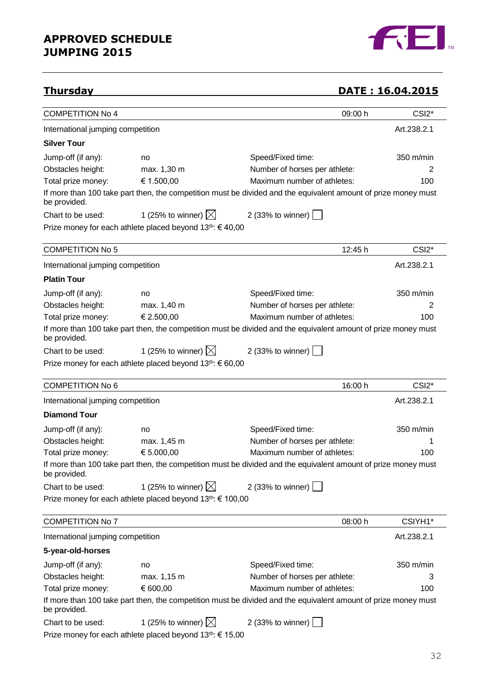

## **Thursday DATE : 16.04.2015**

| <b>COMPETITION No 4</b>           |                                                                        | 09:00 h                                                                                                        | CSI <sub>2</sub> * |
|-----------------------------------|------------------------------------------------------------------------|----------------------------------------------------------------------------------------------------------------|--------------------|
| International jumping competition |                                                                        |                                                                                                                | Art.238.2.1        |
| <b>Silver Tour</b>                |                                                                        |                                                                                                                |                    |
| Jump-off (if any):                | no                                                                     | Speed/Fixed time:                                                                                              | 350 m/min          |
| Obstacles height:                 | max. 1,30 m                                                            | Number of horses per athlete:                                                                                  | 2                  |
| Total prize money:                | € 1.500,00                                                             | Maximum number of athletes:                                                                                    | 100                |
| be provided.                      |                                                                        | If more than 100 take part then, the competition must be divided and the equivalent amount of prize money must |                    |
| Chart to be used:                 | 1 (25% to winner) $\boxtimes$ 2 (33% to winner)                        |                                                                                                                |                    |
|                                   | Prize money for each athlete placed beyond $13^{th}$ : $\in$ 40,00     |                                                                                                                |                    |
| <b>COMPETITION No 5</b>           |                                                                        | 12:45 h                                                                                                        | CSI <sub>2</sub> * |
| International jumping competition |                                                                        |                                                                                                                | Art.238.2.1        |
| <b>Platin Tour</b>                |                                                                        |                                                                                                                |                    |
| Jump-off (if any):                | no                                                                     | Speed/Fixed time:                                                                                              | 350 m/min          |
| Obstacles height:                 | max. 1,40 m                                                            | Number of horses per athlete:                                                                                  | 2                  |
| Total prize money:                | € 2.500,00                                                             | Maximum number of athletes:                                                                                    | 100                |
| be provided.                      |                                                                        | If more than 100 take part then, the competition must be divided and the equivalent amount of prize money must |                    |
| Chart to be used:                 | 1 (25% to winner) $\boxtimes$ 2 (33% to winner)                        |                                                                                                                |                    |
|                                   | Prize money for each athlete placed beyond $13^{th}$ : $\in$ 60,00     |                                                                                                                |                    |
| <b>COMPETITION No 6</b>           |                                                                        | 16:00 h                                                                                                        | CSI <sub>2</sub> * |
| International jumping competition |                                                                        |                                                                                                                | Art.238.2.1        |
| <b>Diamond Tour</b>               |                                                                        |                                                                                                                |                    |
| Jump-off (if any):                | no                                                                     | Speed/Fixed time:                                                                                              | 350 m/min          |
| Obstacles height:                 | max. 1,45 m                                                            | Number of horses per athlete:                                                                                  |                    |
| Total prize money:                | € 5.000,00                                                             | Maximum number of athletes:                                                                                    | 100                |
| be provided.                      |                                                                        | If more than 100 take part then, the competition must be divided and the equivalent amount of prize money must |                    |
| Chart to be used:                 | 1 (25% to winner) $\boxtimes$                                          | 2 (33% to winner)                                                                                              |                    |
|                                   | Prize money for each athlete placed beyond 13 <sup>th</sup> : € 100,00 |                                                                                                                |                    |
| <b>COMPETITION No 7</b>           |                                                                        | 08:00 h                                                                                                        | CSIYH1*            |
| International jumping competition |                                                                        |                                                                                                                | Art.238.2.1        |
| 5-year-old-horses                 |                                                                        |                                                                                                                |                    |
| Jump-off (if any):                | no                                                                     | Speed/Fixed time:                                                                                              | 350 m/min          |
| Obstacles height:                 | max. 1,15 m                                                            | Number of horses per athlete:                                                                                  | З                  |
| Total prize money:                | € 600,00                                                               | Maximum number of athletes:                                                                                    | 100                |
| be provided.                      |                                                                        | If more than 100 take part then, the competition must be divided and the equivalent amount of prize money must |                    |
| Chart to be used:                 | 1 (25% to winner) $\boxtimes$                                          | 2 (33% to winner)                                                                                              |                    |
|                                   | Prize money for each athlete placed beyond 13 <sup>th</sup> : € 15,00  |                                                                                                                |                    |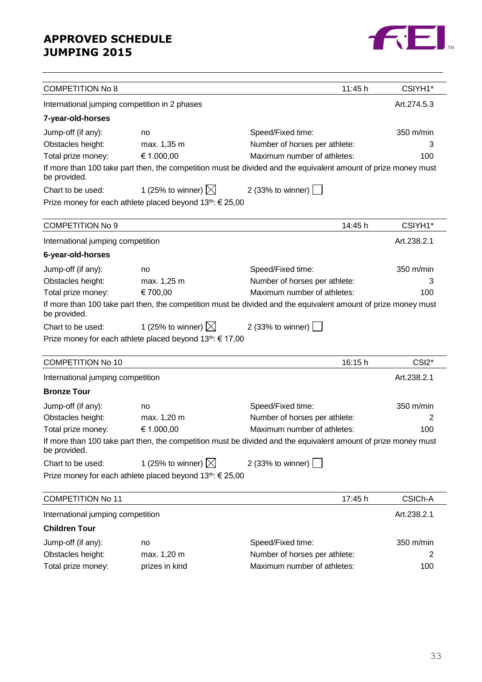

| <b>COMPETITION No 8</b>                       |                                                                       | 11:45 h                                                                                                        | CSIYH1*            |
|-----------------------------------------------|-----------------------------------------------------------------------|----------------------------------------------------------------------------------------------------------------|--------------------|
| International jumping competition in 2 phases |                                                                       |                                                                                                                | Art.274.5.3        |
| 7-year-old-horses                             |                                                                       |                                                                                                                |                    |
| Jump-off (if any):                            | no                                                                    | Speed/Fixed time:                                                                                              | 350 m/min          |
| Obstacles height:                             | max. 1,35 m                                                           | Number of horses per athlete:                                                                                  | 3                  |
| Total prize money:                            | € 1.000,00                                                            | Maximum number of athletes:                                                                                    | 100                |
| be provided.                                  |                                                                       | If more than 100 take part then, the competition must be divided and the equivalent amount of prize money must |                    |
| Chart to be used:                             | 1 (25% to winner) $\boxtimes$                                         | 2 (33% to winner) $\vert$                                                                                      |                    |
|                                               | Prize money for each athlete placed beyond 13 <sup>th</sup> : € 25,00 |                                                                                                                |                    |
| <b>COMPETITION No 9</b>                       |                                                                       | 14:45 h                                                                                                        | CSIYH1*            |
| International jumping competition             |                                                                       |                                                                                                                | Art.238.2.1        |
| 6-year-old-horses                             |                                                                       |                                                                                                                |                    |
| Jump-off (if any):                            | no                                                                    | Speed/Fixed time:                                                                                              | 350 m/min          |
| Obstacles height:                             | max. 1,25 m                                                           | Number of horses per athlete:                                                                                  | З                  |
| Total prize money:                            | € 700,00                                                              | Maximum number of athletes:                                                                                    | 100                |
| be provided.                                  |                                                                       | If more than 100 take part then, the competition must be divided and the equivalent amount of prize money must |                    |
| Chart to be used:                             | 1 (25% to winner) $\boxtimes$                                         | 2 (33% to winner)                                                                                              |                    |
|                                               | Prize money for each athlete placed beyond 13 <sup>th</sup> : € 17,00 |                                                                                                                |                    |
| <b>COMPETITION No 10</b>                      |                                                                       | 16:15 h                                                                                                        | CSI <sub>2</sub> * |
| International jumping competition             |                                                                       |                                                                                                                | Art.238.2.1        |
| <b>Bronze Tour</b>                            |                                                                       |                                                                                                                |                    |
| Jump-off (if any):                            | no                                                                    | Speed/Fixed time:                                                                                              | 350 m/min          |
| Obstacles height:                             | max. 1,20 m                                                           | Number of horses per athlete:                                                                                  | 2                  |
| Total prize money:                            | € 1.000,00                                                            | Maximum number of athletes:                                                                                    | 100                |
| be provided.                                  |                                                                       | If more than 100 take part then, the competition must be divided and the equivalent amount of prize money must |                    |
| Chart to be used:                             | 1 (25% to winner) $\boxtimes$                                         | 2 (33% to winner) $\Box$                                                                                       |                    |
|                                               | Prize money for each athlete placed beyond 13 <sup>th</sup> : € 25,00 |                                                                                                                |                    |
| <b>COMPETITION No 11</b>                      |                                                                       | 17:45 h                                                                                                        | CSICh-A            |
|                                               |                                                                       |                                                                                                                |                    |
| International jumping competition             |                                                                       |                                                                                                                | Art.238.2.1        |
| <b>Children Tour</b>                          |                                                                       |                                                                                                                |                    |
| Jump-off (if any):                            | no                                                                    | Speed/Fixed time:                                                                                              | 350 m/min          |
| Obstacles height:                             | max. 1,20 m                                                           | Number of horses per athlete:                                                                                  | 2                  |
| Total prize money:                            | prizes in kind                                                        | Maximum number of athletes:                                                                                    | 100                |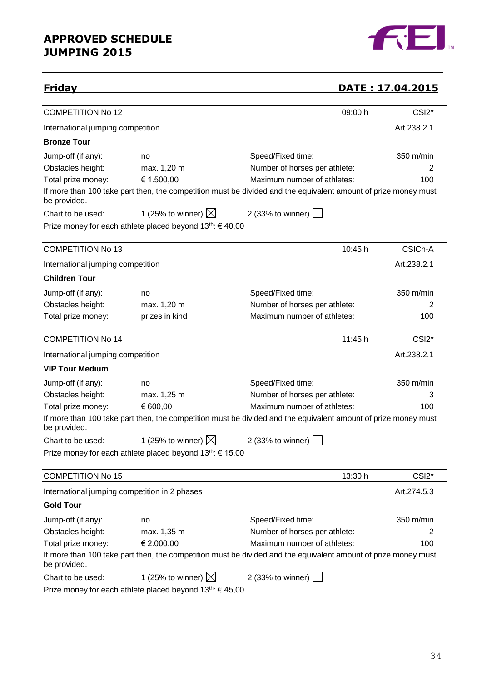

## **Friday DATE : 17.04.2015**

| <u>rı ıuay</u>                                |                                                                       |                                                                                                                | <u> Uail : 17.04.2013</u> |
|-----------------------------------------------|-----------------------------------------------------------------------|----------------------------------------------------------------------------------------------------------------|---------------------------|
| <b>COMPETITION No 12</b>                      |                                                                       | 09:00 h                                                                                                        | CSI <sub>2</sub> *        |
| International jumping competition             |                                                                       |                                                                                                                | Art.238.2.1               |
| <b>Bronze Tour</b>                            |                                                                       |                                                                                                                |                           |
| Jump-off (if any):                            | no                                                                    | Speed/Fixed time:                                                                                              | $350$ m/min               |
| Obstacles height:                             | max. 1,20 m                                                           | Number of horses per athlete:                                                                                  | 2                         |
| Total prize money:                            | € 1.500,00                                                            | Maximum number of athletes:                                                                                    | 100                       |
| be provided.                                  |                                                                       | If more than 100 take part then, the competition must be divided and the equivalent amount of prize money must |                           |
| Chart to be used:                             | 1 (25% to winner) $\boxtimes$                                         | 2 (33% to winner)                                                                                              |                           |
|                                               | Prize money for each athlete placed beyond 13 <sup>th</sup> : €40,00  |                                                                                                                |                           |
| <b>COMPETITION No 13</b>                      |                                                                       | 10:45 h                                                                                                        | CSICh-A                   |
| International jumping competition             |                                                                       |                                                                                                                | Art.238.2.1               |
| <b>Children Tour</b>                          |                                                                       |                                                                                                                |                           |
| Jump-off (if any):                            | no                                                                    | Speed/Fixed time:                                                                                              | 350 m/min                 |
| Obstacles height:                             | max. 1,20 m                                                           | Number of horses per athlete:                                                                                  | 2                         |
| Total prize money:                            | prizes in kind                                                        | Maximum number of athletes:                                                                                    | 100                       |
| <b>COMPETITION No 14</b>                      |                                                                       | 11:45 h                                                                                                        | CSI <sub>2</sub> *        |
| International jumping competition             |                                                                       |                                                                                                                | Art.238.2.1               |
| <b>VIP Tour Medium</b>                        |                                                                       |                                                                                                                |                           |
| Jump-off (if any):                            | no                                                                    | Speed/Fixed time:                                                                                              | 350 m/min                 |
| Obstacles height:                             | max. 1,25 m                                                           | Number of horses per athlete:                                                                                  | 3                         |
| Total prize money:                            | € 600,00                                                              | Maximum number of athletes:                                                                                    | 100                       |
| be provided.                                  |                                                                       | If more than 100 take part then, the competition must be divided and the equivalent amount of prize money must |                           |
| Chart to be used:                             | 1 (25% to winner) $\boxtimes$                                         | 2 (33% to winner)                                                                                              |                           |
|                                               | Prize money for each athlete placed beyond 13 <sup>th</sup> : € 15,00 |                                                                                                                |                           |
| <b>COMPETITION No 15</b>                      |                                                                       | 13:30 h                                                                                                        | CSI <sub>2</sub> *        |
| International jumping competition in 2 phases |                                                                       |                                                                                                                | Art.274.5.3               |
| <b>Gold Tour</b>                              |                                                                       |                                                                                                                |                           |
| Jump-off (if any):                            | no                                                                    | Speed/Fixed time:                                                                                              | 350 m/min                 |
| Obstacles height:                             | max. 1,35 m                                                           | Number of horses per athlete:                                                                                  | 2                         |
| Total prize money:                            | € 2.000,00                                                            | Maximum number of athletes:                                                                                    | 100                       |
| be provided.                                  |                                                                       | If more than 100 take part then, the competition must be divided and the equivalent amount of prize money must |                           |
| Chart to be used:                             | 1 (25% to winner) $\boxtimes$                                         | 2 (33% to winner)                                                                                              |                           |
|                                               | Prize money for each athlete placed beyond $13^{th}$ : $\in$ 45,00    |                                                                                                                |                           |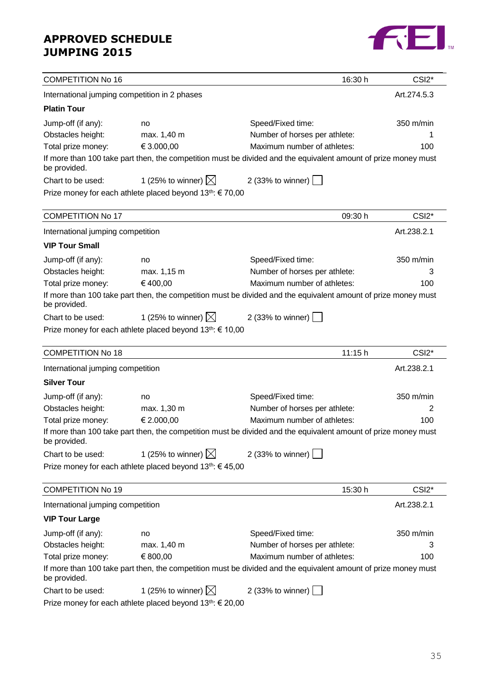

| <b>COMPETITION No 16</b>                      |                                                                       | 16:30 h                                                                                                        | CSI <sub>2</sub> * |
|-----------------------------------------------|-----------------------------------------------------------------------|----------------------------------------------------------------------------------------------------------------|--------------------|
| International jumping competition in 2 phases |                                                                       |                                                                                                                | Art.274.5.3        |
| <b>Platin Tour</b>                            |                                                                       |                                                                                                                |                    |
| Jump-off (if any):                            | no                                                                    | Speed/Fixed time:                                                                                              | 350 m/min          |
| Obstacles height:                             | max. 1,40 m                                                           | Number of horses per athlete:                                                                                  |                    |
| Total prize money:                            | € 3.000,00                                                            | Maximum number of athletes:                                                                                    | 100                |
| be provided.                                  |                                                                       | If more than 100 take part then, the competition must be divided and the equivalent amount of prize money must |                    |
| Chart to be used:                             | 1 (25% to winner) $\boxtimes$                                         | 2 (33% to winner) $\boxed{\phantom{1}}$                                                                        |                    |
|                                               | Prize money for each athlete placed beyond 13 <sup>th</sup> : € 70,00 |                                                                                                                |                    |
| <b>COMPETITION No 17</b>                      |                                                                       | 09:30 h                                                                                                        | CSI <sub>2</sub> * |
| International jumping competition             |                                                                       |                                                                                                                | Art.238.2.1        |
| <b>VIP Tour Small</b>                         |                                                                       |                                                                                                                |                    |
| Jump-off (if any):                            | no                                                                    | Speed/Fixed time:                                                                                              | 350 m/min          |
| Obstacles height:                             | max. 1,15 m                                                           | Number of horses per athlete:                                                                                  | 3                  |
| Total prize money:                            | €400,00                                                               | Maximum number of athletes:                                                                                    | 100                |
| be provided.                                  |                                                                       | If more than 100 take part then, the competition must be divided and the equivalent amount of prize money must |                    |
| Chart to be used:                             | 1 (25% to winner) $\boxtimes$                                         | 2 (33% to winner)                                                                                              |                    |
|                                               | Prize money for each athlete placed beyond 13 <sup>th</sup> : € 10,00 |                                                                                                                |                    |
|                                               |                                                                       |                                                                                                                |                    |
| <b>COMPETITION No 18</b>                      |                                                                       | 11:15 h                                                                                                        | CSI <sub>2</sub> * |
| International jumping competition             |                                                                       |                                                                                                                | Art.238.2.1        |
| <b>Silver Tour</b>                            |                                                                       |                                                                                                                |                    |
| Jump-off (if any):                            | no                                                                    | Speed/Fixed time:                                                                                              | 350 m/min          |
| Obstacles height:                             | max. 1,30 m                                                           | Number of horses per athlete:                                                                                  | 2                  |
| Total prize money:                            | € 2.000,00                                                            | Maximum number of athletes:                                                                                    | 100                |
| be provided.                                  |                                                                       | If more than 100 take part then, the competition must be divided and the equivalent amount of prize money must |                    |
| Chart to be used:                             | 1 (25% to winner) $\boxtimes$                                         | 2 (33% to winner)                                                                                              |                    |
|                                               | Prize money for each athlete placed beyond 13th: €45,00               |                                                                                                                |                    |
| <b>COMPETITION No 19</b>                      |                                                                       | 15:30 h                                                                                                        | CSI <sub>2</sub> * |
| International jumping competition             |                                                                       |                                                                                                                | Art.238.2.1        |
| <b>VIP Tour Large</b>                         |                                                                       |                                                                                                                |                    |
| Jump-off (if any):                            | no                                                                    | Speed/Fixed time:                                                                                              | 350 m/min          |
| Obstacles height:                             | max. 1,40 m                                                           | Number of horses per athlete:                                                                                  | 3                  |
| Total prize money:                            | € 800,00                                                              | Maximum number of athletes:                                                                                    | 100                |
| be provided.                                  |                                                                       | If more than 100 take part then, the competition must be divided and the equivalent amount of prize money must |                    |
| Chart to be used:                             | 1 (25% to winner) $\boxtimes$                                         | 2 (33% to winner)                                                                                              |                    |
|                                               | Prize money for each athlete placed beyond $13^{th}$ : $\in$ 20,00    |                                                                                                                |                    |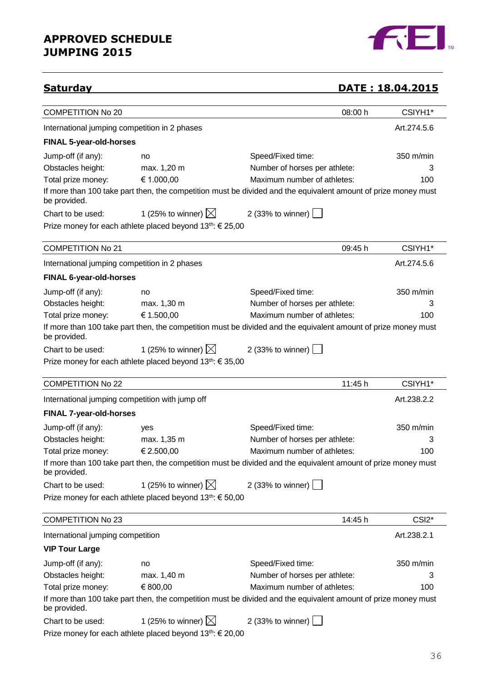

## **Saturday DATE : 18.04.2015**

| <b>COMPETITION No 20</b>                        |                                                                       | 08:00 h                                                                                                        | CSIYH1*            |
|-------------------------------------------------|-----------------------------------------------------------------------|----------------------------------------------------------------------------------------------------------------|--------------------|
| International jumping competition in 2 phases   |                                                                       |                                                                                                                | Art.274.5.6        |
| <b>FINAL 5-year-old-horses</b>                  |                                                                       |                                                                                                                |                    |
| Jump-off (if any):                              | no                                                                    | Speed/Fixed time:                                                                                              | 350 m/min          |
| Obstacles height:                               | max. 1,20 m                                                           | Number of horses per athlete:                                                                                  | 3                  |
| Total prize money:                              | € 1.000,00                                                            | Maximum number of athletes:                                                                                    | 100                |
| be provided.                                    |                                                                       | If more than 100 take part then, the competition must be divided and the equivalent amount of prize money must |                    |
| Chart to be used:                               | 1 (25% to winner) $\boxtimes$                                         | 2 (33% to winner)                                                                                              |                    |
|                                                 | Prize money for each athlete placed beyond 13 <sup>th</sup> : € 25,00 |                                                                                                                |                    |
| <b>COMPETITION No 21</b>                        |                                                                       | 09:45 h                                                                                                        | CSIYH1*            |
| International jumping competition in 2 phases   |                                                                       |                                                                                                                | Art.274.5.6        |
| FINAL 6-year-old-horses                         |                                                                       |                                                                                                                |                    |
| Jump-off (if any):                              | no                                                                    | Speed/Fixed time:                                                                                              | 350 m/min          |
| Obstacles height:                               | max. 1,30 m                                                           | Number of horses per athlete:                                                                                  | 3                  |
| Total prize money:                              | € 1.500,00                                                            | Maximum number of athletes:                                                                                    | 100                |
| be provided.                                    |                                                                       | If more than 100 take part then, the competition must be divided and the equivalent amount of prize money must |                    |
| Chart to be used:                               | 1 (25% to winner) $\boxtimes$                                         | 2 (33% to winner)                                                                                              |                    |
|                                                 | Prize money for each athlete placed beyond 13 <sup>th</sup> : € 35,00 |                                                                                                                |                    |
|                                                 |                                                                       |                                                                                                                |                    |
| <b>COMPETITION No 22</b>                        |                                                                       | 11:45 h                                                                                                        | CSIYH1*            |
| International jumping competition with jump off |                                                                       |                                                                                                                | Art.238.2.2        |
| <b>FINAL 7-year-old-horses</b>                  |                                                                       |                                                                                                                |                    |
| Jump-off (if any):                              | yes                                                                   | Speed/Fixed time:                                                                                              | 350 m/min          |
| Obstacles height:                               | max. 1,35 m                                                           | Number of horses per athlete:                                                                                  | 3                  |
| Total prize money:                              | € 2.500,00                                                            | Maximum number of athletes:                                                                                    | 100                |
| be provided.                                    |                                                                       | If more than 100 take part then, the competition must be divided and the equivalent amount of prize money must |                    |
| Chart to be used:                               | 1 (25% to winner) $\boxtimes$                                         | 2 (33% to winner)                                                                                              |                    |
|                                                 | Prize money for each athlete placed beyond 13th: € 50,00              |                                                                                                                |                    |
| <b>COMPETITION No 23</b>                        |                                                                       | 14:45 h                                                                                                        | CSI <sub>2</sub> * |
| International jumping competition               |                                                                       |                                                                                                                | Art.238.2.1        |
| <b>VIP Tour Large</b>                           |                                                                       |                                                                                                                |                    |
| Jump-off (if any):                              | no                                                                    | Speed/Fixed time:                                                                                              | 350 m/min          |
| Obstacles height:                               | max. 1,40 m                                                           | Number of horses per athlete:                                                                                  | З                  |
| Total prize money:                              | € 800,00                                                              | Maximum number of athletes:                                                                                    | 100                |
| be provided.                                    |                                                                       | If more than 100 take part then, the competition must be divided and the equivalent amount of prize money must |                    |
| Chart to be used:                               | 1 (25% to winner) $\boxtimes$                                         | 2 (33% to winner)                                                                                              |                    |
|                                                 | Prize money for each athlete placed beyond 13 <sup>th</sup> : € 20,00 |                                                                                                                |                    |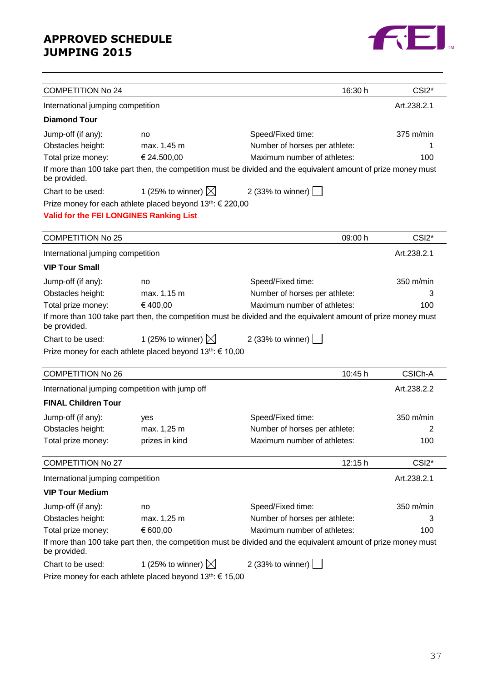

| <b>COMPETITION No 24</b>                        |                                                                        | 16:30 h                                                                                                        | CSI <sub>2</sub> *  |
|-------------------------------------------------|------------------------------------------------------------------------|----------------------------------------------------------------------------------------------------------------|---------------------|
| International jumping competition               |                                                                        |                                                                                                                | Art.238.2.1         |
| <b>Diamond Tour</b>                             |                                                                        |                                                                                                                |                     |
| Jump-off (if any):                              | no                                                                     | Speed/Fixed time:                                                                                              | $375 \text{ m/min}$ |
| Obstacles height:                               | max. 1,45 m                                                            | Number of horses per athlete:                                                                                  |                     |
| Total prize money:                              | € 24.500,00                                                            | Maximum number of athletes:                                                                                    | 100                 |
| be provided.                                    |                                                                        | If more than 100 take part then, the competition must be divided and the equivalent amount of prize money must |                     |
| Chart to be used:                               | 1 (25% to winner) $\boxtimes$                                          | 2 (33% to winner) $\boxed{\phantom{1}}$                                                                        |                     |
|                                                 | Prize money for each athlete placed beyond 13 <sup>th</sup> : € 220,00 |                                                                                                                |                     |
| Valid for the FEI LONGINES Ranking List         |                                                                        |                                                                                                                |                     |
|                                                 |                                                                        |                                                                                                                |                     |
| <b>COMPETITION No 25</b>                        |                                                                        | 09:00 h                                                                                                        | CSI <sub>2</sub> *  |
| International jumping competition               |                                                                        |                                                                                                                | Art.238.2.1         |
| <b>VIP Tour Small</b>                           |                                                                        |                                                                                                                |                     |
| Jump-off (if any):                              | no                                                                     | Speed/Fixed time:                                                                                              | 350 m/min           |
| Obstacles height:                               | max. 1,15 m                                                            | Number of horses per athlete:                                                                                  | 3                   |
| Total prize money:                              | €400,00                                                                | Maximum number of athletes:                                                                                    | 100                 |
| be provided.                                    |                                                                        | If more than 100 take part then, the competition must be divided and the equivalent amount of prize money must |                     |
| Chart to be used:                               | 1 (25% to winner) $\boxtimes$                                          | 2 (33% to winner)                                                                                              |                     |
|                                                 | Prize money for each athlete placed beyond 13th: € 10,00               |                                                                                                                |                     |
|                                                 |                                                                        |                                                                                                                |                     |
| <b>COMPETITION No 26</b>                        |                                                                        | 10:45 h                                                                                                        | CSICh-A             |
| International jumping competition with jump off |                                                                        |                                                                                                                | Art.238.2.2         |
| <b>FINAL Children Tour</b>                      |                                                                        |                                                                                                                |                     |
| Jump-off (if any):                              | yes                                                                    | Speed/Fixed time:                                                                                              | 350 m/min           |
| Obstacles height:                               | max. 1,25 m                                                            | Number of horses per athlete:                                                                                  | 2                   |
| Total prize money:                              | prizes in kind                                                         | Maximum number of athletes:                                                                                    | 100                 |
| <b>COMPETITION No 27</b>                        |                                                                        | 12:15 h                                                                                                        | CSI <sub>2</sub> *  |
| International jumping competition               |                                                                        |                                                                                                                | Art.238.2.1         |
| <b>VIP Tour Medium</b>                          |                                                                        |                                                                                                                |                     |
| Jump-off (if any):                              | no                                                                     | Speed/Fixed time:                                                                                              | 350 m/min           |
| Obstacles height:                               | max. 1,25 m                                                            | Number of horses per athlete:                                                                                  | З                   |
| Total prize money:                              | € 600,00                                                               | Maximum number of athletes:                                                                                    | 100                 |
| be provided.                                    |                                                                        | If more than 100 take part then, the competition must be divided and the equivalent amount of prize money must |                     |
| Chart to be used:                               | 1 (25% to winner) $\boxtimes$                                          | 2 (33% to winner) $\vert$                                                                                      |                     |
|                                                 | Prize money for each athlete placed beyond 13 <sup>th</sup> : € 15,00  |                                                                                                                |                     |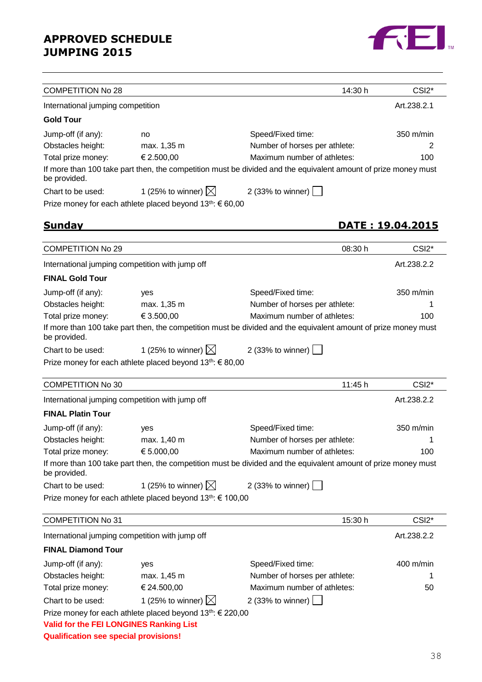

| <b>COMPETITION No 28</b>                        |                                                                        | 14:30 h                                                                                                        | CSI <sub>2</sub> *        |  |  |
|-------------------------------------------------|------------------------------------------------------------------------|----------------------------------------------------------------------------------------------------------------|---------------------------|--|--|
|                                                 | Art.238.2.1<br>International jumping competition                       |                                                                                                                |                           |  |  |
| <b>Gold Tour</b>                                |                                                                        |                                                                                                                |                           |  |  |
| Jump-off (if any):                              | no                                                                     | Speed/Fixed time:                                                                                              | 350 m/min                 |  |  |
| Obstacles height:                               | max. 1,35 m                                                            | Number of horses per athlete:                                                                                  | 2                         |  |  |
| Total prize money:                              | € 2.500,00                                                             | Maximum number of athletes:                                                                                    | 100                       |  |  |
| be provided.                                    |                                                                        | If more than 100 take part then, the competition must be divided and the equivalent amount of prize money must |                           |  |  |
| Chart to be used:                               | 1 (25% to winner) $\boxtimes$                                          | 2 (33% to winner)                                                                                              |                           |  |  |
|                                                 | Prize money for each athlete placed beyond 13 <sup>th</sup> : € 60,00  |                                                                                                                |                           |  |  |
| <u>Sundav</u>                                   |                                                                        |                                                                                                                | <u> DATE : 19.04.2015</u> |  |  |
|                                                 |                                                                        |                                                                                                                |                           |  |  |
| <b>COMPETITION No 29</b>                        |                                                                        | 08:30 h                                                                                                        | CSI <sub>2</sub> *        |  |  |
| International jumping competition with jump off |                                                                        |                                                                                                                | Art.238.2.2               |  |  |
| <b>FINAL Gold Tour</b>                          |                                                                        |                                                                                                                |                           |  |  |
| Jump-off (if any):                              | yes                                                                    | Speed/Fixed time:                                                                                              | 350 m/min                 |  |  |
| Obstacles height:                               | max. 1,35 m                                                            | Number of horses per athlete:                                                                                  |                           |  |  |
| Total prize money:                              | € 3.500,00                                                             | Maximum number of athletes:                                                                                    | 100                       |  |  |
| be provided.                                    |                                                                        | If more than 100 take part then, the competition must be divided and the equivalent amount of prize money must |                           |  |  |
| Chart to be used:                               | 1 (25% to winner) $\boxtimes$                                          | 2 (33% to winner)                                                                                              |                           |  |  |
|                                                 | Prize money for each athlete placed beyond $13th$ : € 80,00            |                                                                                                                |                           |  |  |
| <b>COMPETITION No 30</b>                        |                                                                        | 11:45 h                                                                                                        | CSI <sub>2</sub> *        |  |  |
| International jumping competition with jump off |                                                                        |                                                                                                                | Art.238.2.2               |  |  |
| <b>FINAL Platin Tour</b>                        |                                                                        |                                                                                                                |                           |  |  |
| Jump-off (if any):                              | yes                                                                    | Speed/Fixed time:                                                                                              | 350 m/min                 |  |  |
| Obstacles height:                               | max. 1,40 m                                                            | Number of horses per athlete:                                                                                  |                           |  |  |
| Total prize money:                              | € 5.000,00                                                             | Maximum number of athletes:                                                                                    | 100                       |  |  |
| be provided.                                    |                                                                        | If more than 100 take part then, the competition must be divided and the equivalent amount of prize money must |                           |  |  |
| Chart to be used:                               | 1 (25% to winner) $\boxtimes$                                          | 2 (33% to winner)                                                                                              |                           |  |  |
|                                                 | Prize money for each athlete placed beyond 13 <sup>th</sup> : € 100,00 |                                                                                                                |                           |  |  |
| <b>COMPETITION No 31</b>                        |                                                                        | 15:30 h                                                                                                        | CSI <sub>2</sub> *        |  |  |
| International jumping competition with jump off |                                                                        |                                                                                                                | Art.238.2.2               |  |  |
| <b>FINAL Diamond Tour</b>                       |                                                                        |                                                                                                                |                           |  |  |
| Jump-off (if any):                              | yes                                                                    | Speed/Fixed time:                                                                                              | 400 m/min                 |  |  |
| Obstacles height:                               | max. 1,45 m                                                            | Number of horses per athlete:                                                                                  | 1                         |  |  |
| Total prize money:                              | € 24.500,00                                                            | Maximum number of athletes:                                                                                    | 50                        |  |  |
| Chart to be used:                               | 1 (25% to winner) $\boxtimes$                                          | 2 (33% to winner)                                                                                              |                           |  |  |
|                                                 | Prize money for each athlete placed beyond 13 <sup>th</sup> : € 220,00 |                                                                                                                |                           |  |  |
| Valid for the FEI LONGINES Ranking List         |                                                                        |                                                                                                                |                           |  |  |
| <b>Qualification see special provisions!</b>    |                                                                        |                                                                                                                |                           |  |  |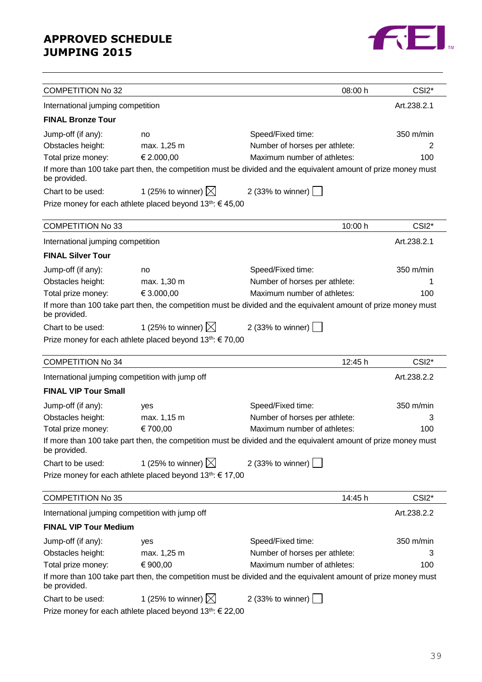

| <b>COMPETITION No 32</b>                        |                                                                                                                |                                         | 08:00 h | CSI <sub>2</sub> * |
|-------------------------------------------------|----------------------------------------------------------------------------------------------------------------|-----------------------------------------|---------|--------------------|
| International jumping competition               |                                                                                                                |                                         |         | Art.238.2.1        |
| <b>FINAL Bronze Tour</b>                        |                                                                                                                |                                         |         |                    |
| Jump-off (if any):                              | no                                                                                                             | Speed/Fixed time:                       |         | 350 m/min          |
| Obstacles height:                               | max. 1,25 m                                                                                                    | Number of horses per athlete:           |         | 2                  |
| Total prize money:                              | € 2.000,00                                                                                                     | Maximum number of athletes:             |         | 100                |
| be provided.                                    | If more than 100 take part then, the competition must be divided and the equivalent amount of prize money must |                                         |         |                    |
| Chart to be used:                               | 1 (25% to winner) $\boxtimes$                                                                                  | 2 (33% to winner) $\vert$               |         |                    |
|                                                 | Prize money for each athlete placed beyond 13 <sup>th</sup> : €45,00                                           |                                         |         |                    |
| <b>COMPETITION No 33</b>                        |                                                                                                                |                                         | 10:00 h | CSI <sub>2</sub> * |
| International jumping competition               |                                                                                                                |                                         |         | Art.238.2.1        |
| <b>FINAL Silver Tour</b>                        |                                                                                                                |                                         |         |                    |
| Jump-off (if any):                              | no                                                                                                             | Speed/Fixed time:                       |         | 350 m/min          |
| Obstacles height:                               | max. 1,30 m                                                                                                    | Number of horses per athlete:           |         | 1                  |
| Total prize money:                              | € 3.000,00                                                                                                     | Maximum number of athletes:             |         | 100                |
| be provided.                                    | If more than 100 take part then, the competition must be divided and the equivalent amount of prize money must |                                         |         |                    |
| Chart to be used:                               | 1 (25% to winner) $\boxtimes$                                                                                  | 2 (33% to winner) $\boxed{\phantom{1}}$ |         |                    |
|                                                 | Prize money for each athlete placed beyond $13^{th}$ : $\in$ 70,00                                             |                                         |         |                    |
| <b>COMPETITION No 34</b>                        |                                                                                                                |                                         | 12:45 h | CSI <sub>2</sub> * |
| International jumping competition with jump off |                                                                                                                |                                         |         | Art.238.2.2        |
| <b>FINAL VIP Tour Small</b>                     |                                                                                                                |                                         |         |                    |
| Jump-off (if any):                              | yes                                                                                                            | Speed/Fixed time:                       |         | 350 m/min          |
| Obstacles height:                               | max. 1,15 m                                                                                                    | Number of horses per athlete:           |         | 3                  |
| Total prize money:                              | € 700,00                                                                                                       | Maximum number of athletes:             |         | 100                |
| be provided.                                    | If more than 100 take part then, the competition must be divided and the equivalent amount of prize money must |                                         |         |                    |
| Chart to be used:                               | 1 (25% to winner) $\boxtimes$                                                                                  | 2 (33% to winner)                       |         |                    |
|                                                 | Prize money for each athlete placed beyond 13 <sup>th</sup> : € 17,00                                          |                                         |         |                    |
| <b>COMPETITION No 35</b>                        |                                                                                                                |                                         | 14:45 h | CSI <sub>2</sub> * |
| International jumping competition with jump off |                                                                                                                |                                         |         | Art.238.2.2        |
| <b>FINAL VIP Tour Medium</b>                    |                                                                                                                |                                         |         |                    |
| Jump-off (if any):                              | yes                                                                                                            | Speed/Fixed time:                       |         | 350 m/min          |
| Obstacles height:                               | max. 1,25 m                                                                                                    | Number of horses per athlete:           |         | 3                  |
| Total prize money:                              | € 900,00                                                                                                       | Maximum number of athletes:             |         | 100                |
| be provided.                                    | If more than 100 take part then, the competition must be divided and the equivalent amount of prize money must |                                         |         |                    |
| Chart to be used:                               | 1 (25% to winner) $\boxtimes$                                                                                  | 2 (33% to winner)                       |         |                    |
|                                                 | Prize money for each athlete placed beyond 13 <sup>th</sup> : € 22,00                                          |                                         |         |                    |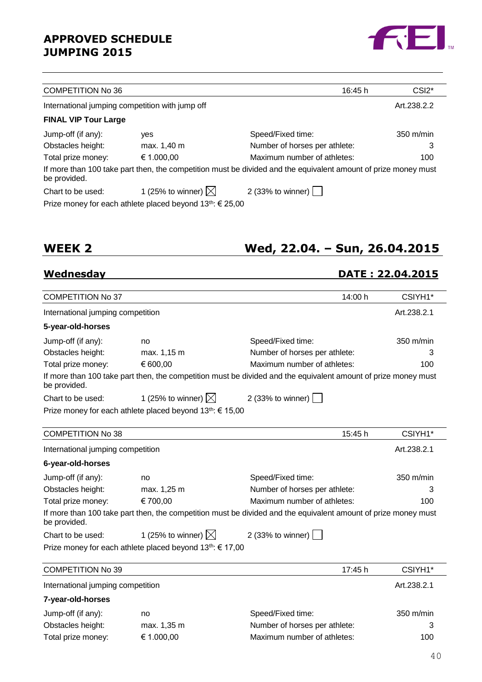

| <b>COMPETITION No 36</b>    |                                                                    | 16:45 h                                                                                                        | CSI <sub>2</sub> <sup>*</sup> |
|-----------------------------|--------------------------------------------------------------------|----------------------------------------------------------------------------------------------------------------|-------------------------------|
|                             | International jumping competition with jump off                    |                                                                                                                | Art.238.2.2                   |
| <b>FINAL VIP Tour Large</b> |                                                                    |                                                                                                                |                               |
| Jump-off (if any):          | <b>ves</b>                                                         | Speed/Fixed time:                                                                                              | $350 \text{ m/min}$           |
| Obstacles height:           | max. 1,40 m                                                        | Number of horses per athlete:                                                                                  | 3                             |
| Total prize money:          | € 1.000,00                                                         | Maximum number of athletes:                                                                                    | 100                           |
| be provided.                |                                                                    | If more than 100 take part then, the competition must be divided and the equivalent amount of prize money must |                               |
| Chart to be used:           | 1 (25% to winner) $\boxtimes$                                      | 2 (33% to winner) $\vert$                                                                                      |                               |
|                             | Prize money for each athlete placed beyond $13^{th}$ : $\in$ 25,00 |                                                                                                                |                               |

## **WEEK 2 Wed, 22.04. – Sun, 26.04.2015**

## **Wednesday DATE : 22.04.2015**

| <b>COMPETITION No 37</b>          |                                                                       | 14:00 h                                                                                                        | CSIYH1*     |
|-----------------------------------|-----------------------------------------------------------------------|----------------------------------------------------------------------------------------------------------------|-------------|
| International jumping competition |                                                                       |                                                                                                                | Art.238.2.1 |
| 5-year-old-horses                 |                                                                       |                                                                                                                |             |
| Jump-off (if any):                | no                                                                    | Speed/Fixed time:                                                                                              | 350 m/min   |
| Obstacles height:                 | max. 1,15 m                                                           | Number of horses per athlete:                                                                                  | 3           |
| Total prize money:                | € 600,00                                                              | Maximum number of athletes:                                                                                    | 100         |
| be provided.                      |                                                                       | If more than 100 take part then, the competition must be divided and the equivalent amount of prize money must |             |
| Chart to be used:                 | 1 (25% to winner) $\boxtimes$                                         | 2 (33% to winner) $\vert$                                                                                      |             |
|                                   | Prize money for each athlete placed beyond 13 <sup>th</sup> : € 15,00 |                                                                                                                |             |
|                                   |                                                                       |                                                                                                                |             |
| <b>COMPETITION No 38</b>          |                                                                       | 15:45 h                                                                                                        | CSIYH1*     |
| International jumping competition |                                                                       |                                                                                                                | Art.238.2.1 |
| 6-year-old-horses                 |                                                                       |                                                                                                                |             |
| Jump-off (if any):                | no                                                                    | Speed/Fixed time:                                                                                              | 350 m/min   |
| Obstacles height:                 | max. 1,25 m                                                           | Number of horses per athlete:                                                                                  | 3           |
| Total prize money:                | € 700,00                                                              | Maximum number of athletes:                                                                                    | 100         |
| be provided.                      |                                                                       | If more than 100 take part then, the competition must be divided and the equivalent amount of prize money must |             |
| Chart to be used:                 | 1 (25% to winner) $\boxtimes$                                         | 2 (33% to winner)                                                                                              |             |
|                                   | Prize money for each athlete placed beyond $13^{th}$ : $\in$ 17,00    |                                                                                                                |             |
|                                   |                                                                       |                                                                                                                |             |
| <b>COMPETITION No 39</b>          |                                                                       | 17:45 h                                                                                                        | CSIYH1*     |
| International jumping competition |                                                                       |                                                                                                                | Art.238.2.1 |
| 7-year-old-horses                 |                                                                       |                                                                                                                |             |
| Jump-off (if any):                | no                                                                    | Speed/Fixed time:                                                                                              | 350 m/min   |
| Obstacles height:                 | max. 1,35 m                                                           | Number of horses per athlete:                                                                                  | 3           |
| Total prize money:                | € 1.000,00                                                            | Maximum number of athletes:                                                                                    | 100         |
|                                   |                                                                       |                                                                                                                |             |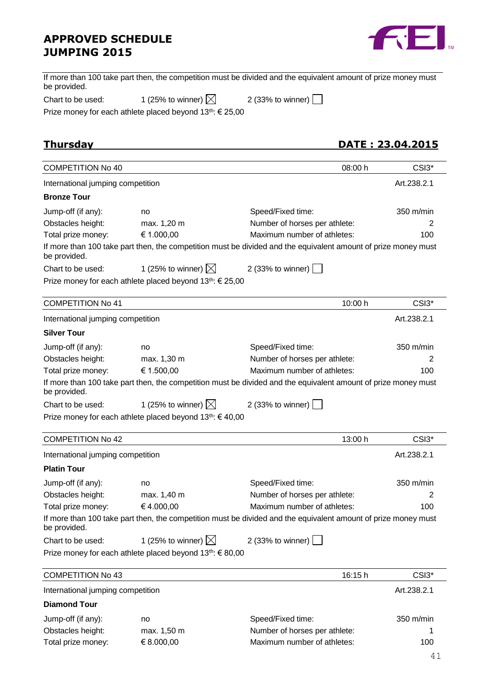

| If more than 100 take part then, the competition must be divided and the equivalent amount of prize money must |  |  |
|----------------------------------------------------------------------------------------------------------------|--|--|
| be provided.                                                                                                   |  |  |
|                                                                                                                |  |  |

| Chart to be used: | 1 (25% to winner) $\boxtimes$ | 2 (33% to winner) |
|-------------------|-------------------------------|-------------------|
|-------------------|-------------------------------|-------------------|

Prize money for each athlete placed beyond 13<sup>th</sup>: € 25,00

**Thursday DATE : 23.04.2015**

| <b>COMPETITION No 40</b>          |                                                                       | 08:00 h                                                                                                        | CSI3 <sup>*</sup> |
|-----------------------------------|-----------------------------------------------------------------------|----------------------------------------------------------------------------------------------------------------|-------------------|
| International jumping competition |                                                                       |                                                                                                                | Art.238.2.1       |
| <b>Bronze Tour</b>                |                                                                       |                                                                                                                |                   |
| Jump-off (if any):                | no                                                                    | Speed/Fixed time:                                                                                              | 350 m/min         |
| Obstacles height:                 | max. 1,20 m                                                           | Number of horses per athlete:                                                                                  | 2                 |
| Total prize money:                | € 1.000,00                                                            | Maximum number of athletes:                                                                                    | 100               |
| be provided.                      |                                                                       | If more than 100 take part then, the competition must be divided and the equivalent amount of prize money must |                   |
| Chart to be used:                 | 1 (25% to winner) $\boxtimes$                                         | 2 (33% to winner)                                                                                              |                   |
|                                   | Prize money for each athlete placed beyond $13^{th}$ : $\in$ 25,00    |                                                                                                                |                   |
| <b>COMPETITION No 41</b>          |                                                                       | 10:00 h                                                                                                        | CSI3*             |
| International jumping competition |                                                                       |                                                                                                                | Art.238.2.1       |
| <b>Silver Tour</b>                |                                                                       |                                                                                                                |                   |
| Jump-off (if any):                | no                                                                    | Speed/Fixed time:                                                                                              | 350 m/min         |
| Obstacles height:                 | max. 1,30 m                                                           | Number of horses per athlete:                                                                                  | 2                 |
| Total prize money:                | € 1.500,00                                                            | Maximum number of athletes:                                                                                    | 100               |
| be provided.                      |                                                                       | If more than 100 take part then, the competition must be divided and the equivalent amount of prize money must |                   |
| Chart to be used:                 | 1 (25% to winner) $\boxtimes$                                         | 2 (33% to winner)                                                                                              |                   |
|                                   | Prize money for each athlete placed beyond 13th: € 40,00              |                                                                                                                |                   |
| <b>COMPETITION No 42</b>          |                                                                       | 13:00 h                                                                                                        | CSI3*             |
| International jumping competition |                                                                       |                                                                                                                | Art.238.2.1       |
| <b>Platin Tour</b>                |                                                                       |                                                                                                                |                   |
| Jump-off (if any):                | no                                                                    | Speed/Fixed time:                                                                                              | 350 m/min         |
| Obstacles height:                 | max. 1,40 m                                                           | Number of horses per athlete:                                                                                  | 2                 |
| Total prize money:                | €4.000,00                                                             | Maximum number of athletes:                                                                                    | 100               |
| be provided.                      |                                                                       | If more than 100 take part then, the competition must be divided and the equivalent amount of prize money must |                   |
| Chart to be used:                 | 1 (25% to winner) $\boxtimes$                                         | 2 (33% to winner)                                                                                              |                   |
|                                   | Prize money for each athlete placed beyond 13 <sup>th</sup> : € 80,00 |                                                                                                                |                   |
| <b>COMPETITION No 43</b>          |                                                                       | 16:15 h                                                                                                        | CSI3*             |
| International jumping competition |                                                                       |                                                                                                                | Art.238.2.1       |
| <b>Diamond Tour</b>               |                                                                       |                                                                                                                |                   |
| Jump-off (if any):                | no                                                                    | Speed/Fixed time:                                                                                              | 350 m/min         |
| Obstacles height:                 | max. 1,50 m                                                           | Number of horses per athlete:                                                                                  |                   |
| Total prize money:                | € 8.000,00                                                            | Maximum number of athletes:                                                                                    | 100               |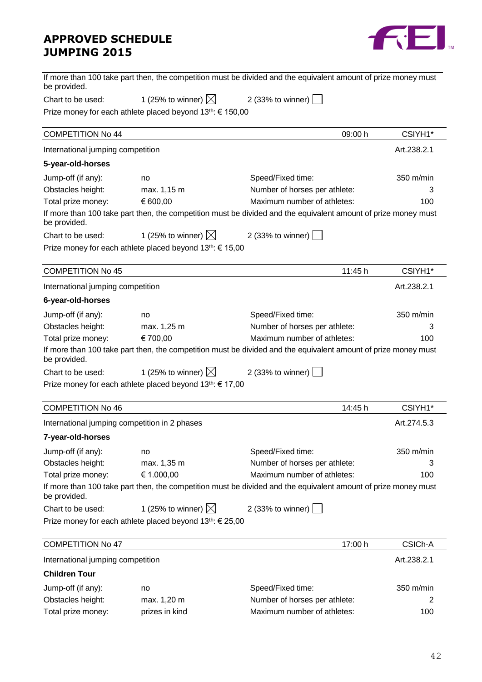

| be provided.                                  |                                                                       | If more than 100 take part then, the competition must be divided and the equivalent amount of prize money must |             |
|-----------------------------------------------|-----------------------------------------------------------------------|----------------------------------------------------------------------------------------------------------------|-------------|
| Chart to be used:                             | 1 (25% to winner) $\boxtimes$                                         | 2 (33% to winner) $ $                                                                                          |             |
|                                               | Prize money for each athlete placed beyond 13th: € 150,00             |                                                                                                                |             |
| <b>COMPETITION No 44</b>                      |                                                                       | 09:00 h                                                                                                        | CSIYH1*     |
| International jumping competition             |                                                                       |                                                                                                                | Art.238.2.1 |
| 5-year-old-horses                             |                                                                       |                                                                                                                |             |
| Jump-off (if any):                            | no                                                                    | Speed/Fixed time:                                                                                              | 350 m/min   |
| Obstacles height:                             | max. 1,15 m                                                           | Number of horses per athlete:                                                                                  | 3           |
| Total prize money:                            | € 600,00                                                              | Maximum number of athletes:                                                                                    | 100         |
| be provided.                                  |                                                                       | If more than 100 take part then, the competition must be divided and the equivalent amount of prize money must |             |
| Chart to be used:                             | 1 (25% to winner) $\boxtimes$                                         | 2 (33% to winner)                                                                                              |             |
|                                               | Prize money for each athlete placed beyond 13 <sup>th</sup> : € 15,00 |                                                                                                                |             |
| <b>COMPETITION No 45</b>                      |                                                                       | 11:45 h                                                                                                        | CSIYH1*     |
| International jumping competition             |                                                                       |                                                                                                                | Art.238.2.1 |
| 6-year-old-horses                             |                                                                       |                                                                                                                |             |
| Jump-off (if any):                            | no                                                                    | Speed/Fixed time:                                                                                              | 350 m/min   |
| Obstacles height:                             | max. 1,25 m                                                           | Number of horses per athlete:                                                                                  | 3           |
| Total prize money:                            | € 700,00                                                              | Maximum number of athletes:                                                                                    | 100         |
| be provided.                                  |                                                                       | If more than 100 take part then, the competition must be divided and the equivalent amount of prize money must |             |
| Chart to be used:                             | 1 (25% to winner) $\boxtimes$ 2 (33% to winner)                       |                                                                                                                |             |
|                                               | Prize money for each athlete placed beyond 13 <sup>th</sup> : € 17,00 |                                                                                                                |             |
| <b>COMPETITION No 46</b>                      |                                                                       | 14:45 h                                                                                                        | CSIYH1*     |
| International jumping competition in 2 phases |                                                                       |                                                                                                                | Art.274.5.3 |
| 7-year-old-horses                             |                                                                       |                                                                                                                |             |
| Jump-off (if any):                            | no                                                                    | Speed/Fixed time:                                                                                              | 350 m/min   |
| Obstacles height:                             | max. 1,35 m                                                           | Number of horses per athlete:                                                                                  |             |
| Total prize money:                            | € 1.000,00                                                            | Maximum number of athletes:                                                                                    | 100         |
| be provided.                                  |                                                                       | If more than 100 take part then, the competition must be divided and the equivalent amount of prize money must |             |
| Chart to be used:                             | 1 (25% to winner) $\boxtimes$                                         | 2 (33% to winner) $\vert$                                                                                      |             |
|                                               | Prize money for each athlete placed beyond 13 <sup>th</sup> : € 25,00 |                                                                                                                |             |
| <b>COMPETITION No 47</b>                      |                                                                       | 17:00 h                                                                                                        | CSICh-A     |
| International jumping competition             |                                                                       |                                                                                                                | Art.238.2.1 |

### **Children Tour**

| Jump-off (if any): | no             | Speed/Fixed time:             | $350 \text{ m/min}$ |
|--------------------|----------------|-------------------------------|---------------------|
| Obstacles height:  | max. 1,20 m    | Number of horses per athlete: |                     |
| Total prize money: | prizes in kind | Maximum number of athletes:   | 100                 |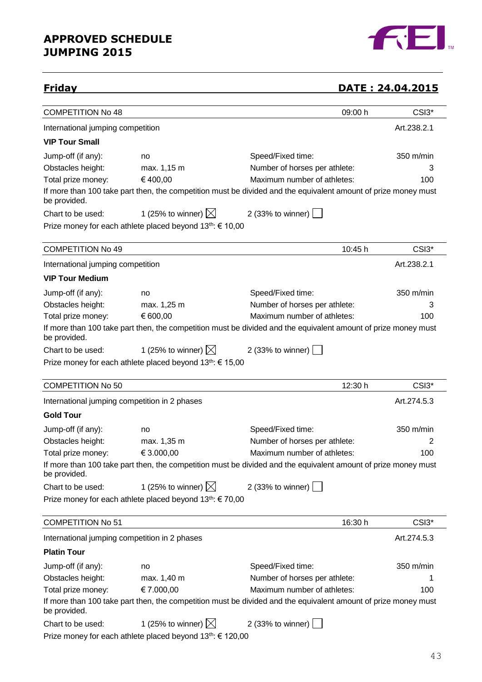

## **Friday DATE : 24.04.2015**

| <b>COMPETITION No 48</b>                      |                                                                        |                                                                                                                | 09:00 h | CSI3*       |
|-----------------------------------------------|------------------------------------------------------------------------|----------------------------------------------------------------------------------------------------------------|---------|-------------|
| International jumping competition             |                                                                        |                                                                                                                |         | Art.238.2.1 |
| <b>VIP Tour Small</b>                         |                                                                        |                                                                                                                |         |             |
| Jump-off (if any):                            | no                                                                     | Speed/Fixed time:                                                                                              |         | 350 m/min   |
| Obstacles height:                             | max. 1,15 m                                                            | Number of horses per athlete:                                                                                  |         | 3           |
| Total prize money:                            | €400,00                                                                | Maximum number of athletes:                                                                                    |         | 100         |
| be provided.                                  |                                                                        | If more than 100 take part then, the competition must be divided and the equivalent amount of prize money must |         |             |
| Chart to be used:                             | 1 (25% to winner) $\boxtimes$                                          | 2 (33% to winner) $\vert$                                                                                      |         |             |
|                                               | Prize money for each athlete placed beyond 13th: € 10,00               |                                                                                                                |         |             |
| <b>COMPETITION No 49</b>                      |                                                                        |                                                                                                                | 10:45 h | CSI3*       |
|                                               |                                                                        |                                                                                                                |         |             |
| International jumping competition             |                                                                        |                                                                                                                |         | Art.238.2.1 |
| <b>VIP Tour Medium</b>                        |                                                                        |                                                                                                                |         |             |
| Jump-off (if any):                            | no                                                                     | Speed/Fixed time:                                                                                              |         | 350 m/min   |
| Obstacles height:                             | max. 1,25 m                                                            | Number of horses per athlete:                                                                                  |         | 3           |
| Total prize money:                            | € 600,00                                                               | Maximum number of athletes:                                                                                    |         | 100         |
| be provided.                                  |                                                                        | If more than 100 take part then, the competition must be divided and the equivalent amount of prize money must |         |             |
| Chart to be used:                             | 1 (25% to winner) $\boxtimes$                                          | 2 (33% to winner) $\vert$                                                                                      |         |             |
|                                               | Prize money for each athlete placed beyond $13^{th}$ : € 15,00         |                                                                                                                |         |             |
| <b>COMPETITION No 50</b>                      |                                                                        |                                                                                                                | 12:30 h | CSI3*       |
| International jumping competition in 2 phases |                                                                        |                                                                                                                |         | Art.274.5.3 |
| <b>Gold Tour</b>                              |                                                                        |                                                                                                                |         |             |
| Jump-off (if any):                            | no                                                                     | Speed/Fixed time:                                                                                              |         | 350 m/min   |
| Obstacles height:                             | max. 1,35 m                                                            | Number of horses per athlete:                                                                                  |         | 2           |
| Total prize money:                            | € 3.000,00                                                             | Maximum number of athletes:                                                                                    |         | 100         |
| be provided.                                  |                                                                        | If more than 100 take part then, the competition must be divided and the equivalent amount of prize money must |         |             |
| Chart to be used:                             | 1 (25% to winner) $\boxtimes$                                          | 2 (33% to winner)                                                                                              |         |             |
|                                               | Prize money for each athlete placed beyond 13th: € 70,00               |                                                                                                                |         |             |
| <b>COMPETITION No 51</b>                      |                                                                        |                                                                                                                | 16:30 h | CSI3*       |
| International jumping competition in 2 phases |                                                                        |                                                                                                                |         | Art.274.5.3 |
| <b>Platin Tour</b>                            |                                                                        |                                                                                                                |         |             |
| Jump-off (if any):                            | no                                                                     | Speed/Fixed time:                                                                                              |         | 350 m/min   |
| Obstacles height:                             | max. 1,40 m                                                            | Number of horses per athlete:                                                                                  |         |             |
| Total prize money:                            | € 7.000,00                                                             | Maximum number of athletes:                                                                                    |         | 100         |
|                                               |                                                                        | If more than 100 take part then, the competition must be divided and the equivalent amount of prize money must |         |             |
| be provided.                                  |                                                                        |                                                                                                                |         |             |
| Chart to be used:                             | 1 (25% to winner) $\boxtimes$                                          | 2 (33% to winner)                                                                                              |         |             |
|                                               | Prize money for each athlete placed beyond 13 <sup>th</sup> : € 120,00 |                                                                                                                |         |             |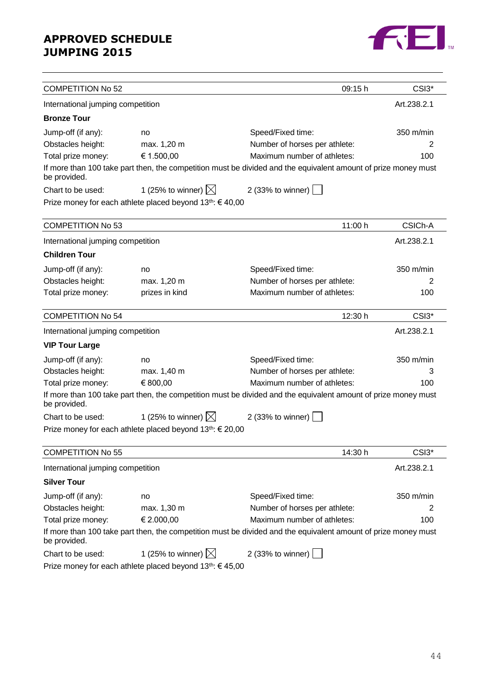

| <b>COMPETITION No 52</b>          |                                                                       | 09:15 h                                                                                                        | CSI3*       |
|-----------------------------------|-----------------------------------------------------------------------|----------------------------------------------------------------------------------------------------------------|-------------|
| International jumping competition |                                                                       |                                                                                                                | Art.238.2.1 |
| <b>Bronze Tour</b>                |                                                                       |                                                                                                                |             |
| Jump-off (if any):                | no                                                                    | Speed/Fixed time:                                                                                              | 350 m/min   |
| Obstacles height:                 | max. 1,20 m                                                           | Number of horses per athlete:                                                                                  | 2           |
| Total prize money:                | € 1.500,00                                                            | Maximum number of athletes:                                                                                    | 100         |
| be provided.                      |                                                                       | If more than 100 take part then, the competition must be divided and the equivalent amount of prize money must |             |
| Chart to be used:                 | 1 (25% to winner) $\boxtimes$                                         | 2 (33% to winner)                                                                                              |             |
|                                   | Prize money for each athlete placed beyond 13 <sup>th</sup> : €40,00  |                                                                                                                |             |
| <b>COMPETITION No 53</b>          |                                                                       | 11:00 h                                                                                                        | CSICh-A     |
| International jumping competition |                                                                       |                                                                                                                | Art.238.2.1 |
| <b>Children Tour</b>              |                                                                       |                                                                                                                |             |
| Jump-off (if any):                | no                                                                    | Speed/Fixed time:                                                                                              | 350 m/min   |
| Obstacles height:                 | max. 1,20 m                                                           | Number of horses per athlete:                                                                                  | 2           |
| Total prize money:                | prizes in kind                                                        | Maximum number of athletes:                                                                                    | 100         |
| <b>COMPETITION No 54</b>          |                                                                       | 12:30 h                                                                                                        | CSI3*       |
| International jumping competition |                                                                       |                                                                                                                | Art.238.2.1 |
| <b>VIP Tour Large</b>             |                                                                       |                                                                                                                |             |
| Jump-off (if any):                | no                                                                    | Speed/Fixed time:                                                                                              | 350 m/min   |
| Obstacles height:                 | max. 1,40 m                                                           | Number of horses per athlete:                                                                                  | 3           |
| Total prize money:                | € 800,00                                                              | Maximum number of athletes:                                                                                    | 100         |
| be provided.                      |                                                                       | If more than 100 take part then, the competition must be divided and the equivalent amount of prize money must |             |
| Chart to be used:                 | 1 (25% to winner) $\boxtimes$                                         | 2 (33% to winner)                                                                                              |             |
|                                   | Prize money for each athlete placed beyond 13 <sup>th</sup> : € 20,00 |                                                                                                                |             |
| <b>COMPETITION No 55</b>          |                                                                       | 14:30 h                                                                                                        | CSI3*       |
| International jumping competition |                                                                       |                                                                                                                | Art.238.2.1 |
| <b>Silver Tour</b>                |                                                                       |                                                                                                                |             |
| Jump-off (if any):                | no                                                                    | Speed/Fixed time:                                                                                              | 350 m/min   |
| Obstacles height:                 | max. 1,30 m                                                           | Number of horses per athlete:                                                                                  | 2           |
| Total prize money:                | € 2.000,00                                                            | Maximum number of athletes:                                                                                    | 100         |
| be provided.                      |                                                                       | If more than 100 take part then, the competition must be divided and the equivalent amount of prize money must |             |
| Chart to be used:                 | 1 (25% to winner) $\boxtimes$                                         | 2 (33% to winner) $\lfloor$                                                                                    |             |
|                                   | Prize money for each athlete placed beyond 13 <sup>th</sup> : €45,00  |                                                                                                                |             |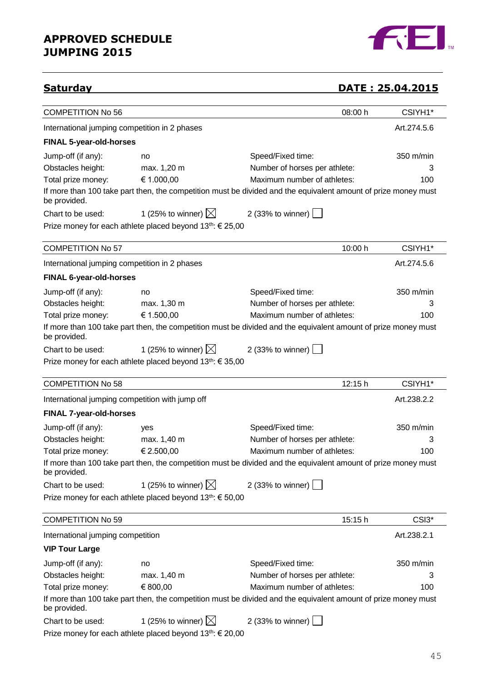

## **Saturday DATE : 25.04.2015**

| <b>COMPETITION No 56</b>                        |                                                                       | 08:00 h                                                                                                        | CSIYH1*     |
|-------------------------------------------------|-----------------------------------------------------------------------|----------------------------------------------------------------------------------------------------------------|-------------|
| International jumping competition in 2 phases   |                                                                       |                                                                                                                | Art.274.5.6 |
| <b>FINAL 5-year-old-horses</b>                  |                                                                       |                                                                                                                |             |
| Jump-off (if any):                              | no                                                                    | Speed/Fixed time:                                                                                              | 350 m/min   |
| Obstacles height:                               | max. 1,20 m                                                           | Number of horses per athlete:                                                                                  | 3           |
| Total prize money:                              | € 1.000,00                                                            | Maximum number of athletes:                                                                                    | 100         |
| be provided.                                    |                                                                       | If more than 100 take part then, the competition must be divided and the equivalent amount of prize money must |             |
| Chart to be used:                               | 1 (25% to winner) $\boxtimes$                                         | 2 (33% to winner) $\Box$                                                                                       |             |
|                                                 | Prize money for each athlete placed beyond $13^{th}$ : $\in$ 25,00    |                                                                                                                |             |
| <b>COMPETITION No 57</b>                        |                                                                       | 10:00 h                                                                                                        | CSIYH1*     |
| International jumping competition in 2 phases   |                                                                       |                                                                                                                | Art.274.5.6 |
| <b>FINAL 6-year-old-horses</b>                  |                                                                       |                                                                                                                |             |
| Jump-off (if any):                              | no                                                                    | Speed/Fixed time:                                                                                              | 350 m/min   |
| Obstacles height:                               | max. 1,30 m                                                           | Number of horses per athlete:                                                                                  | 3           |
| Total prize money:                              | € 1.500,00                                                            | Maximum number of athletes:                                                                                    | 100         |
| be provided.                                    |                                                                       | If more than 100 take part then, the competition must be divided and the equivalent amount of prize money must |             |
| Chart to be used:                               | 1 (25% to winner) $\boxtimes$                                         | 2 (33% to winner) $\vert$                                                                                      |             |
|                                                 | Prize money for each athlete placed beyond $13^{th}$ : € 35,00        |                                                                                                                |             |
|                                                 |                                                                       |                                                                                                                |             |
| <b>COMPETITION No 58</b>                        |                                                                       | 12:15 h                                                                                                        | CSIYH1*     |
| International jumping competition with jump off |                                                                       |                                                                                                                | Art.238.2.2 |
| <b>FINAL 7-year-old-horses</b>                  |                                                                       |                                                                                                                |             |
| Jump-off (if any):                              | yes                                                                   | Speed/Fixed time:                                                                                              | 350 m/min   |
| Obstacles height:                               | max. 1,40 m                                                           | Number of horses per athlete:                                                                                  | 3           |
| Total prize money:                              | € 2.500,00                                                            | Maximum number of athletes:                                                                                    | 100         |
| be provided.                                    |                                                                       | If more than 100 take part then, the competition must be divided and the equivalent amount of prize money must |             |
| Chart to be used:                               | 1 (25% to winner) $\boxtimes$                                         | 2 (33% to winner)                                                                                              |             |
|                                                 | Prize money for each athlete placed beyond 13th: € 50,00              |                                                                                                                |             |
| <b>COMPETITION No 59</b>                        |                                                                       | 15:15 h                                                                                                        | CSI3*       |
| International jumping competition               |                                                                       |                                                                                                                | Art.238.2.1 |
| <b>VIP Tour Large</b>                           |                                                                       |                                                                                                                |             |
| Jump-off (if any):                              | no                                                                    | Speed/Fixed time:                                                                                              | 350 m/min   |
| Obstacles height:                               | max. 1,40 m                                                           | Number of horses per athlete:                                                                                  | 3           |
| Total prize money:                              | € 800,00                                                              | Maximum number of athletes:                                                                                    | 100         |
| be provided.                                    |                                                                       | If more than 100 take part then, the competition must be divided and the equivalent amount of prize money must |             |
| Chart to be used:                               | 1 (25% to winner) $\boxtimes$                                         | 2 (33% to winner)                                                                                              |             |
|                                                 | Prize money for each athlete placed beyond 13 <sup>th</sup> : € 20,00 |                                                                                                                |             |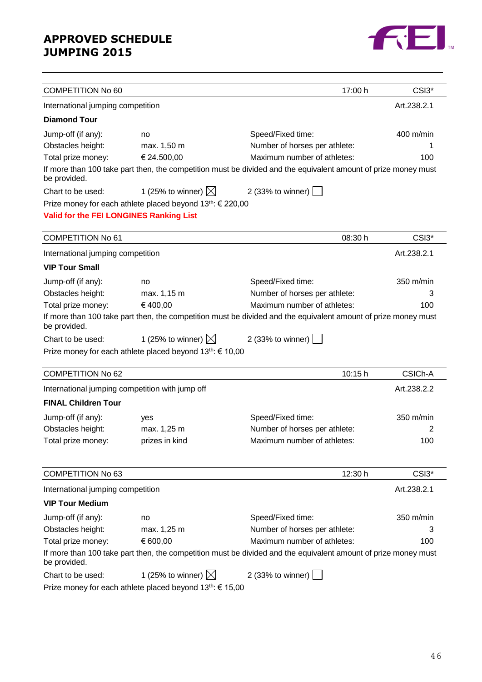

| <b>COMPETITION No 60</b>                        |                                                                        | 17:00 h                                                                                                        | CSI3 <sup>*</sup> |
|-------------------------------------------------|------------------------------------------------------------------------|----------------------------------------------------------------------------------------------------------------|-------------------|
| International jumping competition               |                                                                        |                                                                                                                | Art.238.2.1       |
| <b>Diamond Tour</b>                             |                                                                        |                                                                                                                |                   |
| Jump-off (if any):                              | no                                                                     | Speed/Fixed time:                                                                                              | 400 m/min         |
| Obstacles height:                               | max. 1,50 m                                                            | Number of horses per athlete:                                                                                  |                   |
| Total prize money:                              | € 24.500,00                                                            | Maximum number of athletes:                                                                                    | 100               |
| be provided.                                    |                                                                        | If more than 100 take part then, the competition must be divided and the equivalent amount of prize money must |                   |
| Chart to be used:                               | 1 (25% to winner) $\boxtimes$                                          | 2 (33% to winner) $\boxed{\phantom{a}}$                                                                        |                   |
|                                                 | Prize money for each athlete placed beyond 13 <sup>th</sup> : € 220,00 |                                                                                                                |                   |
| <b>Valid for the FEI LONGINES Ranking List</b>  |                                                                        |                                                                                                                |                   |
|                                                 |                                                                        |                                                                                                                |                   |
| <b>COMPETITION No 61</b>                        |                                                                        | 08:30 h                                                                                                        | CSI3 <sup>*</sup> |
| International jumping competition               |                                                                        |                                                                                                                | Art.238.2.1       |
| <b>VIP Tour Small</b>                           |                                                                        |                                                                                                                |                   |
| Jump-off (if any):                              | no                                                                     | Speed/Fixed time:                                                                                              | 350 m/min         |
| Obstacles height:                               | max. 1,15 m                                                            | Number of horses per athlete:                                                                                  | 3                 |
| Total prize money:                              | €400,00                                                                | Maximum number of athletes:                                                                                    | 100               |
| be provided.                                    |                                                                        | If more than 100 take part then, the competition must be divided and the equivalent amount of prize money must |                   |
| Chart to be used:                               | 1 (25% to winner) $\boxtimes$                                          | 2 (33% to winner) $\lfloor$                                                                                    |                   |
|                                                 | Prize money for each athlete placed beyond 13 <sup>th</sup> : € 10,00  |                                                                                                                |                   |
| <b>COMPETITION No 62</b>                        |                                                                        | 10:15 h                                                                                                        | CSICh-A           |
| International jumping competition with jump off |                                                                        |                                                                                                                | Art.238.2.2       |
| <b>FINAL Children Tour</b>                      |                                                                        |                                                                                                                |                   |
| Jump-off (if any):                              | yes                                                                    | Speed/Fixed time:                                                                                              | 350 m/min         |
| Obstacles height:                               | max. 1,25 m                                                            | Number of horses per athlete:                                                                                  | 2                 |
| Total prize money:                              | prizes in kind                                                         | Maximum number of athletes:                                                                                    | 100               |
|                                                 |                                                                        |                                                                                                                |                   |
| <b>COMPETITION No 63</b>                        |                                                                        | 12:30 h                                                                                                        | CSI3*             |
| International jumping competition               |                                                                        |                                                                                                                | Art.238.2.1       |
| <b>VIP Tour Medium</b>                          |                                                                        |                                                                                                                |                   |
| Jump-off (if any):                              | no                                                                     | Speed/Fixed time:                                                                                              | 350 m/min         |
| Obstacles height:                               | max. 1,25 m                                                            | Number of horses per athlete:                                                                                  | 3                 |
| Total prize money:                              | € 600,00                                                               | Maximum number of athletes:                                                                                    | 100               |
| be provided.                                    |                                                                        | If more than 100 take part then, the competition must be divided and the equivalent amount of prize money must |                   |
| Chart to be used:                               | 1 (25% to winner) $\boxtimes$                                          | 2 (33% to winner) $\vert$                                                                                      |                   |
|                                                 | Prize money for each athlete placed beyond 13 <sup>th</sup> : € 15,00  |                                                                                                                |                   |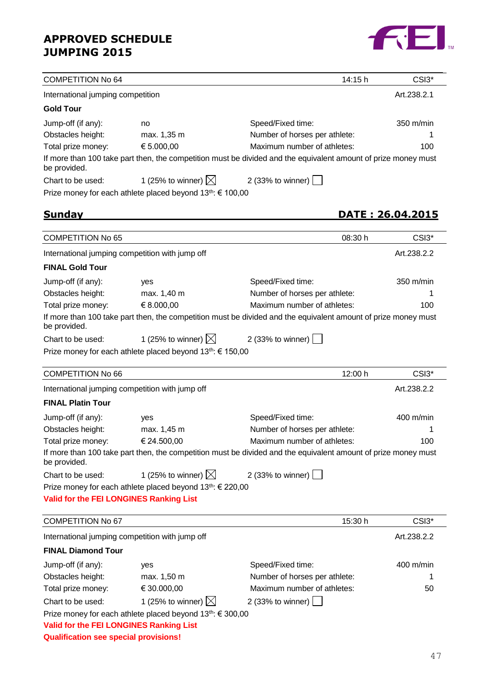

| <b>COMPETITION No 64</b>                       |                                                                        | 14:15 h                                                                                                        | CSI3*                     |
|------------------------------------------------|------------------------------------------------------------------------|----------------------------------------------------------------------------------------------------------------|---------------------------|
| International jumping competition              |                                                                        |                                                                                                                | Art.238.2.1               |
| <b>Gold Tour</b>                               |                                                                        |                                                                                                                |                           |
| Jump-off (if any):                             | no                                                                     | Speed/Fixed time:                                                                                              | 350 m/min                 |
| Obstacles height:                              | max. 1,35 m                                                            | Number of horses per athlete:                                                                                  |                           |
| Total prize money:                             | € 5.000,00                                                             | Maximum number of athletes:                                                                                    | 100                       |
| be provided.                                   |                                                                        | If more than 100 take part then, the competition must be divided and the equivalent amount of prize money must |                           |
| Chart to be used:                              | 1 (25% to winner) $\boxtimes$                                          | 2 (33% to winner) [                                                                                            |                           |
|                                                | Prize money for each athlete placed beyond 13th: € 100,00              |                                                                                                                |                           |
|                                                |                                                                        |                                                                                                                |                           |
| <b>Sunday</b>                                  |                                                                        |                                                                                                                | <u> DATE : 26.04.2015</u> |
| <b>COMPETITION No 65</b>                       |                                                                        | 08:30 h                                                                                                        | CSI3 <sup>*</sup>         |
|                                                | International jumping competition with jump off                        |                                                                                                                | Art.238.2.2               |
| <b>FINAL Gold Tour</b>                         |                                                                        |                                                                                                                |                           |
| Jump-off (if any):                             | yes                                                                    | Speed/Fixed time:                                                                                              | $350 \text{ m/min}$       |
| Obstacles height:                              | max. 1,40 m                                                            | Number of horses per athlete:                                                                                  |                           |
| Total prize money:                             | € 8.000,00                                                             | Maximum number of athletes:                                                                                    | 100                       |
| be provided.                                   |                                                                        | If more than 100 take part then, the competition must be divided and the equivalent amount of prize money must |                           |
| Chart to be used:                              | 1 (25% to winner) $\boxtimes$                                          | 2 (33% to winner) [                                                                                            |                           |
|                                                | Prize money for each athlete placed beyond 13 <sup>th</sup> : € 150,00 |                                                                                                                |                           |
|                                                |                                                                        |                                                                                                                |                           |
| <b>COMPETITION No 66</b>                       |                                                                        | 12:00 h                                                                                                        | CSI3 <sup>*</sup>         |
|                                                | International jumping competition with jump off                        |                                                                                                                | Art.238.2.2               |
| <b>FINAL Platin Tour</b>                       |                                                                        |                                                                                                                |                           |
| Jump-off (if any):                             | yes                                                                    | Speed/Fixed time:                                                                                              | $400 \text{ m/min}$       |
| Obstacles height:                              | max. 1,45 m                                                            | Number of horses per athlete:                                                                                  | 1                         |
| Total prize money:                             | € 24.500,00                                                            | Maximum number of athletes:                                                                                    | 100                       |
| be provided.                                   |                                                                        | If more than 100 take part then, the competition must be divided and the equivalent amount of prize money must |                           |
| Chart to be used:                              | 1 (25% to winner) $\boxtimes$                                          | 2 (33% to winner) $\lfloor$                                                                                    |                           |
|                                                | Prize money for each athlete placed beyond 13 <sup>th</sup> : € 220,00 |                                                                                                                |                           |
| <b>Valid for the FEI LONGINES Ranking List</b> |                                                                        |                                                                                                                |                           |
| <b>COMPETITION No 67</b>                       |                                                                        | 15:30 h                                                                                                        | CSI3 <sup>*</sup>         |
|                                                | International jumping competition with jump off                        |                                                                                                                | Art.238.2.2               |
| <b>FINAL Diamond Tour</b>                      |                                                                        |                                                                                                                |                           |
|                                                |                                                                        |                                                                                                                |                           |
| Jump-off (if any):                             | yes                                                                    | Speed/Fixed time:                                                                                              | 400 m/min                 |
| Obstacles height:                              | max. 1,50 m                                                            | Number of horses per athlete:                                                                                  |                           |
| Total prize money:                             | € 30.000,00                                                            | Maximum number of athletes:                                                                                    | 50                        |
| Chart to be used:                              | 1 (25% to winner) $\boxtimes$                                          | 2 (33% to winner)                                                                                              |                           |
|                                                | Prize money for each athlete placed beyond 13 <sup>th</sup> : € 300,00 |                                                                                                                |                           |
| <b>Valid for the FEI LONGINES Ranking List</b> |                                                                        |                                                                                                                |                           |
| <b>Qualification see special provisions!</b>   |                                                                        |                                                                                                                |                           |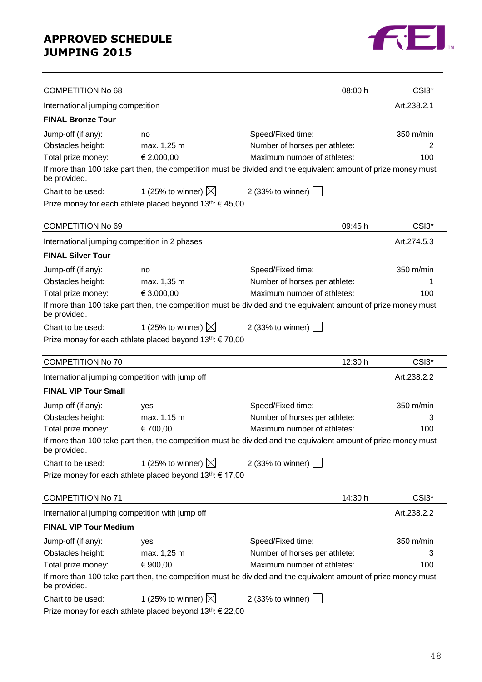

| <b>COMPETITION No 68</b><br>08:00 h<br>CSI3*<br>Art.238.2.1<br>International jumping competition<br><b>FINAL Bronze Tour</b><br>350 m/min<br>Jump-off (if any):<br>Speed/Fixed time:<br>no<br>Obstacles height:<br>Number of horses per athlete:<br>max. 1,25 m<br>2<br>€ 2.000,00<br>Maximum number of athletes:<br>Total prize money:<br>100<br>If more than 100 take part then, the competition must be divided and the equivalent amount of prize money must<br>be provided.<br>1 (25% to winner) $\boxtimes$<br>2 (33% to winner) $\vert$<br>Chart to be used:<br>Prize money for each athlete placed beyond 13 <sup>th</sup> : €45,00<br><b>COMPETITION No 69</b><br>09:45 h<br>CSI3*<br>International jumping competition in 2 phases<br>Art.274.5.3<br><b>FINAL Silver Tour</b><br>Jump-off (if any):<br>350 m/min<br>Speed/Fixed time:<br>no<br>Obstacles height:<br>Number of horses per athlete:<br>max. 1,35 m<br>1<br>€ 3.000,00<br>Maximum number of athletes:<br>Total prize money:<br>100<br>If more than 100 take part then, the competition must be divided and the equivalent amount of prize money must<br>be provided.<br>1 (25% to winner) $\boxtimes$<br>2 (33% to winner) $\boxed{\phantom{1}}$<br>Chart to be used:<br>Prize money for each athlete placed beyond $13^{th}$ : $\in$ 70,00<br><b>COMPETITION No 70</b><br>12:30 h<br>CSI3 <sup>*</sup><br>International jumping competition with jump off<br>Art.238.2.2<br><b>FINAL VIP Tour Small</b><br>350 m/min<br>Jump-off (if any):<br>Speed/Fixed time:<br>yes<br>Obstacles height:<br>Number of horses per athlete:<br>max. 1,15 m<br>3<br>€ 700,00<br>Maximum number of athletes:<br>Total prize money:<br>100 |  |
|--------------------------------------------------------------------------------------------------------------------------------------------------------------------------------------------------------------------------------------------------------------------------------------------------------------------------------------------------------------------------------------------------------------------------------------------------------------------------------------------------------------------------------------------------------------------------------------------------------------------------------------------------------------------------------------------------------------------------------------------------------------------------------------------------------------------------------------------------------------------------------------------------------------------------------------------------------------------------------------------------------------------------------------------------------------------------------------------------------------------------------------------------------------------------------------------------------------------------------------------------------------------------------------------------------------------------------------------------------------------------------------------------------------------------------------------------------------------------------------------------------------------------------------------------------------------------------------------------------------------------------------------------------------------------------------------------|--|
|                                                                                                                                                                                                                                                                                                                                                                                                                                                                                                                                                                                                                                                                                                                                                                                                                                                                                                                                                                                                                                                                                                                                                                                                                                                                                                                                                                                                                                                                                                                                                                                                                                                                                                  |  |
|                                                                                                                                                                                                                                                                                                                                                                                                                                                                                                                                                                                                                                                                                                                                                                                                                                                                                                                                                                                                                                                                                                                                                                                                                                                                                                                                                                                                                                                                                                                                                                                                                                                                                                  |  |
|                                                                                                                                                                                                                                                                                                                                                                                                                                                                                                                                                                                                                                                                                                                                                                                                                                                                                                                                                                                                                                                                                                                                                                                                                                                                                                                                                                                                                                                                                                                                                                                                                                                                                                  |  |
|                                                                                                                                                                                                                                                                                                                                                                                                                                                                                                                                                                                                                                                                                                                                                                                                                                                                                                                                                                                                                                                                                                                                                                                                                                                                                                                                                                                                                                                                                                                                                                                                                                                                                                  |  |
|                                                                                                                                                                                                                                                                                                                                                                                                                                                                                                                                                                                                                                                                                                                                                                                                                                                                                                                                                                                                                                                                                                                                                                                                                                                                                                                                                                                                                                                                                                                                                                                                                                                                                                  |  |
|                                                                                                                                                                                                                                                                                                                                                                                                                                                                                                                                                                                                                                                                                                                                                                                                                                                                                                                                                                                                                                                                                                                                                                                                                                                                                                                                                                                                                                                                                                                                                                                                                                                                                                  |  |
|                                                                                                                                                                                                                                                                                                                                                                                                                                                                                                                                                                                                                                                                                                                                                                                                                                                                                                                                                                                                                                                                                                                                                                                                                                                                                                                                                                                                                                                                                                                                                                                                                                                                                                  |  |
|                                                                                                                                                                                                                                                                                                                                                                                                                                                                                                                                                                                                                                                                                                                                                                                                                                                                                                                                                                                                                                                                                                                                                                                                                                                                                                                                                                                                                                                                                                                                                                                                                                                                                                  |  |
|                                                                                                                                                                                                                                                                                                                                                                                                                                                                                                                                                                                                                                                                                                                                                                                                                                                                                                                                                                                                                                                                                                                                                                                                                                                                                                                                                                                                                                                                                                                                                                                                                                                                                                  |  |
|                                                                                                                                                                                                                                                                                                                                                                                                                                                                                                                                                                                                                                                                                                                                                                                                                                                                                                                                                                                                                                                                                                                                                                                                                                                                                                                                                                                                                                                                                                                                                                                                                                                                                                  |  |
|                                                                                                                                                                                                                                                                                                                                                                                                                                                                                                                                                                                                                                                                                                                                                                                                                                                                                                                                                                                                                                                                                                                                                                                                                                                                                                                                                                                                                                                                                                                                                                                                                                                                                                  |  |
|                                                                                                                                                                                                                                                                                                                                                                                                                                                                                                                                                                                                                                                                                                                                                                                                                                                                                                                                                                                                                                                                                                                                                                                                                                                                                                                                                                                                                                                                                                                                                                                                                                                                                                  |  |
|                                                                                                                                                                                                                                                                                                                                                                                                                                                                                                                                                                                                                                                                                                                                                                                                                                                                                                                                                                                                                                                                                                                                                                                                                                                                                                                                                                                                                                                                                                                                                                                                                                                                                                  |  |
|                                                                                                                                                                                                                                                                                                                                                                                                                                                                                                                                                                                                                                                                                                                                                                                                                                                                                                                                                                                                                                                                                                                                                                                                                                                                                                                                                                                                                                                                                                                                                                                                                                                                                                  |  |
|                                                                                                                                                                                                                                                                                                                                                                                                                                                                                                                                                                                                                                                                                                                                                                                                                                                                                                                                                                                                                                                                                                                                                                                                                                                                                                                                                                                                                                                                                                                                                                                                                                                                                                  |  |
|                                                                                                                                                                                                                                                                                                                                                                                                                                                                                                                                                                                                                                                                                                                                                                                                                                                                                                                                                                                                                                                                                                                                                                                                                                                                                                                                                                                                                                                                                                                                                                                                                                                                                                  |  |
|                                                                                                                                                                                                                                                                                                                                                                                                                                                                                                                                                                                                                                                                                                                                                                                                                                                                                                                                                                                                                                                                                                                                                                                                                                                                                                                                                                                                                                                                                                                                                                                                                                                                                                  |  |
|                                                                                                                                                                                                                                                                                                                                                                                                                                                                                                                                                                                                                                                                                                                                                                                                                                                                                                                                                                                                                                                                                                                                                                                                                                                                                                                                                                                                                                                                                                                                                                                                                                                                                                  |  |
|                                                                                                                                                                                                                                                                                                                                                                                                                                                                                                                                                                                                                                                                                                                                                                                                                                                                                                                                                                                                                                                                                                                                                                                                                                                                                                                                                                                                                                                                                                                                                                                                                                                                                                  |  |
|                                                                                                                                                                                                                                                                                                                                                                                                                                                                                                                                                                                                                                                                                                                                                                                                                                                                                                                                                                                                                                                                                                                                                                                                                                                                                                                                                                                                                                                                                                                                                                                                                                                                                                  |  |
|                                                                                                                                                                                                                                                                                                                                                                                                                                                                                                                                                                                                                                                                                                                                                                                                                                                                                                                                                                                                                                                                                                                                                                                                                                                                                                                                                                                                                                                                                                                                                                                                                                                                                                  |  |
|                                                                                                                                                                                                                                                                                                                                                                                                                                                                                                                                                                                                                                                                                                                                                                                                                                                                                                                                                                                                                                                                                                                                                                                                                                                                                                                                                                                                                                                                                                                                                                                                                                                                                                  |  |
|                                                                                                                                                                                                                                                                                                                                                                                                                                                                                                                                                                                                                                                                                                                                                                                                                                                                                                                                                                                                                                                                                                                                                                                                                                                                                                                                                                                                                                                                                                                                                                                                                                                                                                  |  |
|                                                                                                                                                                                                                                                                                                                                                                                                                                                                                                                                                                                                                                                                                                                                                                                                                                                                                                                                                                                                                                                                                                                                                                                                                                                                                                                                                                                                                                                                                                                                                                                                                                                                                                  |  |
|                                                                                                                                                                                                                                                                                                                                                                                                                                                                                                                                                                                                                                                                                                                                                                                                                                                                                                                                                                                                                                                                                                                                                                                                                                                                                                                                                                                                                                                                                                                                                                                                                                                                                                  |  |
| If more than 100 take part then, the competition must be divided and the equivalent amount of prize money must<br>be provided.                                                                                                                                                                                                                                                                                                                                                                                                                                                                                                                                                                                                                                                                                                                                                                                                                                                                                                                                                                                                                                                                                                                                                                                                                                                                                                                                                                                                                                                                                                                                                                   |  |
| 1 (25% to winner) $\boxtimes$<br>2 (33% to winner) $\boxed{\phantom{a}}$<br>Chart to be used:                                                                                                                                                                                                                                                                                                                                                                                                                                                                                                                                                                                                                                                                                                                                                                                                                                                                                                                                                                                                                                                                                                                                                                                                                                                                                                                                                                                                                                                                                                                                                                                                    |  |
| Prize money for each athlete placed beyond 13 <sup>th</sup> : € 17,00                                                                                                                                                                                                                                                                                                                                                                                                                                                                                                                                                                                                                                                                                                                                                                                                                                                                                                                                                                                                                                                                                                                                                                                                                                                                                                                                                                                                                                                                                                                                                                                                                            |  |
| 14:30 h<br>CSI3*<br><b>COMPETITION No 71</b>                                                                                                                                                                                                                                                                                                                                                                                                                                                                                                                                                                                                                                                                                                                                                                                                                                                                                                                                                                                                                                                                                                                                                                                                                                                                                                                                                                                                                                                                                                                                                                                                                                                     |  |
| Art.238.2.2<br>International jumping competition with jump off                                                                                                                                                                                                                                                                                                                                                                                                                                                                                                                                                                                                                                                                                                                                                                                                                                                                                                                                                                                                                                                                                                                                                                                                                                                                                                                                                                                                                                                                                                                                                                                                                                   |  |
| <b>FINAL VIP Tour Medium</b>                                                                                                                                                                                                                                                                                                                                                                                                                                                                                                                                                                                                                                                                                                                                                                                                                                                                                                                                                                                                                                                                                                                                                                                                                                                                                                                                                                                                                                                                                                                                                                                                                                                                     |  |
| Speed/Fixed time:<br>350 m/min<br>Jump-off (if any):<br>yes                                                                                                                                                                                                                                                                                                                                                                                                                                                                                                                                                                                                                                                                                                                                                                                                                                                                                                                                                                                                                                                                                                                                                                                                                                                                                                                                                                                                                                                                                                                                                                                                                                      |  |
| Obstacles height:<br>Number of horses per athlete:<br>max. 1,25 m<br>3                                                                                                                                                                                                                                                                                                                                                                                                                                                                                                                                                                                                                                                                                                                                                                                                                                                                                                                                                                                                                                                                                                                                                                                                                                                                                                                                                                                                                                                                                                                                                                                                                           |  |
| Maximum number of athletes:<br>Total prize money:<br>€ 900,00<br>100                                                                                                                                                                                                                                                                                                                                                                                                                                                                                                                                                                                                                                                                                                                                                                                                                                                                                                                                                                                                                                                                                                                                                                                                                                                                                                                                                                                                                                                                                                                                                                                                                             |  |
| If more than 100 take part then, the competition must be divided and the equivalent amount of prize money must<br>be provided.                                                                                                                                                                                                                                                                                                                                                                                                                                                                                                                                                                                                                                                                                                                                                                                                                                                                                                                                                                                                                                                                                                                                                                                                                                                                                                                                                                                                                                                                                                                                                                   |  |
| 1 (25% to winner) $\boxtimes$<br>2 (33% to winner)  <br>Chart to be used:                                                                                                                                                                                                                                                                                                                                                                                                                                                                                                                                                                                                                                                                                                                                                                                                                                                                                                                                                                                                                                                                                                                                                                                                                                                                                                                                                                                                                                                                                                                                                                                                                        |  |
| Prize money for each athlete placed beyond 13 <sup>th</sup> : € 22,00                                                                                                                                                                                                                                                                                                                                                                                                                                                                                                                                                                                                                                                                                                                                                                                                                                                                                                                                                                                                                                                                                                                                                                                                                                                                                                                                                                                                                                                                                                                                                                                                                            |  |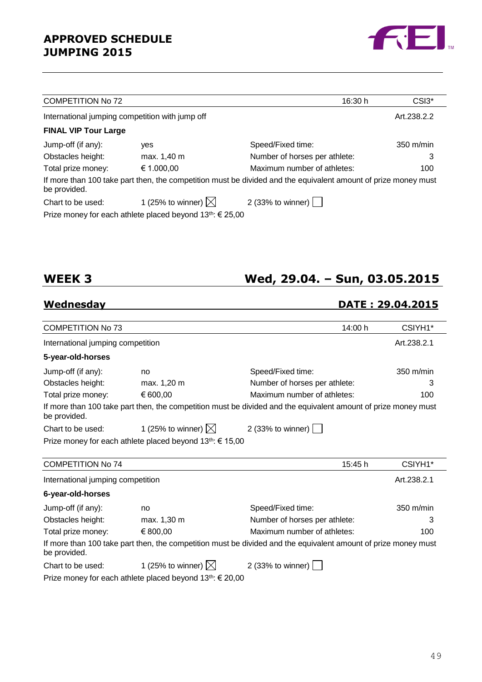

| <b>COMPETITION No 72</b>                        |                                                                    | 16:30 h                                                                                                        | CSI3 <sup>*</sup>   |
|-------------------------------------------------|--------------------------------------------------------------------|----------------------------------------------------------------------------------------------------------------|---------------------|
| International jumping competition with jump off |                                                                    |                                                                                                                | Art.238.2.2         |
| <b>FINAL VIP Tour Large</b>                     |                                                                    |                                                                                                                |                     |
| Jump-off (if any):                              | yes                                                                | Speed/Fixed time:                                                                                              | $350 \text{ m/min}$ |
| Obstacles height:                               | max. 1,40 m                                                        | Number of horses per athlete:                                                                                  | 3                   |
| Total prize money:                              | € 1.000,00                                                         | Maximum number of athletes:                                                                                    | 100                 |
| be provided.                                    |                                                                    | If more than 100 take part then, the competition must be divided and the equivalent amount of prize money must |                     |
| Chart to be used:                               | 1 (25% to winner) $\boxtimes$                                      | 2 (33% to winner) $\vert \ \vert$                                                                              |                     |
|                                                 | Prize money for each athlete placed beyond $13^{th}$ : $\in$ 25,00 |                                                                                                                |                     |

## **WEEK 3 Wed, 29.04. – Sun, 03.05.2015**

## **Wednesday DATE : 29.04.2015**

| <b>COMPETITION No 73</b>          |                                                                    | 14:00 h                                                                                                        | CSIYH1*             |
|-----------------------------------|--------------------------------------------------------------------|----------------------------------------------------------------------------------------------------------------|---------------------|
| International jumping competition |                                                                    |                                                                                                                | Art.238.2.1         |
| 5-year-old-horses                 |                                                                    |                                                                                                                |                     |
| Jump-off (if any):                | no                                                                 | Speed/Fixed time:                                                                                              | $350 \text{ m/min}$ |
| Obstacles height:                 | max. 1,20 m                                                        | Number of horses per athlete:                                                                                  | 3                   |
| Total prize money:                | € 600,00                                                           | Maximum number of athletes:                                                                                    | 100                 |
| be provided.                      |                                                                    | If more than 100 take part then, the competition must be divided and the equivalent amount of prize money must |                     |
| Chart to be used:                 | 1 (25% to winner) $\boxtimes$                                      | 2 (33% to winner) $\vert$                                                                                      |                     |
|                                   | Prize money for each athlete placed beyond 13th: € 15,00           |                                                                                                                |                     |
|                                   |                                                                    |                                                                                                                |                     |
| <b>COMPETITION No 74</b>          |                                                                    | 15:45 h                                                                                                        | CSIYH1*             |
| International jumping competition |                                                                    |                                                                                                                | Art.238.2.1         |
| 6-year-old-horses                 |                                                                    |                                                                                                                |                     |
| Jump-off (if any):                | no                                                                 | Speed/Fixed time:                                                                                              | 350 m/min           |
| Obstacles height:                 | max. 1,30 m                                                        | Number of horses per athlete:                                                                                  | 3                   |
| Total prize money:                | € 800,00                                                           | Maximum number of athletes:                                                                                    | 100                 |
| be provided.                      |                                                                    | If more than 100 take part then, the competition must be divided and the equivalent amount of prize money must |                     |
| Chart to be used:                 | 1 (25% to winner) $\boxtimes$                                      | 2 (33% to winner)                                                                                              |                     |
|                                   | Prize money for each athlete placed beyond $13^{th}$ : $\in$ 20,00 |                                                                                                                |                     |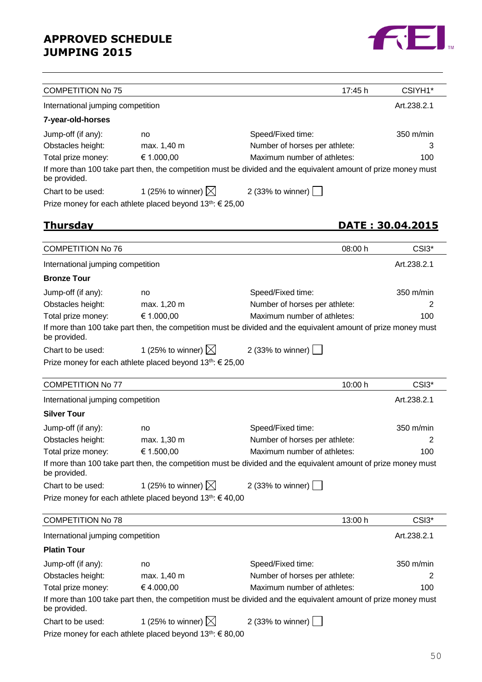

| <b>COMPETITION No 75</b>          |                                                                       | 17:45 h                                                                                                        | CSIYH1*                 |
|-----------------------------------|-----------------------------------------------------------------------|----------------------------------------------------------------------------------------------------------------|-------------------------|
| International jumping competition |                                                                       |                                                                                                                | Art.238.2.1             |
| 7-year-old-horses                 |                                                                       |                                                                                                                |                         |
| Jump-off (if any):                | no                                                                    | Speed/Fixed time:                                                                                              | 350 m/min               |
| Obstacles height:                 | max. 1,40 m                                                           | Number of horses per athlete:                                                                                  | З                       |
| Total prize money:                | € 1.000,00                                                            | Maximum number of athletes:                                                                                    | 100                     |
| be provided.                      |                                                                       | If more than 100 take part then, the competition must be divided and the equivalent amount of prize money must |                         |
| Chart to be used:                 | 1 (25% to winner) $\boxtimes$                                         | 2 (33% to winner)                                                                                              |                         |
|                                   | Prize money for each athlete placed beyond 13th: € 25,00              |                                                                                                                |                         |
| <u>Thursday</u>                   |                                                                       |                                                                                                                | <u>DATE: 30.04.2015</u> |
|                                   |                                                                       |                                                                                                                |                         |
| <b>COMPETITION No 76</b>          |                                                                       | 08:00 h                                                                                                        | CSI3 <sup>*</sup>       |
| International jumping competition |                                                                       |                                                                                                                | Art.238.2.1             |
| <b>Bronze Tour</b>                |                                                                       |                                                                                                                |                         |
| Jump-off (if any):                | no                                                                    | Speed/Fixed time:                                                                                              | $350 \text{ m/min}$     |
| Obstacles height:                 | max. 1,20 m                                                           | Number of horses per athlete:                                                                                  | 2                       |
| Total prize money:                | € 1.000,00                                                            | Maximum number of athletes:                                                                                    | 100                     |
| be provided.                      |                                                                       | If more than 100 take part then, the competition must be divided and the equivalent amount of prize money must |                         |
| Chart to be used:                 | 1 (25% to winner) $\boxtimes$                                         | 2(33% to winner)                                                                                               |                         |
|                                   | Prize money for each athlete placed beyond $13^{th}$ : $\in$ 25,00    |                                                                                                                |                         |
| <b>COMPETITION No 77</b>          |                                                                       | 10:00 h                                                                                                        | CSI3*                   |
|                                   |                                                                       |                                                                                                                |                         |
| International jumping competition |                                                                       |                                                                                                                | Art.238.2.1             |
| <b>Silver Tour</b>                |                                                                       |                                                                                                                |                         |
| Jump-off (if any):                | no                                                                    | Speed/Fixed time:                                                                                              | $350 \text{ m/min}$     |
| Obstacles height:                 | max. 1,30 m                                                           | Number of horses per athlete:                                                                                  | 2                       |
| Total prize money:                | € 1.500,00                                                            | Maximum number of athletes:                                                                                    | 100                     |
| be provided.                      |                                                                       | If more than 100 take part then, the competition must be divided and the equivalent amount of prize money must |                         |
| Chart to be used:                 | 1 (25% to winner) $\boxtimes$                                         | 2 (33% to winner)                                                                                              |                         |
|                                   | Prize money for each athlete placed beyond $13^{th}$ : $640,00$       |                                                                                                                |                         |
| <b>COMPETITION No 78</b>          |                                                                       | 13:00 h                                                                                                        | CSI3*                   |
| International jumping competition |                                                                       |                                                                                                                | Art.238.2.1             |
| <b>Platin Tour</b>                |                                                                       |                                                                                                                |                         |
| Jump-off (if any):                | no                                                                    | Speed/Fixed time:                                                                                              | 350 m/min               |
| Obstacles height:                 | max. 1,40 m                                                           | Number of horses per athlete:                                                                                  | 2                       |
| Total prize money:                | €4.000,00                                                             | Maximum number of athletes:                                                                                    | 100                     |
| be provided.                      |                                                                       | If more than 100 take part then, the competition must be divided and the equivalent amount of prize money must |                         |
| Chart to be used:                 | 1 (25% to winner) $\boxtimes$                                         | 2 (33% to winner)                                                                                              |                         |
|                                   | Prize money for each athlete placed beyond 13 <sup>th</sup> : € 80,00 |                                                                                                                |                         |

50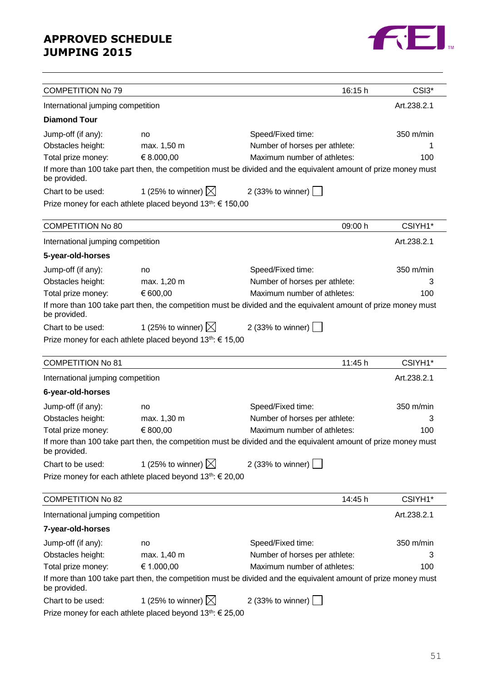

| <b>COMPETITION No 79</b>          |                                                                                                                |                               | 16:15 h | CSI3*       |
|-----------------------------------|----------------------------------------------------------------------------------------------------------------|-------------------------------|---------|-------------|
| International jumping competition |                                                                                                                |                               |         | Art.238.2.1 |
| <b>Diamond Tour</b>               |                                                                                                                |                               |         |             |
| Jump-off (if any):                | no                                                                                                             | Speed/Fixed time:             |         | 350 m/min   |
| Obstacles height:                 | max. 1,50 m                                                                                                    | Number of horses per athlete: |         |             |
| Total prize money:                | € 8.000,00                                                                                                     | Maximum number of athletes:   |         | 100         |
| be provided.                      | If more than 100 take part then, the competition must be divided and the equivalent amount of prize money must |                               |         |             |
| Chart to be used:                 | 1 (25% to winner) $\boxtimes$                                                                                  | 2 (33% to winner)             |         |             |
|                                   | Prize money for each athlete placed beyond 13 <sup>th</sup> : € 150,00                                         |                               |         |             |
| <b>COMPETITION No 80</b>          |                                                                                                                |                               | 09:00 h | CSIYH1*     |
| International jumping competition |                                                                                                                |                               |         | Art.238.2.1 |
| 5-year-old-horses                 |                                                                                                                |                               |         |             |
| Jump-off (if any):                | no                                                                                                             | Speed/Fixed time:             |         | 350 m/min   |
| Obstacles height:                 | max. 1,20 m                                                                                                    | Number of horses per athlete: |         | З           |
| Total prize money:                | € 600,00                                                                                                       | Maximum number of athletes:   |         | 100         |
| be provided.                      | If more than 100 take part then, the competition must be divided and the equivalent amount of prize money must |                               |         |             |
| Chart to be used:                 | 1 (25% to winner) $\boxtimes$                                                                                  | 2 (33% to winner)             |         |             |
|                                   | Prize money for each athlete placed beyond 13 <sup>th</sup> : € 15,00                                          |                               |         |             |
| <b>COMPETITION No 81</b>          |                                                                                                                |                               | 11:45 h | CSIYH1*     |
| International jumping competition |                                                                                                                |                               |         | Art.238.2.1 |
| 6-year-old-horses                 |                                                                                                                |                               |         |             |
| Jump-off (if any):                | no                                                                                                             | Speed/Fixed time:             |         | 350 m/min   |
| Obstacles height:                 | max. 1,30 m                                                                                                    | Number of horses per athlete: |         | З           |
| Total prize money:                | € 800,00                                                                                                       | Maximum number of athletes:   |         | 100         |
| be provided.                      | If more than 100 take part then, the competition must be divided and the equivalent amount of prize money must |                               |         |             |
| Chart to be used:                 | 1 (25% to winner) $\boxtimes$                                                                                  | 2 (33% to winner)             |         |             |
|                                   | Prize money for each athlete placed beyond 13th: € 20,00                                                       |                               |         |             |
| <b>COMPETITION No 82</b>          |                                                                                                                |                               | 14:45 h | CSIYH1*     |
| International jumping competition |                                                                                                                |                               |         | Art.238.2.1 |
| 7-year-old-horses                 |                                                                                                                |                               |         |             |
| Jump-off (if any):                | no                                                                                                             | Speed/Fixed time:             |         | 350 m/min   |
| Obstacles height:                 | max. 1,40 m                                                                                                    | Number of horses per athlete: |         | 3           |
| Total prize money:                | € 1.000,00                                                                                                     | Maximum number of athletes:   |         | 100         |
| be provided.                      | If more than 100 take part then, the competition must be divided and the equivalent amount of prize money must |                               |         |             |
| Chart to be used:                 | 1 (25% to winner) $\boxtimes$                                                                                  | 2 (33% to winner)             |         |             |
|                                   | Prize money for each athlete placed beyond $13^{th}$ : $\in$ 25,00                                             |                               |         |             |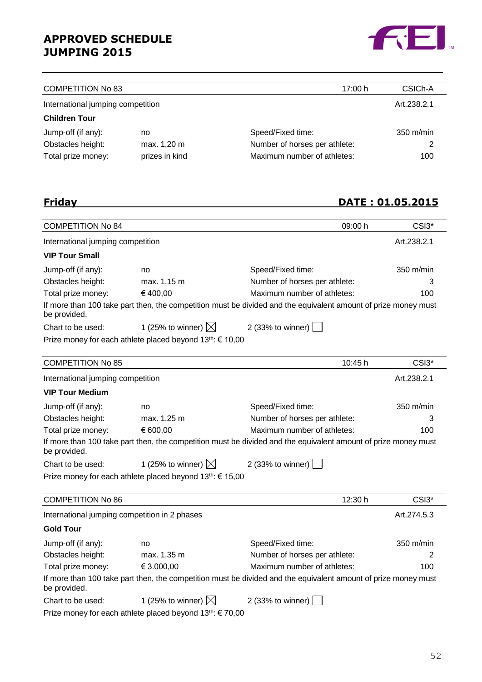

| <b>COMPETITION No 83</b>          |                | 17:00 h                       | CSIC <sub>h</sub> -A |
|-----------------------------------|----------------|-------------------------------|----------------------|
| International jumping competition |                |                               | Art.238.2.1          |
| <b>Children Tour</b>              |                |                               |                      |
| Jump-off (if any):                | no             | Speed/Fixed time:             | $350 \text{ m/min}$  |
| Obstacles height:                 | max. 1,20 m    | Number of horses per athlete: | 2                    |
| Total prize money:                | prizes in kind | Maximum number of athletes:   | 100                  |

## **Friday DATE : 01.05.2015**

| <b>COMPETITION No 84</b>                                        |                                                                       | 09:00 h                                                                                                        | CSI3*               |  |  |
|-----------------------------------------------------------------|-----------------------------------------------------------------------|----------------------------------------------------------------------------------------------------------------|---------------------|--|--|
| International jumping competition                               |                                                                       |                                                                                                                | Art.238.2.1         |  |  |
| <b>VIP Tour Small</b>                                           |                                                                       |                                                                                                                |                     |  |  |
| Jump-off (if any):                                              | no                                                                    | Speed/Fixed time:                                                                                              | 350 m/min           |  |  |
| Obstacles height:                                               | max. 1,15 m                                                           | Number of horses per athlete:                                                                                  | 3                   |  |  |
| Total prize money:                                              | €400,00                                                               | Maximum number of athletes:                                                                                    | 100                 |  |  |
| be provided.                                                    |                                                                       | If more than 100 take part then, the competition must be divided and the equivalent amount of prize money must |                     |  |  |
| Chart to be used:                                               | 1 (25% to winner) $\boxtimes$                                         | 2 (33% to winner)                                                                                              |                     |  |  |
|                                                                 | Prize money for each athlete placed beyond 13 <sup>th</sup> : € 10,00 |                                                                                                                |                     |  |  |
| <b>COMPETITION No 85</b>                                        |                                                                       | 10:45 h                                                                                                        | CSI3*               |  |  |
| International jumping competition                               |                                                                       |                                                                                                                | Art.238.2.1         |  |  |
| <b>VIP Tour Medium</b>                                          |                                                                       |                                                                                                                |                     |  |  |
| Jump-off (if any):                                              | no                                                                    | Speed/Fixed time:                                                                                              | $350 \text{ m/min}$ |  |  |
| Obstacles height:                                               | max. 1,25 m                                                           | Number of horses per athlete:                                                                                  | 3                   |  |  |
| Total prize money:                                              | € 600,00                                                              | Maximum number of athletes:                                                                                    | 100                 |  |  |
| be provided.                                                    |                                                                       | If more than 100 take part then, the competition must be divided and the equivalent amount of prize money must |                     |  |  |
| Chart to be used:                                               | 1 (25% to winner) $\boxtimes$                                         | 2 (33% to winner)                                                                                              |                     |  |  |
|                                                                 | Prize money for each athlete placed beyond 13 <sup>th</sup> : € 15,00 |                                                                                                                |                     |  |  |
| <b>COMPETITION No 86</b>                                        |                                                                       | 12:30 h                                                                                                        | CSI3*               |  |  |
| International jumping competition in 2 phases                   |                                                                       |                                                                                                                | Art.274.5.3         |  |  |
| <b>Gold Tour</b>                                                |                                                                       |                                                                                                                |                     |  |  |
| Jump-off (if any):                                              | no                                                                    | Speed/Fixed time:                                                                                              | 350 m/min           |  |  |
| Obstacles height:                                               | max. 1,35 m                                                           | Number of horses per athlete:                                                                                  |                     |  |  |
| € 3.000,00<br>Maximum number of athletes:<br>Total prize money: |                                                                       | 100                                                                                                            |                     |  |  |
| be provided.                                                    |                                                                       | If more than 100 take part then, the competition must be divided and the equivalent amount of prize money must |                     |  |  |
| Chart to be used:                                               | 1 (25% to winner) $\boxtimes$                                         | 2 (33% to winner)                                                                                              |                     |  |  |
|                                                                 | Prize money for each athlete placed beyond 13 <sup>th</sup> : € 70,00 |                                                                                                                |                     |  |  |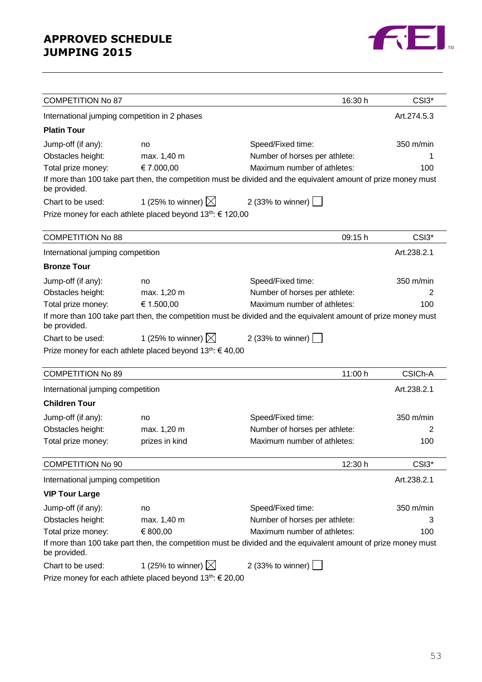

| <b>COMPETITION No 87</b>                      |                                                                      | 16:30 h                                                                                                        | CSI3*             |
|-----------------------------------------------|----------------------------------------------------------------------|----------------------------------------------------------------------------------------------------------------|-------------------|
| International jumping competition in 2 phases |                                                                      |                                                                                                                | Art.274.5.3       |
| <b>Platin Tour</b>                            |                                                                      |                                                                                                                |                   |
| Jump-off (if any):                            | no                                                                   | Speed/Fixed time:                                                                                              | 350 m/min         |
| Obstacles height:                             | max. 1,40 m                                                          | Number of horses per athlete:                                                                                  | 1                 |
| Total prize money:                            | € 7.000,00                                                           | Maximum number of athletes:                                                                                    | 100               |
| be provided.                                  |                                                                      | If more than 100 take part then, the competition must be divided and the equivalent amount of prize money must |                   |
| Chart to be used:                             | 1 (25% to winner) $\boxtimes$                                        | 2 (33% to winner) $\Box$                                                                                       |                   |
|                                               | Prize money for each athlete placed beyond 13th: € 120,00            |                                                                                                                |                   |
| <b>COMPETITION No 88</b>                      |                                                                      | 09:15 h                                                                                                        | CSI3*             |
| International jumping competition             |                                                                      |                                                                                                                | Art.238.2.1       |
| <b>Bronze Tour</b>                            |                                                                      |                                                                                                                |                   |
| Jump-off (if any):                            | no                                                                   | Speed/Fixed time:                                                                                              | 350 m/min         |
| Obstacles height:                             | max. 1,20 m                                                          | Number of horses per athlete:                                                                                  | 2                 |
| Total prize money:                            | € 1.500,00                                                           | Maximum number of athletes:                                                                                    | 100               |
| be provided.                                  |                                                                      | If more than 100 take part then, the competition must be divided and the equivalent amount of prize money must |                   |
| Chart to be used:                             | 1 (25% to winner) $\boxtimes$                                        | 2 (33% to winner) $ $                                                                                          |                   |
|                                               | Prize money for each athlete placed beyond 13 <sup>th</sup> : €40,00 |                                                                                                                |                   |
| <b>COMPETITION No 89</b>                      |                                                                      | 11:00 h                                                                                                        | CSICh-A           |
| International jumping competition             |                                                                      |                                                                                                                | Art.238.2.1       |
| <b>Children Tour</b>                          |                                                                      |                                                                                                                |                   |
| Jump-off (if any):                            | no                                                                   | Speed/Fixed time:                                                                                              | 350 m/min         |
| Obstacles height:                             | max. 1,20 m                                                          | Number of horses per athlete:                                                                                  | 2                 |
| Total prize money:                            | prizes in kind                                                       | Maximum number of athletes:                                                                                    | 100               |
| <b>COMPETITION No 90</b>                      |                                                                      | 12:30 h                                                                                                        | CSI3 <sup>*</sup> |
| International jumping competition             |                                                                      |                                                                                                                | Art.238.2.1       |
| <b>VIP Tour Large</b>                         |                                                                      |                                                                                                                |                   |
| Jump-off (if any):                            | no                                                                   | Speed/Fixed time:                                                                                              | 350 m/min         |
| Obstacles height:                             | max. 1,40 m                                                          | Number of horses per athlete:                                                                                  | 3                 |
| Total prize money:                            | € 800,00                                                             | Maximum number of athletes:                                                                                    | 100               |
| be provided.                                  |                                                                      | If more than 100 take part then, the competition must be divided and the equivalent amount of prize money must |                   |
| Chart to be used:                             | 1 (25% to winner) $\boxtimes$                                        | 2 (33% to winner) $\Box$                                                                                       |                   |
|                                               | Prize money for each athlete placed beyond $13th$ : € 20,00          |                                                                                                                |                   |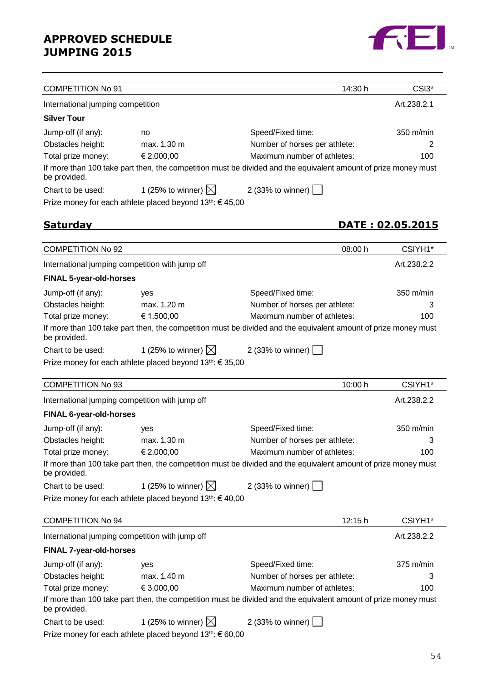

| <b>COMPETITION No 91</b>          |                                                                       | 14:30 h                                                                                                        | CSI3*                   |
|-----------------------------------|-----------------------------------------------------------------------|----------------------------------------------------------------------------------------------------------------|-------------------------|
| International jumping competition |                                                                       |                                                                                                                | Art.238.2.1             |
| <b>Silver Tour</b>                |                                                                       |                                                                                                                |                         |
| Jump-off (if any):                | no                                                                    | Speed/Fixed time:                                                                                              | 350 m/min               |
| Obstacles height:                 | max. 1,30 m                                                           | Number of horses per athlete:                                                                                  | 2                       |
| Total prize money:                | € 2.000,00                                                            | Maximum number of athletes:                                                                                    | 100                     |
| be provided.                      |                                                                       | If more than 100 take part then, the competition must be divided and the equivalent amount of prize money must |                         |
| Chart to be used:                 | 1 (25% to winner) $\boxtimes$                                         | 2 (33% to winner) $\vert$                                                                                      |                         |
|                                   | Prize money for each athlete placed beyond $13^{th}$ : $645,00$       |                                                                                                                |                         |
| <u>Saturdav</u>                   |                                                                       |                                                                                                                | <u>DATE: 02.05.2015</u> |
|                                   |                                                                       |                                                                                                                |                         |
| <b>COMPETITION No 92</b>          |                                                                       | 08:00 h                                                                                                        | CSIYH1*                 |
|                                   | International jumping competition with jump off                       |                                                                                                                | Art.238.2.2             |
| <b>FINAL 5-year-old-horses</b>    |                                                                       |                                                                                                                |                         |
| Jump-off (if any):                | yes                                                                   | Speed/Fixed time:                                                                                              | 350 m/min               |
| Obstacles height:                 | max. 1,20 m                                                           | Number of horses per athlete:                                                                                  | 3                       |
| Total prize money:                | € 1.500,00                                                            | Maximum number of athletes:                                                                                    | 100                     |
| be provided.                      |                                                                       | If more than 100 take part then, the competition must be divided and the equivalent amount of prize money must |                         |
| Chart to be used:                 | 1 (25% to winner) $\boxtimes$                                         | 2 (33% to winner)                                                                                              |                         |
|                                   | Prize money for each athlete placed beyond $13^{th}$ : € 35,00        |                                                                                                                |                         |
| <b>COMPETITION No 93</b>          |                                                                       | 10:00 h                                                                                                        | CSIYH1*                 |
|                                   | International jumping competition with jump off                       |                                                                                                                | Art.238.2.2             |
| <b>FINAL 6-year-old-horses</b>    |                                                                       |                                                                                                                |                         |
| Jump-off (if any):                | yes                                                                   | Speed/Fixed time:                                                                                              | 350 m/min               |
| Obstacles height:                 | max. 1,30 m                                                           | Number of horses per athlete:                                                                                  | 3                       |
| Total prize money:                | € 2.000,00                                                            | Maximum number of athletes:                                                                                    | 100                     |
| be provided.                      |                                                                       | If more than 100 take part then, the competition must be divided and the equivalent amount of prize money must |                         |
| Chart to be used:                 | 1 (25% to winner) $\boxtimes$                                         | 2 (33% to winner) $\vert$                                                                                      |                         |
|                                   | Prize money for each athlete placed beyond 13th: € 40,00              |                                                                                                                |                         |
| <b>COMPETITION No 94</b>          |                                                                       | 12:15 h                                                                                                        | CSIYH1*                 |
|                                   | International jumping competition with jump off                       |                                                                                                                | Art.238.2.2             |
| <b>FINAL 7-year-old-horses</b>    |                                                                       |                                                                                                                |                         |
| Jump-off (if any):                | yes                                                                   | Speed/Fixed time:                                                                                              | $375$ m/min             |
| Obstacles height:                 | max. 1,40 m                                                           | Number of horses per athlete:                                                                                  | З                       |
| Total prize money:                | € 3.000,00                                                            | Maximum number of athletes:                                                                                    | 100                     |
| be provided.                      |                                                                       | If more than 100 take part then, the competition must be divided and the equivalent amount of prize money must |                         |
| Chart to be used:                 | 1 (25% to winner) $\boxtimes$                                         | 2 (33% to winner) $\boxed{\phantom{1}}$                                                                        |                         |
|                                   | Prize money for each athlete placed beyond 13 <sup>th</sup> : € 60,00 |                                                                                                                |                         |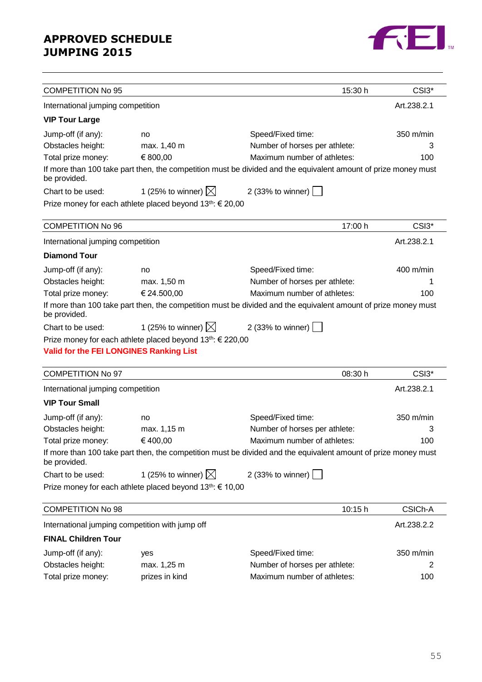

| <b>COMPETITION No 95</b>                       |                                                                        | 15:30 h                                                                                                        | CSI3*                         |
|------------------------------------------------|------------------------------------------------------------------------|----------------------------------------------------------------------------------------------------------------|-------------------------------|
| International jumping competition              |                                                                        |                                                                                                                | Art.238.2.1                   |
| <b>VIP Tour Large</b>                          |                                                                        |                                                                                                                |                               |
| Jump-off (if any):                             | no                                                                     | Speed/Fixed time:                                                                                              | 350 m/min                     |
| Obstacles height:                              | max. 1,40 m                                                            | Number of horses per athlete:                                                                                  | З                             |
| Total prize money:                             | € 800,00                                                               | Maximum number of athletes:                                                                                    | 100                           |
| be provided.                                   |                                                                        | If more than 100 take part then, the competition must be divided and the equivalent amount of prize money must |                               |
| Chart to be used:                              | 1 (25% to winner) $\boxtimes$                                          | 2 (33% to winner) $\boxed{\phantom{1}}$                                                                        |                               |
|                                                | Prize money for each athlete placed beyond 13 <sup>th</sup> : € 20,00  |                                                                                                                |                               |
| <b>COMPETITION No 96</b>                       |                                                                        | 17:00 h                                                                                                        | CSI3*                         |
| International jumping competition              |                                                                        |                                                                                                                | Art.238.2.1                   |
| <b>Diamond Tour</b>                            |                                                                        |                                                                                                                |                               |
| Jump-off (if any):                             | no                                                                     | Speed/Fixed time:                                                                                              | 400 m/min                     |
| Obstacles height:                              | max. 1,50 m                                                            | Number of horses per athlete:                                                                                  | 1                             |
| Total prize money:                             | € 24.500,00                                                            | Maximum number of athletes:                                                                                    | 100                           |
| be provided.                                   |                                                                        | If more than 100 take part then, the competition must be divided and the equivalent amount of prize money must |                               |
| Chart to be used:                              | 1 (25% to winner) $\boxtimes$                                          | 2 (33% to winner) $\lfloor$                                                                                    |                               |
|                                                | Prize money for each athlete placed beyond 13 <sup>th</sup> : € 220,00 |                                                                                                                |                               |
| <b>Valid for the FEI LONGINES Ranking List</b> |                                                                        |                                                                                                                |                               |
|                                                |                                                                        |                                                                                                                |                               |
| <b>COMPETITION No 97</b>                       |                                                                        | 08:30 h                                                                                                        | CSI <sub>3</sub> <sup>*</sup> |
| International jumping competition              |                                                                        |                                                                                                                | Art.238.2.1                   |
| <b>VIP Tour Small</b>                          |                                                                        |                                                                                                                |                               |
| Jump-off (if any):                             | no                                                                     | Speed/Fixed time:                                                                                              | $350 \text{ m/min}$           |
| Obstacles height:                              | max. 1,15 m                                                            | Number of horses per athlete:                                                                                  | З                             |
| Total prize money:                             | € 400,00                                                               | Maximum number of athletes:                                                                                    | 100                           |
| be provided.                                   |                                                                        | If more than 100 take part then, the competition must be divided and the equivalent amount of prize money must |                               |
| Chart to be used:                              | 1 (25% to winner) $\boxtimes$                                          | 2 (33% to winner) [                                                                                            |                               |
|                                                | Prize money for each athlete placed beyond 13th: € 10,00               |                                                                                                                |                               |
| <b>COMPETITION No 98</b>                       |                                                                        | 10:15 h                                                                                                        | CSICh-A                       |
|                                                | International jumping competition with jump off                        |                                                                                                                | Art.238.2.2                   |
| <b>FINAL Children Tour</b>                     |                                                                        |                                                                                                                |                               |
| Jump-off (if any):                             | yes                                                                    | Speed/Fixed time:                                                                                              | 350 m/min                     |
| Obstacles height:                              | max. 1,25 m                                                            | Number of horses per athlete:                                                                                  | 2                             |
| Total prize money:                             | prizes in kind                                                         | Maximum number of athletes:                                                                                    | 100                           |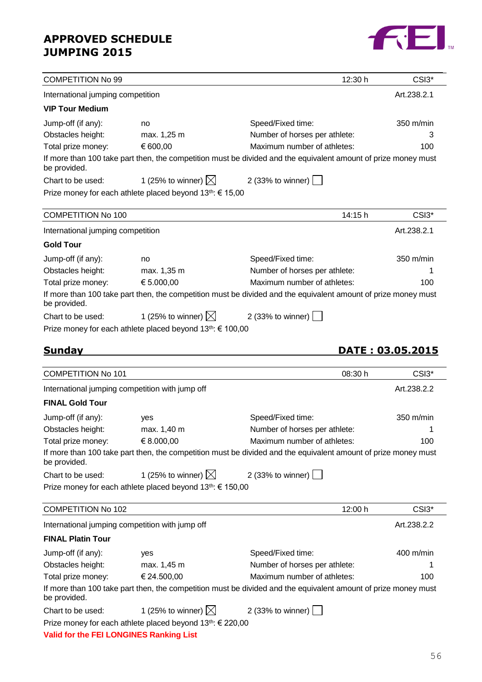

| <b>COMPETITION No 99</b>          |                                                                        | 12:30 h                                                                                                        | CSI3*            |
|-----------------------------------|------------------------------------------------------------------------|----------------------------------------------------------------------------------------------------------------|------------------|
| International jumping competition |                                                                        |                                                                                                                | Art.238.2.1      |
| <b>VIP Tour Medium</b>            |                                                                        |                                                                                                                |                  |
| Jump-off (if any):                | no                                                                     | Speed/Fixed time:                                                                                              | 350 m/min        |
| Obstacles height:                 | max. 1,25 m                                                            | Number of horses per athlete:                                                                                  | з                |
| Total prize money:                | € 600,00                                                               | Maximum number of athletes:                                                                                    | 100              |
| be provided.                      |                                                                        | If more than 100 take part then, the competition must be divided and the equivalent amount of prize money must |                  |
| Chart to be used:                 | 1 (25% to winner) $\boxtimes$                                          | 2 (33% to winner) $ $                                                                                          |                  |
|                                   | Prize money for each athlete placed beyond $13^{th}$ : $\in$ 15,00     |                                                                                                                |                  |
| <b>COMPETITION No 100</b>         |                                                                        | 14:15 h                                                                                                        | CSI3*            |
| International jumping competition |                                                                        |                                                                                                                | Art.238.2.1      |
| <b>Gold Tour</b>                  |                                                                        |                                                                                                                |                  |
| Jump-off (if any):                | no                                                                     | Speed/Fixed time:                                                                                              | 350 m/min        |
| Obstacles height:                 | max. 1,35 m                                                            | Number of horses per athlete:                                                                                  |                  |
| Total prize money:                | € 5.000,00                                                             | Maximum number of athletes:                                                                                    | 100              |
| be provided.                      |                                                                        | If more than 100 take part then, the competition must be divided and the equivalent amount of prize money must |                  |
| Chart to be used:                 | 1 (25% to winner) $\boxtimes$ 2 (33% to winner)                        |                                                                                                                |                  |
|                                   | Prize money for each athlete placed beyond 13 <sup>th</sup> : € 100,00 |                                                                                                                |                  |
| <b>Sunday</b>                     |                                                                        |                                                                                                                | DATE: 03.05.2015 |
| <b>COMPETITION No 101</b>         |                                                                        | 08:30 h                                                                                                        | CSI3*            |
|                                   | International jumping competition with jump off                        |                                                                                                                | Art.238.2.2      |
| <b>FINAL Gold Tour</b>            |                                                                        |                                                                                                                |                  |

| Jump-off (if any): | ves.                                                         | Speed/Fixed time:                                                                                              | 350 m/min |
|--------------------|--------------------------------------------------------------|----------------------------------------------------------------------------------------------------------------|-----------|
| Obstacles height:  | max. 1,40 m                                                  | Number of horses per athlete:                                                                                  |           |
| Total prize money: | € 8.000,00                                                   | Maximum number of athletes:                                                                                    | 100       |
| be provided.       |                                                              | If more than 100 take part then, the competition must be divided and the equivalent amount of prize money must |           |
| Chart to be used:  | 1 (25% to winner) $\boxtimes$                                | 2 (33% to winner) $\Box$                                                                                       |           |
|                    | Prize money for each athlete placed beyond $13th$ : € 150,00 |                                                                                                                |           |

| <b>COMPETITION No 102</b>                       |                                                                        | 12:00 h                                                                                                        | CSI <sub>3</sub> <sup>*</sup> |
|-------------------------------------------------|------------------------------------------------------------------------|----------------------------------------------------------------------------------------------------------------|-------------------------------|
| International jumping competition with jump off |                                                                        |                                                                                                                | Art.238.2.2                   |
| <b>FINAL Platin Tour</b>                        |                                                                        |                                                                                                                |                               |
| Jump-off (if any):                              | yes                                                                    | Speed/Fixed time:                                                                                              | $400$ m/min                   |
| Obstacles height:                               | max. 1,45 m                                                            | Number of horses per athlete:                                                                                  |                               |
| Total prize money:                              | € 24.500,00                                                            | Maximum number of athletes:                                                                                    | 100                           |
| be provided.                                    |                                                                        | If more than 100 take part then, the competition must be divided and the equivalent amount of prize money must |                               |
| Chart to be used:                               | 1 (25% to winner) $\boxtimes$                                          | 2 (33% to winner) $\vert$ $\vert$                                                                              |                               |
|                                                 | Prize money for each athlete placed beyond 13 <sup>th</sup> : € 220,00 |                                                                                                                |                               |
| Valid for the FEI LONGINES Ranking List         |                                                                        |                                                                                                                |                               |

56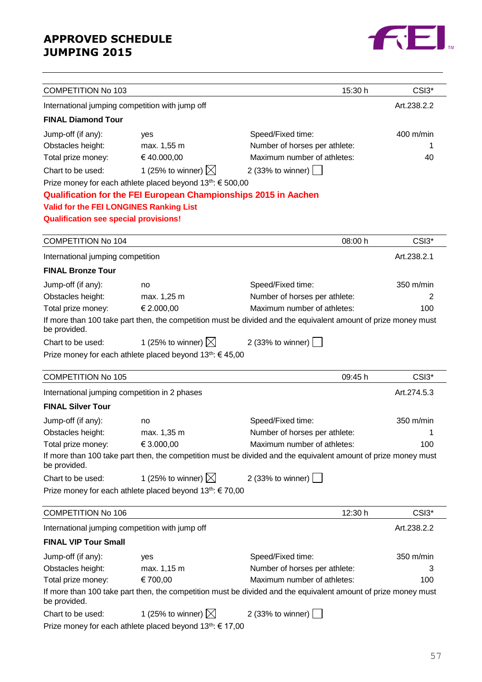

| <b>COMPETITION No 103</b>                       |                                                                        | 15:30 h                                                                                                        | CSI3*             |
|-------------------------------------------------|------------------------------------------------------------------------|----------------------------------------------------------------------------------------------------------------|-------------------|
| International jumping competition with jump off |                                                                        |                                                                                                                | Art.238.2.2       |
| <b>FINAL Diamond Tour</b>                       |                                                                        |                                                                                                                |                   |
| Jump-off (if any):                              | yes                                                                    | Speed/Fixed time:                                                                                              | $400$ m/min       |
| Obstacles height:                               | max. 1,55 m                                                            | Number of horses per athlete:                                                                                  | 1                 |
| Total prize money:                              | €40.000,00                                                             | Maximum number of athletes:                                                                                    | 40                |
| Chart to be used:                               | 1 (25% to winner) $\boxtimes$                                          | 2 (33% to winner)                                                                                              |                   |
|                                                 | Prize money for each athlete placed beyond 13 <sup>th</sup> : € 500,00 |                                                                                                                |                   |
|                                                 | <b>Qualification for the FEI European Championships 2015 in Aachen</b> |                                                                                                                |                   |
| Valid for the FEI LONGINES Ranking List         |                                                                        |                                                                                                                |                   |
| <b>Qualification see special provisions!</b>    |                                                                        |                                                                                                                |                   |
| <b>COMPETITION No 104</b>                       |                                                                        | 08:00 h                                                                                                        | CSI3 <sup>*</sup> |
|                                                 |                                                                        |                                                                                                                | Art.238.2.1       |
| International jumping competition               |                                                                        |                                                                                                                |                   |
| <b>FINAL Bronze Tour</b>                        |                                                                        |                                                                                                                |                   |
| Jump-off (if any):                              | no                                                                     | Speed/Fixed time:                                                                                              | 350 m/min         |
| Obstacles height:                               | max. 1,25 m                                                            | Number of horses per athlete:                                                                                  | 2                 |
| Total prize money:                              | € 2.000,00                                                             | Maximum number of athletes:                                                                                    | 100               |
| be provided.                                    |                                                                        | If more than 100 take part then, the competition must be divided and the equivalent amount of prize money must |                   |
| Chart to be used:                               | 1 (25% to winner) $\boxtimes$                                          | 2 (33% to winner) $\vert$                                                                                      |                   |
|                                                 | Prize money for each athlete placed beyond $13^{th}$ : $\in$ 45,00     |                                                                                                                |                   |
| <b>COMPETITION No 105</b>                       |                                                                        | 09:45 h                                                                                                        | CSI3*             |
| International jumping competition in 2 phases   |                                                                        |                                                                                                                | Art.274.5.3       |
| <b>FINAL Silver Tour</b>                        |                                                                        |                                                                                                                |                   |
| Jump-off (if any):                              | no                                                                     | Speed/Fixed time:                                                                                              | 350 m/min         |
| Obstacles height:                               | max. 1,35 m                                                            | Number of horses per athlete:                                                                                  | 1                 |
| Total prize money:                              | € 3.000,00                                                             | Maximum number of athletes:                                                                                    | 100               |
| be provided.                                    |                                                                        | If more than 100 take part then, the competition must be divided and the equivalent amount of prize money must |                   |
| Chart to be used:                               | 1 (25% to winner) $\boxtimes$                                          | 2 (33% to winner) $\boxed{\phantom{0}}$                                                                        |                   |
|                                                 | Prize money for each athlete placed beyond $13^{th}$ : $\in$ 70,00     |                                                                                                                |                   |
|                                                 |                                                                        |                                                                                                                |                   |
| <b>COMPETITION No 106</b>                       |                                                                        | 12:30 h                                                                                                        | CSI3 <sup>*</sup> |
| International jumping competition with jump off |                                                                        |                                                                                                                | Art.238.2.2       |
| <b>FINAL VIP Tour Small</b>                     |                                                                        |                                                                                                                |                   |
| Jump-off (if any):                              | yes                                                                    | Speed/Fixed time:                                                                                              | 350 m/min         |
| Obstacles height:                               | max. 1,15 m                                                            | Number of horses per athlete:                                                                                  | 3                 |
| Total prize money:                              | € 700,00                                                               | Maximum number of athletes:                                                                                    | 100               |
| be provided.                                    |                                                                        | If more than 100 take part then, the competition must be divided and the equivalent amount of prize money must |                   |
| Chart to be used:                               | 1 (25% to winner) $\boxtimes$                                          | 2 (33% to winner)                                                                                              |                   |
|                                                 | Prize money for each athlete placed beyond 13 <sup>th</sup> : € 17,00  |                                                                                                                |                   |

57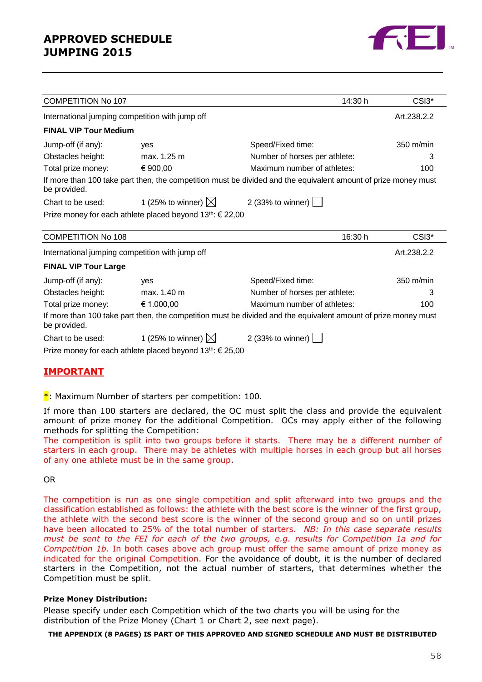

| <b>COMPETITION No 107</b>    |                                                                       | 14:30 h                                                                                                        | CSI3*               |
|------------------------------|-----------------------------------------------------------------------|----------------------------------------------------------------------------------------------------------------|---------------------|
|                              | International jumping competition with jump off                       |                                                                                                                | Art.238.2.2         |
| <b>FINAL VIP Tour Medium</b> |                                                                       |                                                                                                                |                     |
| Jump-off (if any):           | yes                                                                   | Speed/Fixed time:                                                                                              | $350 \text{ m/min}$ |
| Obstacles height:            | max. 1,25 m                                                           | Number of horses per athlete:                                                                                  | 3                   |
| Total prize money:           | € 900,00                                                              | Maximum number of athletes:                                                                                    | 100                 |
| be provided.                 |                                                                       | If more than 100 take part then, the competition must be divided and the equivalent amount of prize money must |                     |
| Chart to be used:            | 1 (25% to winner) $\boxtimes$                                         | 2 (33% to winner) $\vert$                                                                                      |                     |
|                              | Prize money for each athlete placed beyond 13 <sup>th</sup> : € 22,00 |                                                                                                                |                     |
|                              |                                                                       |                                                                                                                |                     |
| <b>COMPETITION No 108</b>    |                                                                       | 16:30 h                                                                                                        | CSI3*               |
|                              | International jumping competition with jump off                       |                                                                                                                | Art.238.2.2         |
| <b>FINAL VIP Tour Large</b>  |                                                                       |                                                                                                                |                     |
| Jump-off (if any):           | yes                                                                   | Speed/Fixed time:                                                                                              | 350 m/min           |
| Obstacles height:            | max. 1,40 m                                                           | Number of horses per athlete:                                                                                  | 3                   |
| Total prize money:           | € 1.000,00                                                            | Maximum number of athletes:                                                                                    | 100                 |
| be provided.                 |                                                                       | If more than 100 take part then, the competition must be divided and the equivalent amount of prize money must |                     |
| Chart to be used:            | 1 (25% to winner) $\boxtimes$                                         | 2 (33% to winner) $\boxed{\phantom{1}}$                                                                        |                     |
|                              | Prize money for each athlete placed beyond $13^{th}$ : $\in$ 25,00    |                                                                                                                |                     |

#### **IMPORTANT**

#### $*$ : Maximum Number of starters per competition: 100.

If more than 100 starters are declared, the OC must split the class and provide the equivalent amount of prize money for the additional Competition. OCs may apply either of the following methods for splitting the Competition:

The competition is split into two groups before it starts. There may be a different number of starters in each group. There may be athletes with multiple horses in each group but all horses of any one athlete must be in the same group.

OR

The competition is run as one single competition and split afterward into two groups and the classification established as follows: the athlete with the best score is the winner of the first group, the athlete with the second best score is the winner of the second group and so on until prizes have been allocated to 25% of the total number of starters. *NB: In this case separate results must be sent to the FEI for each of the two groups, e.g. results for Competition 1a and for Competition 1b.* In both cases above ach group must offer the same amount of prize money as indicated for the original Competition. For the avoidance of doubt, it is the number of declared starters in the Competition, not the actual number of starters, that determines whether the Competition must be split.

#### **Prize Money Distribution:**

Please specify under each Competition which of the two charts you will be using for the distribution of the Prize Money (Chart 1 or Chart 2, see next page).

#### **THE APPENDIX (8 PAGES) IS PART OF THIS APPROVED AND SIGNED SCHEDULE AND MUST BE DISTRIBUTED**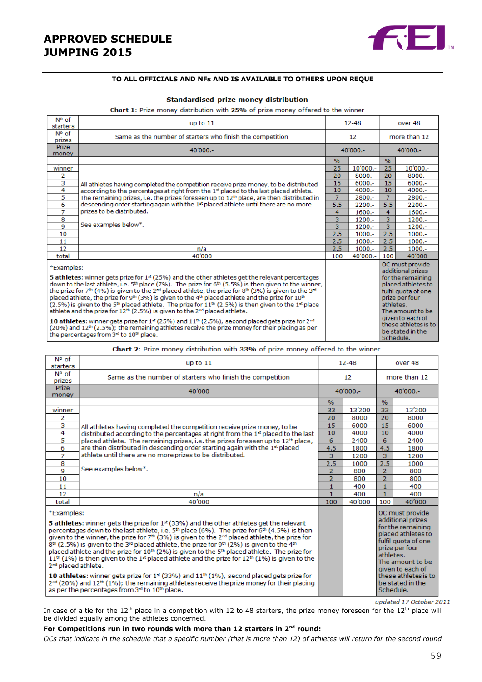

#### **TO ALL OFFICIALS AND NFs AND IS AVAILABLE TO OTHERS UPON REQUE**

#### Standardised prize money distribution

Chart 1: Prize money distribution with 25% of prize money offered to the winner

| N° of<br>starters                                                                                                                                                                                                                                                                                                                                                                                                                                                                                                                                                                                                                                                                                                                                                                                                                                                                                                                                                                                                                                      | up to $11$                                                                                      |                | $12 - 48$  |                                                                                                                                                                                                                                        | over 48    |  |
|--------------------------------------------------------------------------------------------------------------------------------------------------------------------------------------------------------------------------------------------------------------------------------------------------------------------------------------------------------------------------------------------------------------------------------------------------------------------------------------------------------------------------------------------------------------------------------------------------------------------------------------------------------------------------------------------------------------------------------------------------------------------------------------------------------------------------------------------------------------------------------------------------------------------------------------------------------------------------------------------------------------------------------------------------------|-------------------------------------------------------------------------------------------------|----------------|------------|----------------------------------------------------------------------------------------------------------------------------------------------------------------------------------------------------------------------------------------|------------|--|
| N° of<br>prizes                                                                                                                                                                                                                                                                                                                                                                                                                                                                                                                                                                                                                                                                                                                                                                                                                                                                                                                                                                                                                                        | Same as the number of starters who finish the competition                                       |                | 12         | more than 12                                                                                                                                                                                                                           |            |  |
| <b>Prize</b><br>money                                                                                                                                                                                                                                                                                                                                                                                                                                                                                                                                                                                                                                                                                                                                                                                                                                                                                                                                                                                                                                  | $40'000 -$                                                                                      |                | $40'000 -$ |                                                                                                                                                                                                                                        | $40'000 -$ |  |
|                                                                                                                                                                                                                                                                                                                                                                                                                                                                                                                                                                                                                                                                                                                                                                                                                                                                                                                                                                                                                                                        |                                                                                                 | $\frac{9}{6}$  |            | $\%$                                                                                                                                                                                                                                   |            |  |
| winner                                                                                                                                                                                                                                                                                                                                                                                                                                                                                                                                                                                                                                                                                                                                                                                                                                                                                                                                                                                                                                                 |                                                                                                 | 25             | 10'000 .-  | 25                                                                                                                                                                                                                                     | 10'000 .-  |  |
| 2                                                                                                                                                                                                                                                                                                                                                                                                                                                                                                                                                                                                                                                                                                                                                                                                                                                                                                                                                                                                                                                      |                                                                                                 | 20             | $8000 -$   | 20                                                                                                                                                                                                                                     | $8000 -$   |  |
| 3                                                                                                                                                                                                                                                                                                                                                                                                                                                                                                                                                                                                                                                                                                                                                                                                                                                                                                                                                                                                                                                      | All athletes having completed the competition receive prize money, to be distributed            | 15             | $6000 -$   | 15                                                                                                                                                                                                                                     | $6000 -$   |  |
| 4                                                                                                                                                                                                                                                                                                                                                                                                                                                                                                                                                                                                                                                                                                                                                                                                                                                                                                                                                                                                                                                      | according to the percentages at right from the 1st placed to the last placed athlete.           | 10             | $4000 -$   | 10                                                                                                                                                                                                                                     | $4000 -$   |  |
| 5                                                                                                                                                                                                                                                                                                                                                                                                                                                                                                                                                                                                                                                                                                                                                                                                                                                                                                                                                                                                                                                      | The remaining prizes, i.e. the prizes foreseen up to $12th$ place, are then distributed in      | $\overline{7}$ | 2800.-     | $\overline{7}$                                                                                                                                                                                                                         | 2800.-     |  |
| 6                                                                                                                                                                                                                                                                                                                                                                                                                                                                                                                                                                                                                                                                                                                                                                                                                                                                                                                                                                                                                                                      | descending order starting again with the 1 <sup>st</sup> placed athlete until there are no more | 5.5            | $2200 -$   | 5.5                                                                                                                                                                                                                                    | $2200 -$   |  |
| $\overline{7}$                                                                                                                                                                                                                                                                                                                                                                                                                                                                                                                                                                                                                                                                                                                                                                                                                                                                                                                                                                                                                                         | prizes to be distributed.                                                                       | 4              | $1600 -$   | 4                                                                                                                                                                                                                                      | $1600 -$   |  |
| 8                                                                                                                                                                                                                                                                                                                                                                                                                                                                                                                                                                                                                                                                                                                                                                                                                                                                                                                                                                                                                                                      |                                                                                                 | 3              | $1200 -$   | 3                                                                                                                                                                                                                                      | $1200 -$   |  |
| 9                                                                                                                                                                                                                                                                                                                                                                                                                                                                                                                                                                                                                                                                                                                                                                                                                                                                                                                                                                                                                                                      | See examples below*.                                                                            | 3              | $1200 -$   | 3                                                                                                                                                                                                                                      | $1200 -$   |  |
| 10                                                                                                                                                                                                                                                                                                                                                                                                                                                                                                                                                                                                                                                                                                                                                                                                                                                                                                                                                                                                                                                     |                                                                                                 | 2.5            | $1000 -$   | 2.5                                                                                                                                                                                                                                    | $1000.-$   |  |
| 11                                                                                                                                                                                                                                                                                                                                                                                                                                                                                                                                                                                                                                                                                                                                                                                                                                                                                                                                                                                                                                                     |                                                                                                 | 2.5            | $1000 -$   | 2.5                                                                                                                                                                                                                                    | $1000 -$   |  |
| 12                                                                                                                                                                                                                                                                                                                                                                                                                                                                                                                                                                                                                                                                                                                                                                                                                                                                                                                                                                                                                                                     | n/a                                                                                             | 2.5            | $1000 -$   | 2.5                                                                                                                                                                                                                                    | $1000 -$   |  |
| total                                                                                                                                                                                                                                                                                                                                                                                                                                                                                                                                                                                                                                                                                                                                                                                                                                                                                                                                                                                                                                                  | 40'000                                                                                          | 100            | 40'000 .-  | 100                                                                                                                                                                                                                                    | 40'000     |  |
| *Examples:<br>5 athletes: winner gets prize for 1 <sup>st</sup> (25%) and the other athletes get the relevant percentages<br>down to the last athlete, i.e. 5 <sup>th</sup> place (7%). The prize for 6 <sup>th</sup> (5.5%) is then given to the winner,<br>the prize for 7 <sup>th</sup> (4%) is given to the 2 <sup>nd</sup> placed athlete, the prize for 8 <sup>th</sup> (3%) is given to the 3 <sup>nd</sup><br>placed athlete, the prize for 9th (3%) is given to the 4th placed athlete and the prize for 10th<br>$(2.5\%)$ is given to the 5 <sup>th</sup> placed athlete. The prize for $11th$ (2.5%) is then given to the 1 <sup>st</sup> place<br>athlete and the prize for 12 <sup>th</sup> (2.5%) is given to the 2 <sup>nd</sup> placed athlete.<br>10 athletes: winner gets prize for 1 <sup>st</sup> (25%) and 11 <sup>th</sup> (2.5%), second placed gets prize for 2 <sup>nd</sup><br>$(20%)$ and $12th$ (2.5%); the remaining athletes receive the prize money for their placing as per<br>the percentages from 3rd to 10th place. |                                                                                                 |                |            | OC must provide<br>additional prizes<br>for the remaining<br>placed athletes to<br>fulfil quota of one<br>prize per four<br>athletes.<br>The amount to be<br>given to each of<br>these athletes is to<br>be stated in the<br>Schedule. |            |  |

#### Chart 2: Prize money distribution with 33% of prize money offered to the winner

| N° of<br>starters                                                                                                                                                                                                                                                                                                                                                                                                                                                                                                                                                                                                                                                                                                                                 | up to $11$                                                                                                                                                                                                                                                          |                | $12 - 48$ |                                                                                                                                                            | over 48                                  |  |
|---------------------------------------------------------------------------------------------------------------------------------------------------------------------------------------------------------------------------------------------------------------------------------------------------------------------------------------------------------------------------------------------------------------------------------------------------------------------------------------------------------------------------------------------------------------------------------------------------------------------------------------------------------------------------------------------------------------------------------------------------|---------------------------------------------------------------------------------------------------------------------------------------------------------------------------------------------------------------------------------------------------------------------|----------------|-----------|------------------------------------------------------------------------------------------------------------------------------------------------------------|------------------------------------------|--|
| N° of<br>prizes                                                                                                                                                                                                                                                                                                                                                                                                                                                                                                                                                                                                                                                                                                                                   | Same as the number of starters who finish the competition                                                                                                                                                                                                           |                | 12        |                                                                                                                                                            | more than 12                             |  |
| Prize<br>money                                                                                                                                                                                                                                                                                                                                                                                                                                                                                                                                                                                                                                                                                                                                    | 40'000                                                                                                                                                                                                                                                              |                | 40'000 .- |                                                                                                                                                            | $40'000 -$                               |  |
|                                                                                                                                                                                                                                                                                                                                                                                                                                                                                                                                                                                                                                                                                                                                                   |                                                                                                                                                                                                                                                                     | $\%$           |           | $\%$                                                                                                                                                       |                                          |  |
| winner                                                                                                                                                                                                                                                                                                                                                                                                                                                                                                                                                                                                                                                                                                                                            |                                                                                                                                                                                                                                                                     | 33             | 13'200    | 33                                                                                                                                                         | 13'200                                   |  |
| 2                                                                                                                                                                                                                                                                                                                                                                                                                                                                                                                                                                                                                                                                                                                                                 |                                                                                                                                                                                                                                                                     | 20             | 8000      | 20                                                                                                                                                         | 8000                                     |  |
| 3                                                                                                                                                                                                                                                                                                                                                                                                                                                                                                                                                                                                                                                                                                                                                 | All athletes having completed the competition receive prize money, to be                                                                                                                                                                                            | 15             | 6000      | 15                                                                                                                                                         | 6000                                     |  |
| 4                                                                                                                                                                                                                                                                                                                                                                                                                                                                                                                                                                                                                                                                                                                                                 | distributed according to the percentages at right from the 1st placed to the last                                                                                                                                                                                   | 10             | 4000      | 10                                                                                                                                                         | 4000                                     |  |
| 5                                                                                                                                                                                                                                                                                                                                                                                                                                                                                                                                                                                                                                                                                                                                                 | placed athlete. The remaining prizes, i.e. the prizes foreseen up to 12 <sup>th</sup> place,                                                                                                                                                                        | 6              | 2400      | 6                                                                                                                                                          | 2400                                     |  |
| 6                                                                                                                                                                                                                                                                                                                                                                                                                                                                                                                                                                                                                                                                                                                                                 | are then distributed in descending order starting again with the 1 <sup>st</sup> placed                                                                                                                                                                             | 4.5            | 1800      | 4.5                                                                                                                                                        | 1800                                     |  |
| $\overline{7}$                                                                                                                                                                                                                                                                                                                                                                                                                                                                                                                                                                                                                                                                                                                                    | athlete until there are no more prizes to be distributed.                                                                                                                                                                                                           | 3              | 1200      | 3                                                                                                                                                          | 1200                                     |  |
| 8                                                                                                                                                                                                                                                                                                                                                                                                                                                                                                                                                                                                                                                                                                                                                 |                                                                                                                                                                                                                                                                     | 2.5            | 1000      | 2.5                                                                                                                                                        | 1000                                     |  |
| 9                                                                                                                                                                                                                                                                                                                                                                                                                                                                                                                                                                                                                                                                                                                                                 | See examples below*.                                                                                                                                                                                                                                                | $\overline{2}$ | 800       | $\overline{2}$                                                                                                                                             | 800                                      |  |
| 10                                                                                                                                                                                                                                                                                                                                                                                                                                                                                                                                                                                                                                                                                                                                                |                                                                                                                                                                                                                                                                     | $\overline{2}$ | 800       | $\overline{2}$                                                                                                                                             | 800                                      |  |
| 11                                                                                                                                                                                                                                                                                                                                                                                                                                                                                                                                                                                                                                                                                                                                                |                                                                                                                                                                                                                                                                     | 1              | 400       | 1                                                                                                                                                          | 400                                      |  |
| 12                                                                                                                                                                                                                                                                                                                                                                                                                                                                                                                                                                                                                                                                                                                                                | n/a                                                                                                                                                                                                                                                                 | $\mathbf{1}$   | 400       | $\mathbf{1}$                                                                                                                                               | 400                                      |  |
| total                                                                                                                                                                                                                                                                                                                                                                                                                                                                                                                                                                                                                                                                                                                                             | 40'000                                                                                                                                                                                                                                                              | 100            | 40'000    | 100                                                                                                                                                        | 40'000                                   |  |
| *Examples:                                                                                                                                                                                                                                                                                                                                                                                                                                                                                                                                                                                                                                                                                                                                        |                                                                                                                                                                                                                                                                     |                |           |                                                                                                                                                            | OC must provide                          |  |
| <b>5 athletes:</b> winner gets the prize for $1^{st}$ (33%) and the other athletes get the relevant<br>percentages down to the last athlete, i.e. $5th$ place (6%). The prize for 6 <sup>th</sup> (4.5%) is then<br>given to the winner, the prize for $7th$ (3%) is given to the $2nd$ placed athlete, the prize for<br>$8th$ (2.5%) is given to the 3 <sup>rd</sup> placed athlete, the prize for 9 <sup>th</sup> (2%) is given to the 4 <sup>th</sup><br>placed athlete and the prize for 10 <sup>th</sup> (2%) is given to the 5 <sup>th</sup> placed athlete. The prize for<br>$11^{th}$ (1%) is then given to the 1 <sup>st</sup> placed athlete and the prize for 12 <sup>th</sup> (1%) is given to the<br>2 <sup>nd</sup> placed athlete. |                                                                                                                                                                                                                                                                     |                |           | additional prizes<br>for the remaining<br>placed athletes to<br>fulfil quota of one<br>prize per four<br>athletes.<br>The amount to be<br>given to each of |                                          |  |
|                                                                                                                                                                                                                                                                                                                                                                                                                                                                                                                                                                                                                                                                                                                                                   | 10 athletes: winner gets prize for $1st$ (33%) and $11th$ (1%), second placed gets prize for<br>2 <sup>nd</sup> (20%) and 12 <sup>th</sup> (1%); the remaining athletes receive the prize money for their placing<br>as per the percentages from 3rd to 10th place. |                |           | Schedule.                                                                                                                                                  | these athletes is to<br>be stated in the |  |

updated 17 October 2011

In case of a tie for the 12<sup>th</sup> place in a competition with 12 to 48 starters, the prize money foreseen for the 12<sup>th</sup> place will be divided equally among the athletes concerned.

#### **For Competitions run in two rounds with more than 12 starters in 2nd round:**

*OCs that indicate in the schedule that a specific number (that is more than 12) of athletes will return for the second round*